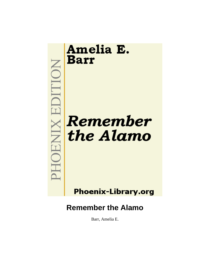

**Phoenix-Library.org** 

# **Remember the Alamo**

Barr, Amelia E.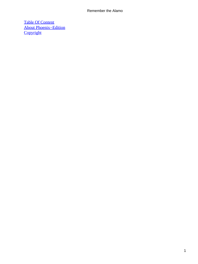[Table Of Content](#page-189-0) [About Phoenix−Edition](#page-190-0) **[Copyright](#page-193-0)**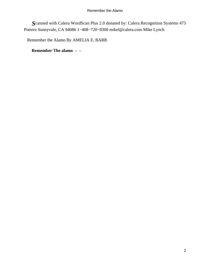*S*canned with Calera WordScan Plus 2.0 donated by: Calera Recognition Systems 475 Potrero Sunnyvale, CA 94086 1−408−720−8300 mikel@calera.com Mike Lynch

Remember the Alamo By AMELIA E. BARR

**Remember The alamo** – –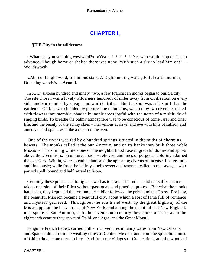# **[CHAPTER I.](#page-189-0)**

# *T*HE **City in the wilderness.**

«What, are you stepping westward?» «Yea.» \* \* \* \* Yet who would stop or fear to advance, Though home or shelter there was none, With such a sky to lead him on!" – **Wordsworth.**

 «Ah! cool night wind, tremulous stars, Ah! glimmering water, Fitful earth murmur, Dreaming woods!» – **Arnold.**

 In A. D. sixteen hundred and ninety−two, a few Franciscan monks began to build a city. The site chosen was a lovely wilderness hundreds of miles away from civilization on every side, and surrounded by savage and warlike tribes. But the spot was as beautiful as the garden of God. It was shielded by picturesque mountains, watered by two rivers, carpeted with flowers innumerable, shaded by noble trees joyful with the notes of a multitude of singing birds. To breathe the balmy atmosphere was to be conscious of some rarer and finer life, and the beauty of the sunny skies – marvellous at dawn and eve with tints of saffron and amethyst and opal – was like a dream of heaven.

 One of the rivers was fed by a hundred springs situated in the midst of charming bowers. The monks called it the San Antonio; and on its banks they built three noble Missions. The shining white stone of the neighborhood rose in graceful domes and spires above the green trees. Sculptures, basso− relievos, and lines of gorgeous coloring adorned the exteriors. Within, were splendid altars and the appealing charms of incense, fine vestures and fine music; while from the belfreys, bells sweet and resonant called to the savages, who paused spell−bound and half−afraid to listen.

 Certainly these priests had to fight as well as to pray. The Indians did not suffer them to take possession of their Eden without passionate and practical protest. But what the monks had taken, they kept; and the fort and the soldier followed the priest and the Cross. Ere long, the beautiful Mission became a beautiful city, about which a sort of fame full of romance and mystery gathered. Throughout the south and west, up the great highway of the Mississippi, on the busy streets of New York, and among the silent hills of New England, men spoke of San Antonio, as in the seventeenth century they spoke of Peru; as in the eighteenth century they spoke of Delhi, and Agra, and the Great Mogul.

 Sanguine French traders carried thither rich ventures in fancy wares from New Orleans; and Spanish dons from the wealthy cities of Central Mexico, and from the splendid homes of Chihuahua, came there to buy. And from the villages of Connecticut, and the woods of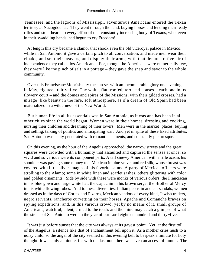Tennessee, and the lagoons of Mississippi, adventurous Americans entered the Texan territory at Nacogdoches. They went through the land, buying horses and lending their ready rifles and stout hearts to every effort of that constantly increasing body of Texans, who, even in their swaddling bands, had begun to cry Freedom!

 At length this cry became a clamor that shook even the old viceroyal palace in Mexico; while in San Antonio it gave a certain pitch to all conversation, and made men wear their cloaks, and set their beavers, and display their arms, with that demonstrative air of independence they called los Americano. For, though the Americans were numerically few, they were like the pinch of salt in a pottage – they gave the snap and savor to the whole community.

 Over this Franciscan−Moorish city the sun set with an incomparable glory one evening in May, eighteen thirty−five. The white, flat−roofed, terraced houses – each one in its flowery court – and the domes and spires of the Missions, with their gilded crosses, had a mirage−like beauty in the rare, soft atmosphere, as if a dream of Old Spain had been materialized in a wilderness of the New World.

 But human life in all its essentials was in San Antonio, as it was and has been in all other cities since the world began. Women were in their homes, dressing and cooking, nursing their children and dreaming of their lovers. Men were in the market−places, buying and selling, talking of politics and anticipating war. And yet in spite of these fixed attributes, San Antonio was a city penetrated with romantic elements, and constantly picturesque.

 On this evening, as the hour of the Angelus approached, the narrow streets and the great squares were crowded with a humanity that assaulted and captured the senses at once; so vivid and so various were its component parts. A tall sinewy American with a rifle across his shoulder was paying some money to a Mexican in blue velvet and red silk, whose breast was covered with little silver images of his favorite saints. A party of Mexican officers were strolling to the Alamo; some in white linen and scarlet sashes, others glittering with color and golden ornaments. Side by side with these were monks of various orders: the Franciscan in his blue gown and large white hat; the Capuchin in his brown serge; the Brother of Mercy in his white flowing robes. Add to these diversities, Indian peons in ancient sandals, women dressed as in the days of Cortez and Pizarro, Mexican vendors of every kind, Jewish traders, negro servants, rancheros curvetting on their horses, Apache and Comanche braves on spying expeditions: and, in this various crowd, yet by no means of it, small groups of Americans; watchful, silent, armed to the teeth: and the mind may catch a glimpse of what the streets of San Antonio were in the year of our Lord eighteen hundred and thirty−five.

 It was just before sunset that the city was always at its gayest point. Yet, at the first toll of the Angelus, a silence like that of enchantment fell upon it. As a mother cries hush to a noisy child, so the angel of the city seemed in this evening bell to bespeak a minute for holy thought. It was only a minute, for with the last note there was even an access of tumult. The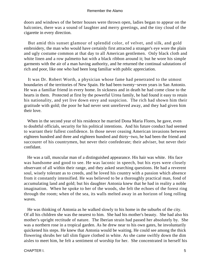doors and windows of the better houses were thrown open, ladies began to appear on the balconies, there was a sound of laughter and merry greetings, and the tiny cloud of the cigarette in every direction.

 But amid this sunset glamour of splendid color, of velvet, and silk, and gold embroidery, the man who would have certainly first attracted a stranger's eye wore the plain and ugly costume common at that day to all American gentlemen. Only black cloth and white linen and a row palmetto hat with a black ribbon around it; but he wore his simple garments with the air of a man having authority, and he returned the continual salutations of rich and poor, like one who had been long familiar with public appreciation.

 It was Dr. Robert Worth, a physician whose fame had penetrated to the utmost boundaries of the territories of New Spain. He had been twenty−seven years in San Antonio. He was a familiar friend in every home. In sickness and in death he had come close to the hearts in them. Protected at first by the powerful Urrea family, he had found it easy to retain his nationality, and yet live down envy and suspicion. The rich had shown him their gratitude with gold; the poor he had never sent unrelieved away, and they had given him their love.

 When in the second year of his residence he married Dona Maria Flores, he gave, even to doubtful officials, security for his political intentions. And his future conduct had seemed to warrant their fullest confidence. In those never ceasing American invasions between eighteen hundred and three and eighteen hundred and thirty−two, he had been the friend and succourer of his countrymen, but never their confederate; their adviser, but never their confidant.

 He was a tall, muscular man of a distinguished appearance. His hair was white. His face was handsome and good to see. He was laconic in speech, but his eyes were closely observant of all within their range, and they asked searching questions. He had a reverent soul, wisely tolerant as to creeds, and he loved his country with a passion which absence from it constantly intensified. He was believed to be a thoroughly practical man, fond of accumulating land and gold; but his daughter Antonia knew that he had in reality a noble imagination. When he spoke to her of the woods, she felt the echoes of the forest ring through the room; when of the sea, its walls melted away in an horizon of long rolling waves.

 He was thinking of Antonia as he walked slowly to his home in the suburbs of the city. Of all his children she was the nearest to him. She had his mother's beauty. She had also his mother's upright rectitude of nature. The Iberian strain had passed her absolutely by. She was a northern rose in a tropical garden. As he drew near to his own gates, he involuntarily quickened his steps. He knew that Antonia would be waiting. He could see among the thick flowering shrubs her tall slim figure clothed in white. As she came swiftly down the dim aisles to meet him, he felt a sentiment of worship for her. She concentrated in herself his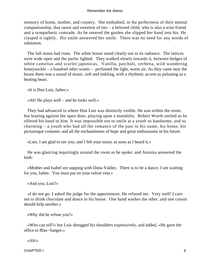memory of home, mother, and country. She embodied, in the perfectness of their mental companionship, that rarest and sweetest of ties – a beloved child, who is also a wise friend and a sympathetic comrade. As he entered the garden she slipped her hand into his. He clasped it tightly. His smile answered her smile. There was no need for any words of salutation.

 The full moon had risen. The white house stood clearly out in its radiance. The lattices were wide open and the parlor lighted. They walked slowly towards it, between hedges of white camelias and scarlet japonicas. Vanilla, patchuli, verbena, wild wandering honeysuckle – a hundred other scents – perfumed the light, warm air. As they came near the house there was a sound of music, soft and tinkling, with a rhythmic accent as pulsating as a beating heart.

«It is Don Luis, father.»

«Ah! He plays well – and he looks well.»

 They had advanced to where Don Luis was distinctly visible. He was within the room, but leaning against the open door, playing upon a mandolin. Robert Worth smiled as he offered his hand to him. It was impossible not to smile at a youth so handsome, and so charming – a youth who had all the romance of the past in his name, his home, his picturesque costume; and all the enchantments of hope and great enthusiasms in his future.

«Luis, I am glad to see you; and I felt your music as soon as I heard it.»

 He was glancing inquiringly around the room as he spoke; and Antonia answered the look:

 «Mother and Isabel are supping with Dona Valdez. There is to be a dance. I am waiting for you, father. You must put on your velvet vest.»

«And you, Luis?»

 «I do not go. I asked the judge for the appointment. He refused me. Very well! I care not to drink chocolate and dance in his house. One hand washes the other, and one cousin should help another.»

«Why did he refuse you?»

 «Who can tell?» but Luis shrugged his shoulders expressively, and added, «He gave the office to Blas−Sangre.»

«Ah!»

CHAPTER I. 6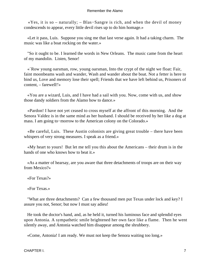«Yes, it is so – naturally; – Blas−Sangre is rich, and when the devil of money condescends to appear, every little devil rises up to do him homage.»

 «Let it pass, Luis. Suppose you sing me that last verse again. It had a taking charm. The music was like a boat rocking on the water.»

 "So it ought to be. I learned the words in New Orleans. The music came from the heart of my mandolin. Listen, Senor!

 «`Row young oarsman, row, young oarsman, Into the crypt of the night we float: Fair, faint moonbeams wash and wander, Wash and wander about the boat. Not a fetter is here to bind us, Love and memory lose their spell; Friends that we have left behind us, Prisoners of content, – farewell!'»

 «You are a wizard, Luis, and I have had a sail with you. Now, come with us, and show those dandy soldiers from the Alamo how to dance.»

 «Pardon! I have not yet ceased to cross myself at the affront of this morning. And the Senora Valdez is in the same mind as her husband. I should be received by her like a dog at mass. I am going to−morrow to the American colony on the Colorado.»

 «Be careful, Luis. These Austin colonists are giving great trouble – there have been whispers of very strong measures. I speak as a friend.»

 «My heart to yours! But let me tell you this about the Americans – their drum is in the hands of one who knows how to beat it.»

 «As a matter of hearsay, are you aware that three detachments of troops are on their way from Mexico?»

«For Texas?»

«For Texas.»

 "What are three detachments? Can a few thousand men put Texas under lock and key? I assure you not, Senor; but now I must say adieu!

 He took the doctor's hand, and, as he held it, turned his luminous face and splendid eyes upon Antonia. A sympathetic smile brightened her own face like a flame. Then he went silently away, and Antonia watched him disappear among the shrubbery.

«Come, Antonia! I am ready. We must not keep the Senora waiting too long.»

CHAPTER I. 2008 - 2009 - 2009 - 2009 - 2009 - 2009 - 2009 - 2009 - 2009 - 2009 - 2009 - 2009 - 2009 - 2009 - 2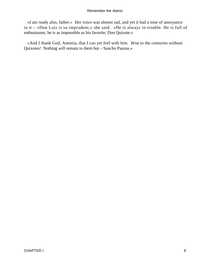«I am ready also, father.» Her voice was almost sad, and yet it had a tone of annoyance in it – «Don Luis is so imprudent,» she said. «He is always in trouble. He is full of enthusiasms; he is as impossible as his favorite, Don Quixote.»

 «And I thank God, Antonia, that I can yet feel with him. Woe to the centuries without Quixotes! Nothing will remain to them but – Sancho Panzas.»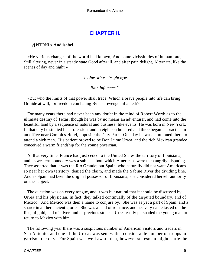# **[CHAPTER II.](#page-189-0)**

# *A*NTONIA **And isabel.**

 «He various changes of the world had known, And some vicissitudes of human fate, Still altering, never in a steady state Good after ill, and after pain delight, Alternate, like the scenes of day and night.»

# *"Ladies whose bright eyes*

*Rain influence."* 

 «But who the limits of that power shall trace, Which a brave people into life can bring, Or hide at will, for freedom combating By just revenge inflamed?»

 For many years there had never been any doubt in the mind of Robert Worth as to the ultimate destiny of Texas, though he was by no means an adventurer, and had come into the beautiful land by a sequence of natural and business−like events. He was born in New York. In that city he studied his profession, and in eighteen hundred and three began its practice in an office near Contoit's Hotel, opposite the City Park. One day he was summoned there to attend a sick man. His patient proved to be Don Jaime Urrea, and the rich Mexican grandee conceived a warm friendship for the young physician.

 At that very time, France had just ceded to the United States the territory of Louisiana, and its western boundary was a subject about which Americans were then angrily disputing. They asserted that it was the Rio Grande; but Spain, who naturally did not want Americans so near her own territory, denied the claim, and made the Sabine River the dividing line. And as Spain had been the original possessor of Louisiana, she considered herself authority on the subject.

 The question was on every tongue, and it was but natural that it should be discussed by Urrea and his physician. In fact, they talked continually of the disputed boundary, and of Mexico. And Mexico was then a name to conjure by. She was as yet a part of Spain, and a sharer in all her ancient glories. She was a land of romance, and her very name tasted on the lips, of gold, and of silver, and of precious stones. Urrea easily persuaded the young man to return to Mexico with him.

 The following year there was a suspicious number of American visitors and traders in San Antonio, and one of the Urreas was sent with a considerable number of troops to garrison the city. For Spain was well aware that, however statesmen might settle the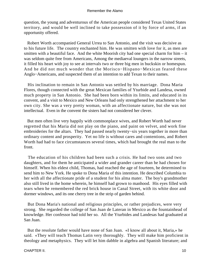question, the young and adventurous of the American people considered Texas United States territory, and would be well inclined to take possession of it by force of arms, if an opportunity offered.

 Robert Worth accompanied General Urrea to San Antonio, and the visit was decisive as to his future life. The country enchanted him. He was smitten with love for it, as men are smitten with a beautiful face. And the white Moorish city had one special charm for him – it was seldom quite free from Americans, Among the mediaeval loungers in the narrow streets, it filled his heart with joy to see at intervals two or three big men in buckskin or homespun. And he did not much wonder that the Morisco−Hispano−Mexican feared these Anglo−Americans, and suspected them of an intention to add Texan to their names.

 His inclination to remain in San Antonio was settled by his marriage. Dona Maria Flores, though connected with the great Mexican families of Yturbide and Landesa, owned much property in San Antonio. She had been born within its limits, and educated in its convent, and a visit to Mexico and New Orleans had only strengthened her attachment to her own city. She was a very pretty woman, with an affectionate nature, but she was not intellectual. Even in the convent the sisters had not considered her clever.

 But men often live very happily with commonplace wives, and Robert Worth had never regretted that his Maria did not play on the piano, and paint on velvet, and work fine embroideries for the altars. They had passed nearly twenty−six years together in more than ordinary content and prosperity. Yet no life is without cares and contentions, and Robert Worth had had to face circumstances several times, which had brought the real man to the front.

 The education of his children had been such a crisis. He had two sons and two daughters, and for them he anticipated a wider and grander career than he had chosen for himself. When his eldest child, Thomas, had reached the age of fourteen, he determined to send him to New York. He spoke to Dona Maria of this intention. He described Columbia to her with all the affectionate pride of a student for his alma mater. The boy's grandmother also still lived in the home wherein, he himself had grown to manhood. His eyes filled with tears when he remembered the red brick house in Canal Street, with its white door and dormer windows, and its one cherry tree in the strip of garden behind.

 But Dona Maria's national and religious principles, or rather prejudices, were very strong. She regarded the college of San Juan de Lateran in Mexico as the fountainhead of knowledge. Her confessor had told her so. All the Yturbides and Landesas had graduated at San Juan.

 But the resolute father would have none of San Juan. «I know all about it, Maria,» he said. «They will teach Thomas Latin very thoroughly. They will make him proficient in theology and metaphysics. They will let him dabble in algebra and Spanish literature; and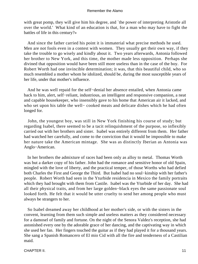with great pomp, they will give him his degree, and 'the power of interpreting Aristotle all over the world.' What kind of an education is that, for a man who may have to fight the battles of life in this century?»

 And since the father carried his point it is immaterial what precise methods he used. Men are not fools even in a contest with women. They usually get their own way, if they take the trouble to go wisely and kindly about it. Two years afterwards, Antonia followed her brother to New York, and this time, the mother made less opposition. Perhaps she divined that opposition would have been still more useless than in the case of the boy. For Robert Worth had one invincible determination; it was, that this beautiful child, who so much resembled a mother whom he idolized, should be, during the most susceptible years of her life, under that mother's influence.

 And he was well repaid for the self−denial her absence entailed, when Antonia came back to him, alert, self−reliant, industrious, an intelligent and responsive companion, a neat and capable housekeeper, who insensibly gave to his home that American air it lacked, and who set upon his table the well− cooked meats and delicate dishes which he had often longed for.

 John, the youngest boy, was still in New York finishing his course of study; but regarding Isabel, there seemed to be a tacit relinquishment of the purpose, so inflexibly carried out with her brothers and sister. Isabel was entirely different from them. Her father had watched her carefully, and come to the conviction that it would be impossible to make her nature take the American mintage. She was as distinctly Iberian as Antonia was Anglo−American.

 In her brothers the admixture of races had been only as alloy to metal. Thomas Worth was but a darker copy of his father. John had the romance and sensitive honor of old Spain, mingled with the love of liberty, and the practical temper, of those Worths who had defied both Charles the First and George the Third. But Isabel had no soul−kinship with her father's people. Robert Worth had seen in the Yturbide residencia in Mexico the family portraits which they had brought with them from Castile. Isabel was the Yturbide of her day. She had all their physical traits, and from her large golden−black eyes the same passionate soul looked forth. He felt that it would be utter cruelty to send her among people who must always be strangers to her.

 So Isabel dreamed away her childhood at her mother's side, or with the sisters in the convent, learning from them such simple and useless matters as they considered necessary for a damosel of family and fortune. On the night of the Senora Valdez's reception, she had astonished every one by the adorable grace of her dancing, and the captivating way in which she used her fan. Her fingers touched the guitar as if they had played it for a thousand years. She sang a Spanish Romancero of El mio Cid with all the fire and tenderness of a Castilian maid.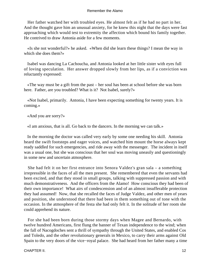Her father watched her with troubled eyes. He almost felt as if he had no part in her. And the thought gave him an unusual anxiety, for he knew this night that the days were fast approaching which would test to extremity the affection which bound his family together. He contrived to draw Antonia aside for a few moments.

 «Is she not wonderful?» he asked. «When did she learn these things? I mean the way in which she does them?»

 Isabel was dancing La Cachoucha, and Antonia looked at her little sister with eyes full of loving speculation. Her answer dropped slowly from her lips, as if a conviction was reluctantly expressed:

 «The way must be a gift from the past – her soul has been at school before she was born here. Father, are you troubled? What is it? Not Isabel, surely?»

 «Not Isabel, primarily. Antonia, I have been expecting something for twenty years. It is coming.»

«And you are sorry?»

«I am anxious, that is all. Go back to the dancers. In the morning we can talk.»

 In the morning the doctor was called very early by some one needing his skill. Antonia heard the swift footsteps and eager voices, and watched him mount the horse always kept ready saddled for such emergencies, and ride away with the messenger. The incident in itself was a usual one, but she was conscious that her soul was moving uneasily and questioningly in some new and uncertain atmosphere.

 She had felt it on her first entrance into Senora Valdez's gran sala – a something irrepressible in the faces of all the men present. She remembered that even the servants had been excited, and that they stood in small groups, talking with suppressed passion and with much demonstrativeness. And the officers from the Alamo! How conscious they had been of their own importance! What airs of condescension and of an almost insufferable protection they had assumed! Now, that she recalled the faces of Judge Valdez, and other men of years and position, she understood that there had been in them something out of tone with the occasion. In the atmosphere of the festa she had only felt it. In the solitude of her room she could apprehend its nature.

 For she had been born during those stormy days when Magee and Bernardo, with twelve hundred Americans, first flung the banner of Texan independence to the wind; when the fall of Nacogdoches sent a thrill of sympathy through the United States, and enabled Cos and Toledo, and the other revolutionary generals in Mexico, to carry their arms against Old Spain to the very doors of the vice−royal palace. She had heard from her father many a time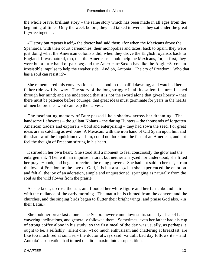the whole brave, brilliant story – the same story which has been made in all ages from the beginning of time. Only the week before, they had talked it over as they sat under the great fig−tree together.

 «History but repeats itself,» the doctor had said then; «for when the Mexicans drove the Spaniards, with their court ceremonies, their monopolies and taxes, back to Spain, they were just doing what the American colonists did, when they drove the English royalists back to England. It was natural, too, that the Americans should help the Mexicans, for, at first, they were but a little band of patriots; and the American−Saxon has like the Anglo−Saxon an irresistible impulse to help the weaker side. And oh, Antonia! The cry of Freedom! Who that has a soul can resist it?»

 She remembered this conversation as she stood in the pallid dawning, and watched her father ride swiftly away. The story of the long struggle in all its salient features flashed through her mind; and she understood that it is not the sword alone that gives liberty – that there must be patience before courage; that great ideas must germinate for years in the hearts of men before the sword can reap the harvest.

 The fascinating memory of Burr passed like a shadow across her dreaming. The handsome Lafayettes – the gallant Nolans – the daring Hunters – the thousands of forgotten American traders and explorers – bold and enterprising – they had sown the seed. For great ideas are as catching as evil ones. A Mexican, with the iron hand of Old Spain upon him and the shadow of the Inquisition over him, could not look into the face of an American, and not feel the thought of Freedom stirring in his heart.

 It stirred in her own heart. She stood still a moment to feel consciously the glow and the enlargement. Then with an impulse natural, but neither analyzed nor understood, she lifted her prayer−book, and began to recite «the rising prayer.» She had not said to herself, «from the love of Freedom to the love of God, it is but a step,» but she experienced the emotion and felt all the joy of an adoration, simple and unquestioned, springing as naturally from the soul as the wild flower from the prairie.

 As she knelt, up rose the sun, and flooded her white figure and her fair unbound hair with the radiance of the early morning. The matin bells chimed from the convent and the churches, and the singing birds began to flutter their bright wings, and praise God also, «in their Latin.»

 She took her breakfast alone. The Senora never came downstairs so early. Isabel had wavering inclinations, and generally followed them. Sometimes, even her father had his cup of strong coffee alone in his study; so the first meal of the day was usually, as perhaps it ought to be, a selfishly− silent one. «Too much enthusiasm and chattering at breakfast, are like too much red at sunrise,» the doctor always said; «a dull, bad day follows it» – and Antonia's observation had turned the little maxim into a superstition.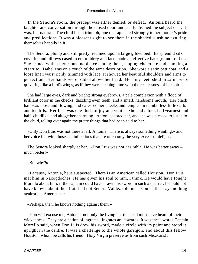In the Senora's room, the precept was either denied, or defied. Antonia heard the laughter and conversation through the closed door, and easily divined the subject of it. It was, but natural. The child had a triumph; one that appealed strongly to her mother's pride and predilections. It was a pleasant sight to see them in the shaded sunshine exulting themselves happily in it.

 The Senora, plump and still pretty, reclined upon a large gilded bed. Its splendid silk coverlet and pillows cased in embroidery and lace made an effective background for her. She leaned with a luxurious indolence among them, sipping chocolate and smoking a cigarrito. Isabel was on a couch of the same description. She wore a satin petticoat, and a loose linen waist richly trimmed with lace. It showed her beautiful shoulders and arms to perfection. Her hands were folded above her head. Her tiny feet, shod in satin, were quivering like a bird's wings, as if they were keeping time with the restlessness of her spirit.

 She had large eyes, dark and bright; strong eyebrows, a pale complexion with a flood of brilliant color in the checks, dazzling even teeth, and a small, handsome mouth. Her black hair was loose and flowing, and caressed her cheeks and temples in numberless little curls and tendrils. Her face was one flush of joy and youth. She had a look half−earnest and half−childlike, and altogether charming. Antonia adored her, and she was pleased to listen to the child, telling over again the pretty things that had been said to her.

 «Only Don Luis was not there at all, Antonia. There is always something wanting,» and her voice fell with those sad inflections that are often only the very excess of delight.

 The Senora looked sharply at her. «Don Luis was not desirable. He was better away – much better!»

«But why?»

 «Because, Antonia, he is suspected. There is an American called Houston. Don Luis met him in Nacogdoches. He has given his soul to him, I think. He would have fought Morello about him, if the captain could have drawn his sword in such a quarrel. I should not have known about the affair had not Senora Valdez told me. Your father says nothing against the Americans.»

«Perhaps, then, he knows nothing against them.»

 «You will excuse me, Antonia; not only the living but the dead must have heard of their wickedness. They are a nation of ingrates. Ingrates are cowards. It was these words Captain Morello said, when Don Luis drew his sword, made a circle with its point and stood it upright in the centre. It was a challenge to the whole garrigon, and about this fellow Houston, whom be calls his friend! Holy Virgin preserve us from such Mexicans!»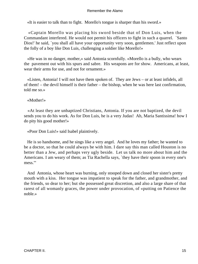«It is easier to talk than to fight. Morello's tongue is sharper than his sword.»

 «Captain Morello was placing his sword beside that of Don Luis, when the Commandant interfered. He would not permit his officers to fight in such a quarrel. `Santo Dios!' he said, `you shall all have your opportunity very soon, gentlemen.' Just reflect upon the folly of a boy like Don Luis, challenging a soldier like Morello!»

 «He was in no danger, mother,» said Antonia scornfully. «Morello is a bully, who wears the pavement out with his spurs and sabre. His weapons are for show. Americans, at least, wear their arms for use, and not for ornament.»

 «Listen, Antonia! I will not have them spoken of. They are Jews – or at least infidels, all of them! – the devil himself is their father – the bishop, when he was here last confirmation, told me so.»

«Mother!»

 «At least they are unbaptized Christians, Antonia. If you are not baptized, the devil sends you to do his work. As for Don Luis, he is a very Judas! Ah, Maria Santissima! how I do pity his good mother!»

«Poor Don Luis!» said Isabel plaintively.

 He is so handsome, and he sings like a very angel. And he loves my father; he wanted to be a doctor, so that he could always be with him. I dare say this man called Houston is no better than a Jew, and perhaps very ugly beside. Let us talk no more about him and the Americans. I am weary of them; as Tia Rachella says, `they have their spoon in every one's mess.'"

 And Antonia, whose heart was burning, only stooped down and closed her sister's pretty mouth with a kiss. Her tongue was impatient to speak for the father, and grandmother, and the friends, so dear to her; but she possessed great discretion, and also a large share of that rarest of all womanly graces, the power under provocation, of «putting on Patience the noble.»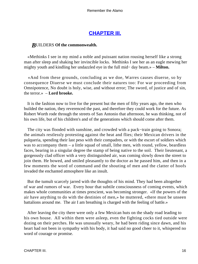# **[CHAPTER III.](#page-189-0)**

# *B*UILDERS **Of the commonwealth.**

 «Methinks I see in my mind a noble and puissant nation rousing herself like a strong man after sleep and shaking her invincible locks. Methinks I see her as an eagle mewing her mighty youth and kindling her undazzled eye in the full mid− day beam.» – **Milton.**

 «And from these grounds, concluding as we doe, Warres causes diuerse, so by consequence Diuerse we must conclude their natures too: For war proceeding from Omnipotence, No doubt is holy, wise, and without error; The sword, of justice and of sin, the terror.» – **Lord brooke.**

 It is the fashion now to live for the present but the men of fifty years ago, the men who builded the nation, they reverenced the past, and therefore they could work for the future. As Robert Worth rode through the streets of San Antonio that afternoon, he was thinking, not of his own life, but of his children's and of the generations which should come after them.

The city was flooded with sunshine, and crowded with a pack–train going to Sonora; the animals restlessly protesting against the heat and flies; their Mexican drivers in the pulqueria, spending their last peso with their compadres, or with the escort of soldiers which was to accompany them – a little squad of small, lithe men, with round, yellow, beardless faces, bearing in a singular degree the stamp of being native to the soil. Their lieutenant, a gorgeously clad officer with a very distinguished air, was coming slowly down the street to join them. He bowed, and smiled pleasantly to the doctor as he passed him, and then in a few moments the word of command and the shouting of men and the clatter of hoofs invaded the enchanted atmosphere like an insult.

 But the tumult scarcely jarred with the thoughts of his mind. They had been altogether of war and rumors of war. Every hour that subtile consciousness of coming events, which makes whole communities at times prescient, was becoming stronger. «If the powers of the air have anything to do with the destinies of men,» he muttered, «there must be unseen battalions around me. The air I am breathing is charged with the feeling of battle.»

 After leaving the city there were only a few Mexican huts on the shady road leading to his own house. All within them were asleep, even the fighting cocks tied outside were dozing on their perches. He was unusually weary, he had been riding since dawn, and his heart had not been in sympathy with his body, it had said no good cheer to it, whispered no word of courage or promise.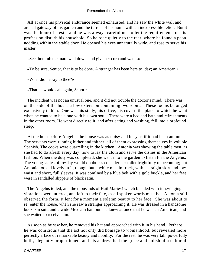All at once his physical endurance seemed exhausted, and he saw the white wall and arched gateway of his garden and the turrets of his home with an inexpressible relief. But it was the hour of siesta, and he was always careful not to let the requirements of his profession disturb his household. So he rode quietly to the rear, where he found a peon nodding within the stable door. He opened his eyes unnaturally wide, and rose to serve his master.

«See thou rub the mare well down, and give her corn and water.»

«To be sure, Senior, that is to be done. A stranger has been here to−day; an American.»

«What did he say to thee?»

«That he would call again, Senor.»

 The incident was not an unusual one, and it did not trouble the doctor's mind. There was on the side of the house a low extension containing two rooms. These rooms belonged exclusively to him. One was his study, his office, his covert, the place to which he went when he wanted to be alone with his own soul. There were a bed and bath and refreshments in the other room. He went directly to it, and after eating and washing, fell into a profound sleep.

 At the hour before Angelus the house was as noisy and busy as if it had been an inn. The servants were running hither and thither, all of them expressing themselves in voluble Spanish. The cooks were quarrelling in the kitchen. Antonia was showing the table men, as she had to do afresh every day, how to lay the cloth and serve the dishes in the American fashion. When the duty was completed, she went into the garden to listen for the Angelus. The young ladies of to−day would doubtless consider her toilet frightfully unbecoming; but Antonia looked lovely in it, though but a white muslin frock, with a straight skirt and low waist and short, full sleeves. It was confined by a blue belt with a gold buckle, and her feet were in sandalled slippers of black satin.

 The Angelus tolled, and the thousands of Hail Maries! which blended with its swinging vibrations were uttered, and left to their fate, as all spoken words must be. Antonia still observed the form. It lent for a moment a solemn beauty to her face. She was about to re−enter the house, when she saw a stranger approaching it. He was dressed in a handsome buckskin suit, and a wide Mexican hat, but she knew at once that he was an American, and she waited to receive him.

 As soon as he saw her, he removed his hat and approached with it in his hand. Perhaps he was conscious that the act not only did homage to womanhood, but revealed more perfectly a face of remarkable beauty and nobility. For the rest, he was very tall, powerfully built, elegantly proportioned, and his address had the grace and polish of a cultured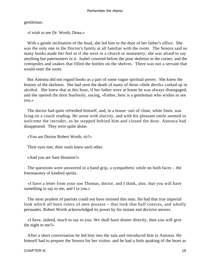gentleman.

«I wish to see Dr. Worth, Dona.»

 With a gentle inclination of the head, she led him to the door of her father's office. She was the only one in the Doctor's family at all familiar with the room. The Senora said so many books made her feel as if she were in a church or monastery; she was afraid to say anything but paternosters in it. Isabel cowered before the poor skeleton in the corner, and the centipedes and snakes that filled the bottles on the shelves. There was not a servant that would enter the room.

 But Antonia did not regard books as a part of some vague spiritual power. She knew the history of the skeleton. She had seen the death of many of those «little devils» corked up in alcohol. She knew that at this hour, if her father were at home he was always disengaged, and she opened the door fearlessly, saying, «Father, here is a gentleman who wishes to see you.»

 The doctor had quite refreshed himself, and, in a house−suit of clean, white linen, was lying on a couch reading. He arose with alacrity, and with his pleasant smile seemed to welcome the intruder, as he stepped behind him and closed the door. Antonia had disappeared. They were quite alone.

«You are Doctor Robert Worth, sir?»

Their eyes met, their souls knew each other.

«And you are Sam Houston?»

 The questions were answered in a hand grip, a sympathetic smile on both faces – the freemasonry of kindred spirits.

 «I have a letter from your son Thomas, doctor, and I think, also, that you will have something to say to me, and I to you.»

 The most prudent of patriots could not have resisted this man. He had that true imperial look which all born rulers of men possess – that look that half coerces, and wholly persuades. Robert Worth acknowledged its power by his instant and decisive answer.

 «I have, indeed, much to say to you. We shall have dinner directly, then you will give the night to me?»

 After a short conversation he led him into the sala and introduced him to Antonia. He himself had to prepare the Senora for her visitor, and he had a little quaking of the heart as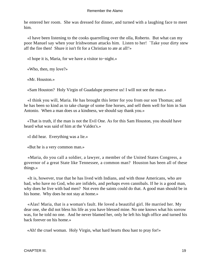he entered her room. She was dressed for dinner, and turned with a laughing face to meet him.

 «I have been listening to the cooks quarrelling over the olla, Roberto. But what can my poor Manuel say when your Irishwoman attacks him. Listen to her! `Take your dirty stew aff the fire then! Shure it isn't fit for a Christian to ate at all!'»

«I hope it is, Maria, for we have a visitor to−night.»

«Who, then, my love?»

«Mr. Houston.»

«Sam Houston? Holy Virgin of Guadalupe preserve us! I will not see the man.»

 «I think you will, Maria. He has brought this letter for you from our son Thomas; and he has been so kind as to take charge of some fine horses, and sell them well for him in San Antonio. When a man does us a kindness, we should say thank you.»

 «That is truth, if the man is not the Evil One. As for this Sam Houston, you should have heard what was said of him at the Valdez's.»

«I did hear. Everything was a lie.»

«But he is a very common man.»

 «Maria, do you call a soldier, a lawyer, a member of the United States Congress, a governor of a great State like Tennessee, a common man? Houston has been all of these things.»

 «It is, however, true that he has lived with Indians, and with those Americans, who are bad, who have no God, who are infidels, and perhaps even cannibals. If he is a good man, why does he live with bad men? Not even the saints could do that. A good man should be in his home. Why does he not stay at home.»

 «Alas! Maria, that is a woman's fault. He loved a beautiful girl. He married her. My dear one, she did not bless his life as you have blessed mine. No one knows what his sorrow was, for he told no one. And he never blamed her, only he left his high office and turned his back forever on his home.»

«Ah! the cruel woman. Holy Virgin, what hard hearts thou hast to pray for!»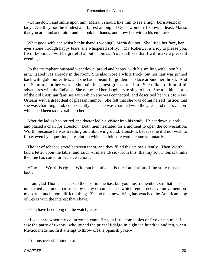«Come down and smile upon him, Maria. I should like him to see a high−born Mexican lady. Are they not the kindest and fairest among all God's women? I know, at least, Maria, that you are kind and fair»; and he took her hands, and drew her within his embrace.

 What good wife can resist her husband's wooing? Maria did not. She lifted her face, her eyes shone through happy tears, she whispered softly: «My Robert, it is a joy to please you. I will be kind; I will be grateful about Thomas. You shall see that I will make a pleasant evening.»

 So the triumphant husband went down, proud and happy, with his smiling wife upon his arm. Isabel was already in the room. She also wore a white frock, but her hair was pinned back with gold butterflies, and she had a beautiful golden necklace around her throat. And the Senora kept her word. She paid her guest great attention. She talked to him of his adventures with the Indians. She requested her daughters to sing to him. She told him stories of the old Castilian families with which she was connected, and described her visit to New Orleans with a great deal of pleasant humor. She felt that she was doing herself justice; that she was charming; and, consequently, she also was charmed with the guest and the occasion which had been so favorable to her.

 After the ladies had retired, the doctor led his visitor into his study. He sat down silently and placed a chair for Houston. Both men hesitated for a moment to open the conversation. Worth, because he was treading on unknown ground; Houston, because he did not wish to force, even by a question, a resolution which he felt sure would come voluntarily.

 The jar of tobacco stood between them, and they filled their pipes silently. Then Worth laid a letter upon the table, and said: «I unstand{sic} from this, that my son Thomas thinks the time has come for decisive action.»

 «Thomas Worth is right. With such souls as his the foundation of the state must be laid.»

 «I am glad Thomas has taken the position he has; but you must remember, sir, that he is unmarried and unembarrassed by many circumstances which render decisive movement on my part a much more difficult thing. Yet no man now living has watched the Americanizing of Texas with the interest that I have.»

«You have been long on the watch, sir.»

 «I was here when my countrymen came first, in little companies of five or ten men. I saw the party of twenty, who joined the priest Hidalgo in eighteen hundred and ten, when Mexico made her first attempt to throw off the Spanish yoke.»

«An unsuccessful attempt.»

CHAPTER III. 20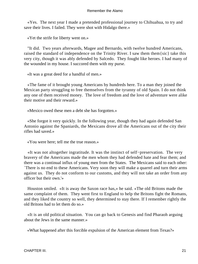«Yes. The next year I made a pretended professional journey to Chihuahua, to try and save their lives. I failed. They were shot with Hidalgo there.»

«Yet the strife for liberty went on.»

 "It did. Two years afterwards, Magee and Bernardo, with twelve hundred Americans, raised the standard of independence on the Trinity River. I saw them them{sic} take this very city, though it was ably defended by Salcedo. They fought like heroes. I had many of the wounded in my house. I succored them with my purse.

«It was a great deed for a handful of men.»

 «The fame of it brought young Americans by hundreds here. To a man they joined the Mexican party struggling to free themselves from the tyranny of old Spain. I do not think any one of them received money. The love of freedom and the love of adventure were alike their motive and their reward.»

«Mexico owed these men a debt she has forgotten.»

 «She forgot it very quickly. In the following year, though they had again defended San Antonio against the Spaniards, the Mexicans drove all the Americans out of the city their rifles had saved.»

«You were here; tell me the true reason.»

 «It was not altogether ingratitude. It was the instinct of self−preservation. The very bravery of the Americans made the men whom they had defended hate and fear them; and there was a continual influx of young men from the States. The Mexicans said to each other: `There is no end to these Americans. Very soon they will make a quarrel and turn their arms against us. They do not conform to our customs, and they will not take an order from any officer but their own.'»

 Houston smiled. «It is away the Saxon race has,» he said. «The old Britons made the same complaint of them. They went first to England to help the Britons fight the Romans, and they liked the country so well, they determined to stay there. If I remember rightly the old Britons had to let them do so.»

 «It is an old political situation. You can go back to Genesis and find Pharaoh arguing about the Jews in the same manner.»

«What happened after this forcible expulsion of the American element from Texas?»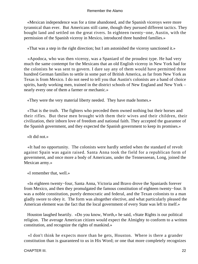«Mexican independence was for a time abandoned, and the Spanish viceroys were more tyrannical than ever. But Americans still came, though they pursued different tactics. They bought land and settled on the great rivers. In eighteen twenty−one, Austin, with the permission of the Spanish viceroy in Mexico, introduced three hundred families.»

«That was a step in the right direction; but I am astonished the viceroy sanctioned it.»

 «Apodoca, who was then viceroy, was a Spaniard of the proudest type. He had very much the same contempt for the Mexicans that an old English viceroy in New York had for the colonists he was sent to govern. I dare say any of them would have permitted three hundred German families to settle in some part of British America, as far from New York as Texas is from Mexico. I do not need to tell you that Austin's colonists are a band of choice spirits, hardy working men, trained in the district schools of New England and New York – nearly every one of them a farmer or mechanic.»

«They were the very material liberty needed. They have made homes.»

 «That is the truth. The fighters who preceded them owned nothing but their horses and their rifles. But these men brought with them their wives and their children, their civilization, their inborn love of freedom and national faith. They accepted the guarantee of the Spanish government, and they expected the Spanish government to keep its promises.»

«It did not.»

 «It had no opportunity. The colonists were hardly settled when the standard of revolt against Spain was again raised. Santa Anna took the field for a republican form of government, and once more a body of Americans, under the Tennesseean, Long, joined the Mexican army.»

«I remember that, well.»

 «In eighteen twenty−four, Santa Anna, Victoria and Bravo drove the Spaniards forever from Mexico, and then they promulgated the famous constitution of eighteen twenty−four. It was a noble constitution, purely democratic and federal, and the Texan colonists to a man gladly swore to obey it. The form was altogether elective, and what particularly pleased the American element was the fact that the local government of every State was left to itself.»

 Houston laughed heartily. «Do you know, Worth,» he said, «State Rights is our political religion. The average American citizen would expect the Almighty to conform to a written constitution, and recognize the rights of mankind.»

 «I don't think he expects more than he gets, Houston. Where is there a grander constitution than is guaranteed to us in His Word; or one that more completely recognizes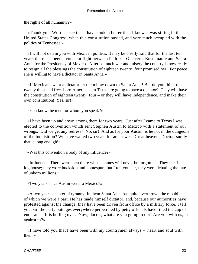the rights of all humanity?»

 «Thank you, Worth. I see that I have spoken better than I knew. I was sitting in the United States Congress, when this constitution passed, and very much occupied with the politics of Tennessee.»

 «I will not detain you with Mexican politics. It may be briefly said that for the last ten years there has been a constant fight between Pedraza, Guerrero, Bustamante and Santa Anna for the Presidency of Mexico. After so much war and misery the country is now ready to resign all the blessings the constitution of eighteen twenty−four promised her. For peace she is willing to have a dictator in Santa Anna.»

 «If Mexicans want a dictator let them bow down to Santa Anna! But do you think the twenty thousand free−born Americans in Texas are going to have a dictator? They will have the constitution of eighteen twenty−four – or they will have independence, and make their own constitution! Yes, sir!»

«You know the men for whom you speak?»

 «I have been up and down among them for two years. Just after I came to Texas I was elected to the convention which sent Stephen Austin to Mexico with a statement of our wrongs. Did we get any redress? No, sir! And as for poor Austin, is he not in the dungeons of the Inquisition? We have waited two years for an answer. Great heavens Doctor, surely that is long enough!»

«Was this convention a body of any influence?»

 «Influence! There were men there whose names will never be forgotten. They met in a log house; they wore buckskin and homespun; but I tell you, sir, they were debating the fate of unborn millions.»

«Two years since Austin went to Mexico?»

 «A two years' chapter of tyranny. In them Santa Anna has quite overthrown the republic of which we were a part. He has made himself dictator. and, because our authorities have protested against the change, they have been driven from office by a military force. I tell you, sir, the petty outrages everywhere perpetrated by petty officials have filled the cup of endurance. It is boiling over. Now, doctor, what are you going to do? Are you with us, or against us?»

 «I have told you that I have been with my countrymen always – heart and soul with them.»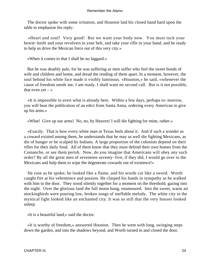The doctor spoke with some irritation, and Houston laid his closed hand hard upon the table to emphasize his reply:

 «Heart and soul! Very good! But we want your body now. You must tuck your bowie−knife and your revolvers in your belt, and take your rifle in your hand, and be ready to help us drive the Mexican force out of this very city.»

«When it comes to that I shall be no laggard.»

 But he was deathly pale, for he was suffering as men suffer who feel the sweet bonds of wife and children and home, and dread the rending of them apart. In a moment, however, the soul behind his white face made it visibly luminous. «Houston,» he said, «whenever the cause of freedom needs me, I am ready. I shall want no second call. But is it not possible, that even yet  $-\infty$ 

 «It is impossible to avert what is already here. Within a few days, perhaps to−morrow, you will hear the publication of an edict from Santa Anna, ordering every American to give up his arms.»

«What! Give up our arms! No, no, by Heaven! I will die fighting for mine, rather.»

 «Exactly. That is how every white man in Texas feels about it. And if such a wonder as a coward existed among them, he understands that he may as well die fighting Mexicans, as die of hunger or be scalped by Indians. A large proportion of the colonists depend on their rifles for their daily food. All of them know that they must defend their own homes from the Comanche, or see them perish. Now, do you imagine that Americans will obey any such order? By all the great men of seventeen seventy−five, if they did, I would go over to the Mexicans and help them to wipe the degenerate cowards out of existence!»

 He rose as he spoke; he looked like a flame, and his words cut like a sword. Worth caught fire at his vehemence and passion. He clasped his hands in sympathy as he walked with him to the door. They stood silently together for a moment on the threshold, gazing into the night. Over the glorious land the full moon hung, enamoured. Into the sweet, warm air mockingbirds were pouring low, broken songs of ineffable melody. The white city in the mystical light looked like an enchanted city. It was so still that the very houses looked asleep.

«It is a beautiful land,» said the doctor.

 «It is worthy of freedom,» answered Houston. Then he went with long, swinging steps down the garden, and into the shadows beyond, and Worth turned in and closed the door.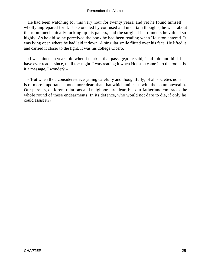He had been watching for this very hour for twenty years; and yet he found himself wholly unprepared for it. Like one led by confused and uncertain thoughts, he went about the room mechanically locking up his papers, and the surgical instruments he valued so highly. As he did so he perceived the book he had been reading when Houston entered. It was lying open where he had laid it down. A singular smile flitted over his face. He lifted it and carried it closer to the light. It was his college Cicero.

 «I was nineteen years old when I marked that passage,» he said; "and I do not think I have ever read it since, until to− night. I was reading it when Houston came into the room. Is it a message, I wonder? –

 «`But when thou considerest everything carefully and thoughtfully; of all societies none is of more importance, none more dear, than that which unites us with the commonwealth. Our parents, children, relations and neighbors are dear, but our fatherland embraces the whole round of these endearments. In its defence, who would not dare to die, if only he could assist it?»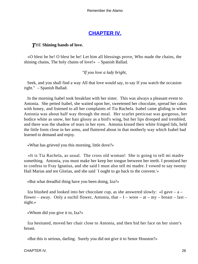# **[CHAPTER IV.](#page-189-0)**

# *T*HE **Shining bands of love.**

 «O blest be he! O blest be he! Let him all blessings prove, Who made the chains, the shining chains, The holy chains of love!» – Spanish Ballad.

*"If you love a lady bright,* 

 Seek, and you shall find a way All that love would say, to say If you watch the occasion right." – Spanish Ballad.

 In the morning Isabel took breakfast with her sister. This was always a pleasant event to Antonia. She petted Isabel, she waited upon her, sweetened her chocolate, spread her cakes with honey, and listened to all her complaints of Tia Rachela. Isabel came gliding in when Antonia was about half way through the meal. Her scarlet petticoat was gorgeous, her bodice white as snow, her hair glossy as a bird's wing, but her lips drooped and trembled, and there was the shadow of tears in her eyes. Antonia kissed their white fringed lids, held the little form close in her arms, and fluttered about in that motherly way which Isabel had learned to demand and enjoy.

«What has grieved you this morning, little dove?»

 «It is Tia Rachela, as usual. The cross old woman! She is going to tell mi madre something. Antonia, you must make her keep her tongue between her teeth. I promised her to confess to Fray Ignatius, and she said I must also tell mi madre. I vowed to say twenty Hail Marias and ten Glorias, and she said `I ought to go back to the convent.'»

«But what dreadful thing have you been doing, Iza?»

Iza blushed and looked into her chocolate cup, as she answered slowly:  $\ll I$  gave – a – flower – away. Only a suchil flower, Antonia, that  $-I$  – wore – at – my – breast – last – night.»

«Whom did you give it to, Iza?»

 Iza hesitated, moved her chair close to Antonia, and then hid her face on her sister's breast.

«But this is serious, darling. Surely you did not give it to Senor Houston?»

CHAPTER IV. 26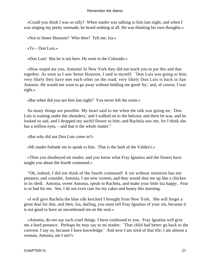«Could you think I was so silly? When madre was talking to him last night, and when I was singing my pretty serenade, he heard nothing at all. He was thinking his own thoughts.»

«Not to Senor Houston? Who then? Tell me, Iza.»

 $\angle$ To – Don Luis.»

«Don Luis! But he is not here. He went to the Colorado.»

 «How stupid are you, Antonia! In New York they did not teach you to put this and that together. As soon as I saw Senor Houston, I said to myself: `Don Luis was going to him; very likely they have met each other on the road; very likely Don Luis is back in San Antonio. He would not want to go away without bidding me good−by,' and, of course, I was right.»

«But when did you see him last night? You never left the room.»

 So many things are possible. My heart said to me when the talk was going on, `Don Luis is waiting under the oleanders,' and I walked on to the balcony and there he was, and he looked so sad, and I dropped my suchil flower to him; and Rachela saw me, for I think she has a million eyes, – and that is the whole matter."

«But why did not Don Luis come in?»

«Mi madre forbade me to speak to him. That is the fault of the Valdez's.»

 «Then you disobeyed mi madre, and you know what Fray Ignatius and the Sisters have taught you about the fourth command.»

 "Oh, indeed, I did not think of the fourth command! A sin without intention has not penance; and consider, Antonia, I am now sixteen, and they would shut me up like a chicken in its shell. Antonia, sweet Antonia, speak to Rachela, and make your little Iza happy. Fear is so bad for me. See, I do not even care for my cakes and honey this morning.

 «I will give Rachela the blue silk kerchief I brought from New York. She will forget a great deal for that, and then, Iza, darling, you must tell Fray Ignatius of your sin, because it is not good to have an unconfessed sin on the soul.»

 «Antonia, do not say such cruel things. I have confessed to you. Fray Ignatius will give me a hard penance. Perhaps he may say to mi madre: `That child had better go back to the convent. I say so, because I have knowledge.' And now I am tired of that life; I am almost a woman, Antonia, am I not?»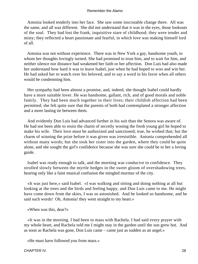Antonia looked tenderly into her face. She saw some inscrutable change there. All was the same, and all was different. She did not understand that it was in the eyes, those lookouts of the soul. They had lost the frank, inquisitive stare of childhood; they were tender and misty; they reflected a heart passionate and fearful, in which love was making himself lord of all.

 Antonia was not without experience. There was in New York a gay, handsome youth, to whom her thoughts lovingly turned. She had promised to trust him, and to wait for him, and neither silence nor distance had weakened her faith or her affection. Don Luis had also made her understand how hard it was to leave Isabel, just when he had hoped to woo and win her. He had asked her to watch over his beloved, and to say a word in his favor when all others would be condemning him.

 Her sympathy had been almost a promise, and, indeed, she thought Isabel could hardly have a more suitable lover. He was handsome, gallant, rich, and of good morals and noble family. They had been much together in their lives; their childish affection had been permitted; she felt quite sure that the parents of both had contemplated a stronger affection and a more lasting tie between them.

 And evidently Don Luis had advanced further in his suit than the Senora was aware of. He had not been able to resist the charm of secretly wooing the fresh young girl he hoped to make his wife. Their love must be authorized and sanctioned; true, he wished that; but the charm of winning the prize before it was given was irresistible. Antonia comprehended all without many words; but she took her sister into the garden, where they could be quite alone, and she sought the girl's confidence because she was sure she could be to her a loving guide.

 Isabel was ready enough to talk, and the morning was conducive to confidence. They strolled slowly between the myrtle hedges in the sweet gloom of overshadowing trees, hearing only like a faint musical confusion the mingled murmur of the city.

 «It was just here,» said Isabel. «I was walking and sitting and doing nothing at all but looking at the trees and the birds and feeling happy, and Don Luis came to me. He might have come down from the skies, I was so astonished. And he looked so handsome, and he said such words! Oh, Antonia! they went straight to my heart.»

«When was this, dear?»

 «It was in the morning. I had been to mass with Rachela. I had said every prayer with my whole heart, and Rachela told me I might stay in the garden until the sun grew hot. And as soon as Rachela was gone, Don Luis came – came just as sudden as an angel.»

«He must have followed you from mass.»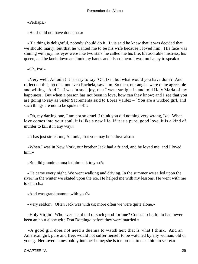«Perhaps.»

«He should not have done that.»

 «If a thing is delightful, nobody should do it. Luis said he knew that it was decided that we should marry, but that he wanted me to be his wife because I loved him. His face was shining with joy, his eyes were like two stars, he called me his life, his adorable mistress, his queen, and he knelt down and took my hands and kissed them. I was too happy to speak.»

«Oh, Iza!»

 «Very well, Antonia! It is easy to say `Oh, Iza'; but what would you have done? And reflect on this; no one, not even Rachela, saw him. So then, our angels were quite agreeable and willing. And  $I - I$  was in such joy, that I went straight in and told Holy Maria of my happiness. But when a person has not been in love, how can they know; and I see that you are going to say as Sister Sacrementa said to Lores Valdez – `You are a wicked girl, and such things are not to be spoken of!'»

 «Oh, my darling one, I am not so cruel. I think you did nothing very wrong, Iza. When love comes into your soul, it is like a new life. If it is a pure, good love, it is a kind of murder to kill it in any way.»

«It has just struck me, Antonia, that you may be in love also.»

 «When I was in New York, our brother Jack had a friend, and he loved me, and I loved him.»

«But did grandmamma let him talk to you?»

 «He came every night. We went walking and driving. In the summer we sailed upon the river; in the winter we skated upon the ice. He helped me with my lessons. He went with me to church.»

«And was grandmamma with you?»

«Very seldom. Often Jack was with us; more often we were quite alone.»

 «Holy Virgin! Who ever heard tell of such good fortune? Consuelo Ladrello had never been an hour alone with Don Domingo before they were married.»

 «A good girl does not need a duenna to watch her; that is what I think. And an American girl, pure and free, would not suffer herself to be watched by any woman, old or young. Her lover comes boldly into her home; she is too proud, to meet him in secret.»

CHAPTER IV. 29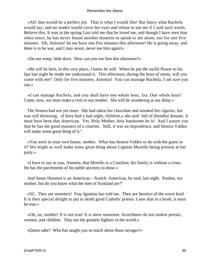«Ah! that would be a perfect joy. That is what I would like! But fancy what Rachela would say; and mi madre would cover her eyes and refuse to see me if I said such words. Believe this. It was in the spring Luis told me that he loved me, and though I have seen him often since, he has never found another moment to speak to me alone, not for one five minutes. Oh, Antonia! let me have one five minutes this afternoon! He is going away, and there is to be war, and I may never, never see him again!»

«Do not weep, little dove. How can you see him this afternoon?»

 «He will be here, in this very place, I know he will. When he put the suchil flower to his lips last night he made me understand it. This afternoon, during the hour of siesta, will you come with me? Only for five minutes, Antonia! You can manage Rachela, I am sure you can.»

 «I can manage Rachela, and you shall have one whole hour, Iza. One whole hour! Come, now, we must make a visit to our mother. She will be wondering at our delay.»

 The Senora had not yet risen. She had taken her chocolate and smoked her cigarito, but was still drowsing. «I have had a bad night, children,» she said full of dreadful dreams. It must have been that American. Yet, Holy Mother, how handsome he is! And I assure you that he has the good manners of a courtier. Still, it was an imprudence, and Senora Valdez will make some great thing of it."

 «You were in your own house, mother. What has Senora Valdez to do with the guest in it? We might as well make some great thing about Captain Morello being present at her party.»

 «I have to say to you, Antonia, that Morello is a Castilian; his family is without a cross. He has the parchments of his noble ancestry to show.»

 And Senor Houston is an American – Scotch−American, he said, last night. Pardon, my mother, but do you know what the men of Scotland are?"

 «Si!, They are monsters! Fray Ignatius has told me. They are heretics of the worst kind. It is their special delight to put to death good Catholic priests. I saw that in a book; it must be true.»

 «Oh, no, mother! It is not true! It is mere nonsense. Scotchmen do not molest priests, women, and children. They are the greatest fighters in the world.»

«Quien sabe? Who has taught you so much about these savages?»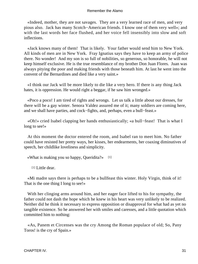«Indeed, mother, they are not savages. They are a very learned race of men, and very pious also. Jack has many Scotch−American friends. I know one of them very well»; and with the last words her face flushed, and her voice fell insensibly into slow and soft inflections.

 «Jack knows many of them! That is likely. Your father would send him to New York. All kinds of men are in New York. Fray Ignatius says they have to keep an army of police there. No wonder! And my son is so full of nobilities, so generous, so honorable, he will not keep himself exclusive. He is the true resemblance of my brother Don Juan Flores. Juan was always pitying the poor and making friends with those beneath him. At last he went into the convent of the Bernardines and died like a very saint.»

 «I think our Jack will be more likely to die like a very hero. If there is any thing Jack hates, it is oppression. He would right a beggar, if he saw him wronged.»

 «Poco a poco! I am tired of rights and wrongs. Let us talk a little about our dresses, for there will be a gay winter. Senora Valdez assured me of it; many soldiers are coming here, and we shall have parties, and cock−fights, and, perhaps, even a bull−feast.»

 «Oh!» cried Isabel clapping her hands enthusiastically; «a bull−feast! That is what I long to see!»

 At this moment the doctor entered the room, and Isabel ran to meet him. No father could have resisted her pretty ways, her kisses, her endearments, her coaxing diminutives of speech, her childlike loveliness and simplicity.

«What is making you so happy, Queridita?» [1]

[1] Little dear.

 «Mi madre says there is perhaps to be a bullfeast this winter. Holy Virgin, think of it! That is the one thing I long to see!»

 With her clinging arms around him, and her eager face lifted to his for sympathy, the father could not dash the hope which he knew in his heart was very unlikely to be realized. Neither did he think it necessary to express opposition or disapproval for what had as yet no tangible existence. So he answered her with smiles and caresses, and a little quotation which committed him to nothing:

 «As, Panem et Circenses was the cry Among the Roman populace of old; So, Pany Toros! is the cry of Spain.»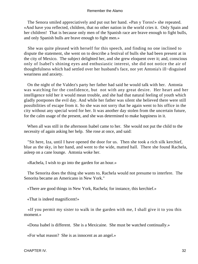The Senora smiled appreciatively and put out her hand. «Pan y Toros!» she repeated. «And have you reflected, children, that no other nation in the world cries it. Only Spain and her children! That is because only men of the Spanish race are brave enough to fight bulls, and only Spanish bulls are brave enough to fight men.»

 She was quite pleased with herself for this speech, and finding no one inclined to dispute the statement, she went on to describe a festival of bulls she had been present at in the city of Mexico. The subject delighted her, and she grew eloquent over it; and, conscious only of Isabel's shining eyes and enthusiastic interest, she did not notice the air of thoughtfulness which had settled over her husband's face, nor yet Antonia's ill−disguised weariness and anxiety.

 On the night of the Valdez's party her father had said he would talk with her. Antonia was watching for the confidence, but not with any great desire. Her heart and her intelligence told her it would mean trouble, and she had that natural feeling of youth which gladly postpones the evil day. And while her father was silent she believed there were still possibilities of escape from it. So she was not sorry that he again went to his office in the city without any special word for her. It was another day stolen from the uncertain future, for the calm usage of the present, and she was determined to make happiness in it.

 When all was still in the afternoon Isabel came to her. She would not put the child to the necessity of again asking her help. She rose at once, and said:

 "Sit here, Iza, until I have opened the door for us. Then she took a rich silk kerchief, blue as the sky, in her hand, and went to the wide, matted hall. There she found Rachela, asleep on a cane lounge. Antonia woke her.

«Rachela, I wish to go into the garden for an hour.»

 The Senorita does the thing she wants to, Rachela would not presume to interfere. The Senorita became an Americano in New York."

«There are good things in New York, Rachela; for instance, this kerchief.»

«That is indeed magnificent!»

 «If you permit my sister to walk in the garden with me, I shall give it to you this moment.»

«Dona Isabel is different. She is a Mexicaine. She must be watched continually.»

«For what reason? She is as innocent as an angel.»

CHAPTER IV. 32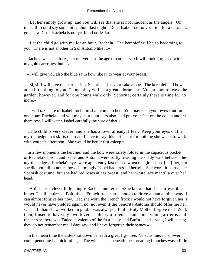«Let her simply grow up, and you will see that she is not innocent as the angels. Oh, indeed! I could say something about last night! Dona Isabel has no vocation for a nun; but, gracias a Dios! Rachela is not yet blind or deaf.»

 «Let the child go with me for an hour, Rachela. The kerchief will be so becoming to you. There is not another in San Antonio like it.»

 Rachela was past forty, but not yet past the age of coquetry. «It will look gorgeous with my gold ear−rings, but – »

«I will give you also the blue satin bow like it, to wear at your breast.»

 «Si, si! I will give the permission, Senorita – for your sake alone. The kerchief and bow are a little thing to you. To me, they will be a great adornment. You are not to leave the garden, however, and for one hour's walk only, Senorita; certainly there is time for no more.»

 «I will take care of Isabel; no harm shall come to her. You may keep your eyes shut for one hour, Rachela, and you may shut your ears also, and put your feet on the couch and let them rest. I will watch Isabel carefully, be sure of that.»

 «The child is very clever, and she has a lover already, I fear. Keep your eyes on the myrtle hedge that skirts the road. I have to say this – it is not for nothing she wants to walk with you this afternoon. She would be better fast asleep.»

 In a few moments the kerchief and the bow were safely folded in the capacious pocket of Rachela's apron, and Isabel and Antonia were softly treading the shady walk between the myrtle hedges. Rachela's eyes were apparently fast closed when the girls pased{sic} her, but she did not fail to notice how charmingly Isabel had dressed herself. She wore, it is true, her Spanish costume; but she had red roses at her breast, and her white lace mantilla over her head.

 «Ah! she is a clever little thing!» Rachela muttered. «She knows that she is irresistible in her Castilian dress. Bah! those French frocks are enough to drive a man a mile away. I can almost forgive her now. Had she worn the French frock I would not have forgiven her. I would never have yielded again, no, not even if the Senorita Antonia should offer me her scarlet Indian shawl worked in gold. I was always a fool – Holy Mother forgive me! Well, then; I used to have my own lovers – plenty of them – handsome young arrieros and rancheros: there was Tadeo, a valento of the first class: and Buffa – and – well, I will sleep; they do not remember me, I dare say; and I have forgotten their names.»

 In the mean time the sisters sat down beneath a great fig− tree. No sunshine, no shower, could penetrate its thick foliage. The wide space beneath the spreading branches was a little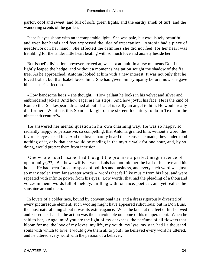parlor, cool and sweet, and full of soft, green lights, and the earthy smell of turf, and the wandering scents of the garden.

 Isabel's eyes shone with an incomparable light. She was pale, but exquisitely beautiful, and even her hands and feet expressed the idea of expectation. Antonia had a piece of needlework in her hand. She affected the calmness she did not feel, for her heart was trembling for the tender little heart beating with so much love and anxiety beside her.

 But Isabel's divination, however arrived at, was not at fault. In a few moments Don Luis lightly leaped the hedge, and without a moment's hesitation sought the shadow of the fig− tree. As he approached, Antonia looked at him with a new interest. It was not only that he loved Isabel, but that Isabel loved him. She had given him sympathy before, now she gave him a sister's affection.

 «How handsome he is!» she thought. «How gallant he looks in his velvet and silver and embroidered jacket! And how eager are his steps! And how joyful his face! He is the kind of Romeo that Shakespeare dreamed about! Isabel is really an angel to him. He would really die for her. What has this Spanish knight of the sixteenth century to do in Texas in the nineteenth century?»

 He answered her mental question in his own charming way. He was so happy, so radiantly happy, so persuasive, so compelling, that Antonia granted him, without a word, the favor his eyes asked for. And the lovers hardly heard the excuse she made; they understood nothing of it, only that she would be reading in the myrtle walk for one hour, and, by so doing, would protect them from intrusion.

 One whole hour! Isabel had thought the promise a perfect magnificence of opportunity{.??} But how swiftly it went. Luis had not told her the half of his love and his hopes. He had been forced to speak of politics and business, and every such word was just so many stolen from far sweeter words – words that fell like music from his lips, and were repeated with infinite power from his eyes. Low words, that had the pleading of a thousand voices in them; words full of melody, thrilling with romance; poetical, and yet real as the sunshine around them.

 In lovers of a colder race, bound by conventional ties, and a dress rigorously divested of every picturesque element, such wooing might have appeared ridiculous; but in Don Luis, the most natural thing about it was its extravagance. When he knelt at the feet of his beloved and kissed her hands, the action was the unavoidable outcome of his temperament. When he said to her, «Angel mio! you are the light of my darkness, the perfume of all flowers that bloom for me, the love of my loves, my life, my youth, my lyre, my star, had I a thousand souls with which to love, I would give them all to you!» he believed every word he uttered, and he uttered every word with the passion of a believer.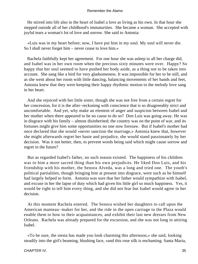He stirred into life also in the heart of Isabel a love as living as his own. In that hour she stepped outside all of her childhood's immaturities. She became a woman. She accepted with joyful tears a woman's lot of love and sorrow. She said to Antonia:

 «Luis was in my heart before; now, I have put him in my soul. My soul will never die. So I shall never forget him – never cease to love him.»

 Rachela faithfully kept her agreement. For one hour she was asleep to all her charge did, and Isabel was in her own room when the precious sixty minutes were over. Happy? So happy that her soul seemed to have pushed her body aside, as a thing not to be taken into account. She sang like a bird for very gladsomeness. It was impossible for her to be still, and as she went about her room with little dancing, balancing movements of her hands and feet, Antonia knew that they were keeping their happy rhythmic motion to the melody love sang in her heart.

 And she rejoiced with her little sister, though she was not free from a certain regret for her concession, for it is the after−reckoning with conscience that is so disagreeably strict and uncomfortable. And yet, why make an element of anger and suspicion between Isabel and her mother when there appeared to be no cause to do so? Don Luis was going away. He was in disgrace with his family – almost disinherited; the country was on the point of war, and its fortunes might give him some opportunities no one now foresaw. But if Isabel's mother had once declared that she would «never sanction the marriage,» Antonia knew that, however she might afterwards regret her haste and prejudice, she would stand passionately by her decision. Was it not better, then, to prevent words being said which might cause sorrow and regret in the future?

 But as regarded Isabel's father, no such reason existed. The happiness of his children was to him a more sacred thing than his own prejudices. He liked Don Luis, and his friendship with his mother, the Senora Alveda, was a long and tried one. The youth's political partialities, though bringing him at present into disgrace, were such as he himself had largely helped to form. Antonia was sure that her father would sympathize with Isabel, and excuse in her the lapse of duty which had given his little girl so much happiness. Yes, it would be right to tell him every thing, and she did not fear but Isabel would agree in her decision.

 At this moment Rachela entered. The Senora wished her daughters to call upon the American manteau−maker for her, and the ride in the open carriage to the Plaza would enable them to bow to their acquaintances, and exhibit their last new dresses from New Orleans. Rachela was already prepared for the excursion, and she was not long in attiring Isabel.

 «To be sure, the siesta has made you look charming this afternoon,» she said, looking steadily into the girl's beaming, blushing face, «and this rose silk is enchanting. Santa Maria,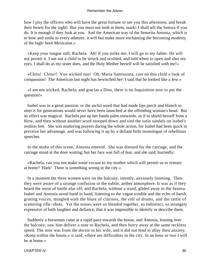how I pity the officers who will have the great fortune to see you this afternoon, and break their hearts for the sight! But you must not look at them, mark! I shall tell the Senora if you do. It is enough if they look at you. And the American way of the Senorita Antonia, which is to bow and smile to every admirer, it will but make more enchanting the becoming modesty of the high−born Mexicaine.»

 «Keep your tongue still, Rachela. Ah! if you strike me, I will go to my father. He will not permit it. I am not a child to be struck and scolded, and told when to open and shut my eyes. I shall do as my sister does, and the Holy Mother herself will be satisfied with me!»

 «Chito! Chito!! You wicked one! Oh, Maria Santissima, cast on this child a look of compassion! The American last night has bewitched her! I said that he looked like a Jew.»

 «I am not wicked, Rachela; and gracias a Dios, there is no Inquisition now to put the question!»

 Isabel was in a great passion, or the awful word that had made lips parch and blanch to utter it for generations would never have been launched at the offending woman's head. But its effect was magical. Rachela put up her hands palm outwards, as if to shield herself from a blow, and then without another word stooped down and tied the satin sandals on Isabel's restless feet. She was muttering prayers during the whole action, for Isabel had been quick to perceive her advantage, and was following it up by a defiant little monologue of rebellious speeches.

 In the midst of this scene, Antonia entered. She was dressed for the carriage, and the carriage stood at the door waiting; but her face was full of fear, and she said, hurriedly:

 «Rachela, can you not make some excuse to my mother which will permit us to remain at home? Hark! There is something wrong in the city.»

 In a moment the three women were on the balcony, intently, anxiously listening. Then they were aware of a strange confusion in the subtle, amber atmosphere. It was as if they heard the noise of battle afar off; and Rachela, without a word, glided away to the Senora. Isabel and Antonia stood hand in hand, listening to the vague trouble and the echo of harsh, grating voices, mingled with the blare of clarions, the roll of drums, and the rattle of scattering rifle−shots. Yet the noises were so blended together, so indistinct, so strangely expressive of both laughter and defiance, that it was impossible to identify or describe them.

 Suddenly a horseman came at a rapid pace towards the house, and Antonia, leaning over the balcony, saw him deliver a note to Rachela, and then hurry away at the same reckless speed. The note was from the doctor to his wife, and it did not tend to allay their anxiety. «Keep within the house,» it said; «there are difficulties in the city. In an hour or two I will be at home.»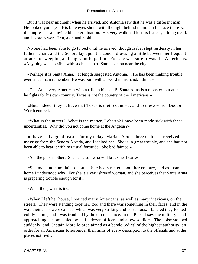But it was near midnight when he arrived, and Antonia saw that he was a different man. He looked younger. His blue eyes shone with the light behind them. On his face there was the impress of an invincible determination. His very walk had lost its listless, gliding tread, and his steps were firm, alert and rapid.

 No one had been able to go to bed until he arrived, though Isabel slept restlessly in her father's chair, and the Senora lay upon the couch, drowsing a little between her frequent attacks of weeping and angry anticipation. For she was sure it was the Americans. «Anything was possible with such a man as Sam Houston near the city.»

 «Perhaps it is Santa Anna,» at length suggested Antonia. «He has been making trouble ever since I can remember. He was born with a sword in his hand, I think.»

 «Ca! And every American with a rifle in his hand! Santa Anna is a monster, but at least he fights for his own country. Texas is not the country of the Americans.»

 «But, indeed, they believe that Texas is their country»; and to these words Doctor Worth entered.

 «What is the matter? What is the matter, Roberto? I have been made sick with these uncertainties. Why did you not come home at the Angelus?»

 «I have had a good reason for my delay, Maria. About three o'clock I received a message from the Senora Alveda, and I visited her. She is in great trouble, and she had not been able to bear it with her usual fortitude. She bad fainted.»

«Ah, the poor mother! She has a son who will break her heart.»

 «She made no complaint of Luis. She is distracted about her country, and as I came home I understood why. For she is a very shrewd woman, and she perceives that Santa Anna is preparing trouble enough for it.»

«Well, then, what is it?»

 «When I left her house, I noticed many Americans, as well as many Mexicans, on the streets. They were standing together, too; and there was something in their faces, and in the way their arms were carried, which was very striking and portentous. I fancied they looked coldly on me, and I was troubled by the circumstance. In the Plaza I saw the military band approaching, accompanied by half a dozen officers and a few soldiers. The noise stopped suddenly, and Captain Morello proclaimed as a bando (edict) of the highest authority, an order for all Americans to surrender their arms of every description to the officials and at the places notified.»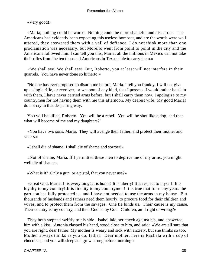«Very good!»

 «Maria, nothing could be worse! Nothing could be more shameful and disastrous. The Americans had evidently been expecting this useless bombast, and ere the words were well uttered, they answered them with a yell of defiance. I do not think more than one proclamation was necessary, but Morello went from point to point in the city and the Americans followed him. I can tell you this, Maria: all the millions in Mexico can not take their rifles from the ten thousand Americans in Texas, able to carry them.»

 «We shall see! We shall see! But, Roberto, you at least will not interfere in their quarrels. You have never done so hitherto.»

 "No one has ever proposed to disarm me before, Maria. I tell you frankly, I will not give up a single rifle, or revolver, or weapon of any kind, that I possess. I would rather be slain with them. I have never carried arms before, but I shall carry them now. I apologize to my countrymen for not having them with me this afternoon. My dearest wife! My good Maria! do not cry in that despairing way.

 You will be killed, Roberto! You will be a rebel! You will be shot like a dog, and then what will become of me and my daughters?"

 «You have two sons, Maria. They will avenge their father, and protect their mother and sisters.»

«I shall die of shame! I shall die of shame and sorrow!»

 «Not of shame, Maria. If I permitted these men to deprive me of my arms, you might well die of shame.»

«What is it? Only a gun, or a pistol, that you never use?»

 «Great God, Maria! It is everything! It is honor! It is liberty! It is respect to myself! It is loyalty to my country! It is fidelity to my countrymen! It is true that for many years the garrison has fully protected us, and I have not needed to use the arms in my house. But thousands of husbands and fathers need them hourly, to procure food for their children and wives, and to protect them from the savages. One tie binds us. Their cause is my cause. Their country is my country, and their God is my God. Children, am I right or wrong?»

 They both stepped swiftly to his side. Isabel laid her cheek against his, and answered him with a kiss. Antonia clasped his hand, stood close to him, and said: «We are all sure that you are right, dear father. My mother is weary and sick with anxiety, but she thinks so too. Mother always thinks as you do, father. Dear mother, here is Rachela with a cup of chocolate, and you will sleep and grow strong before morning.»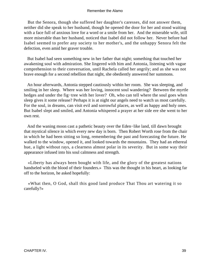But the Senora, though she suffered her daughter's caresses, did not answer them, neither did she speak to her husband, though he opened the door for her and stood waiting with a face full of anxious love for a word or a smile from her. And the miserable wife, still more miserable than her husband, noticed that Isabel did not follow her. Never before had Isabel seemed to prefer any society to her mother's, and the unhappy Senora felt the defection, even amid her graver trouble.

 But Isabel had seen something new in her father that night; something that touched her awakening soul with admiration. She lingered with him and Antonia, listening with vague comprehension to their conversation, until Rachela called her angrily; and as she was not brave enough for a second rebellion that night, she obediently answered her summons.

 An hour afterwards, Antonia stepped cautiously within her room. She was sleeping, and smiling in her sleep. Where was her loving, innocent soul wandering? Between the myrtle hedges and under the fig−tree with her lover? Oh, who can tell where the soul goes when sleep gives it some release? Perhaps it is at night our angels need to watch us most carefully. For the soul, in dreams, can visit evil and sorrowful places, as well as happy and holy ones. But Isabel slept and smiled, and Antonia whispered a prayer at her side ere she went to her own rest.

 And the waning moon cast a pathetic beauty over the Eden−like land, till dawn brought that mystical silence in which every new day is born. Then Robert Worth rose from the chair in which he had been sitting so long, remembering the past and forecasting the future. He walked to the window, opened it, and looked towards the mountains. They had an ethereal hue, a light without rays, a clearness almost polar in its severity. But in some way their appearance infused into his soul calmness and strength.

 «Liberty has always been bought with life, and the glory of the greatest nations handseled with the blood of their founders.» This was the thought in his heart, as looking far off to the horizon, he asked hopefully:

 «What then, O God, shall this good land produce That Thou art watering it so carefully?»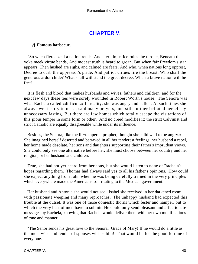# **[CHAPTER V.](#page-189-0)**

## *A* **Famous barbecue.**

 "So when fierce zeal a nation rends, And stern injustice rules the throne, Beneath the yoke meek virtue bends, And modest truth is heard to groan. But when fair Freedom's star appears, Then hushed are sighs, and calmed are fears. And who, when nations long opprest, Decree to curb the oppressor's pride, And patriot virtues fire the breast, Who shall the generous ardor chide? What shall withstand the great decree, When a brave nation will be free?

 It is flesh and blood that makes husbands and wives, fathers and children, and for the next few days these ties were sorely wounded in Robert Worth's house. The Senora was what Rachela called «difficult.» In reality, she was angry and sullen. At such times she always went early to mass, said many prayers, and still further irritated herself by unnecessary fasting. But there are few homes which totally escape the visitations of this`pious temper in some form or other. And no creed modifies it; the strict Calvinist and strict Catholic are equally disagreeable while under its influence.

 Besides, the Senora, like the ill−tempered prophet, thought she «did well to be angry.» She imagined herself deserted and betrayed in all her tenderest feelings, her husband a rebel, her home made desolate, her sons and daughters supporting their father's imprudent views. She could only see one alternative before her; she must choose between her country and her religion, or her husband and children.

 True, she had not yet heard from her sons, but she would listen to none of Rachela's hopes regarding them. Thomas had always said yes to all his father's opinions. How could she expect anything from John when he was being carefully trained in the very principles which everywhere made the Americans so irritating to the Mexican government.

 Her husband and Antonia she would not see. Isabel she received in her darkened room, with passionate weeping and many reproaches. The unhappy husband had expected this trouble at the outset. It was one of those domestic thorns which fester and hamper, but to which the very best of men have to submit. He could only send pleasant and affectionate messages by Rachela, knowing that Rachela would deliver them with her own modifications of tone and manner.

 "The Senor sends his great love to the Senora. Grace of Mary! If he would do a little as the most wise and tender of spouses wishes him! That would be for the good fortune of every one.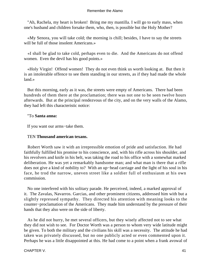"Ah, Rachela, my heart is broken! Bring me my mantilla. I will go to early mass, when one's husband and children forsake them, who, then, is possible but the Holy Mother?

 «My Senora, you will take cold; the morning is chill; besides, I have to say the streets will be full of those insolent Americans.»

 «I shall be glad to take cold, perhaps even to die. And the Americans do not offend women. Even the devil has his good points.»

 «Holy Virgin! Offend women! They do not even think us worth looking at. But then it is an intolerable offence to see them standing in our streets, as if they had made the whole land.»

 But this morning, early as it was, the streets were empty of Americans. There had been hundreds of them there at the proclamation; there was not one to be seen twelve hours afterwards. But at the principal rendezvous of the city, and on the very walls of the Alamo, they had left this characteristic notice:

# "To **Santa anna:**

If you want our arms−take them.

# TEN **Thousand american texans.**

 Robert Worth saw it with an irrepressible emotion of pride and satisfaction. He had faithfully fulfilled his promise to his conscience, and, with his rifle across his shoulder, and his revolvers and knife in his belt, was taking the road to his office with a somewhat marked deliberation. He was yet a remarkably handsome man; and what man is there that a rifle does not give a kind of nobility to? With an up−head carriage and the light of his soul in his face, he trod the narrow, uneven street like a soldier full of enthusiasm at his own commission.

 No one interfered with his solitary parade. He perceived, indeed, a marked approval of it. The Zavalas, Navarros. Garcias, and other prominent citizens, addressed him with but a slightly repressed sympathy. They directed his attention with meaning looks to the counter−proclamation of the Americans. They made him understand by the pressure of their hands that they also were on the side of liberty.

 As he did not hurry, he met several officers, but they wisely affected not to see what they did not wish to see. For Doctor Worth was a person to whom very wide latitude might be given. To both the military and the civilians his skill was a necessity. The attitude he had taken was privately discussed, but no one publicly acted or even commented upon it. Perhaps he was a little disappointed at this. He had come to a point when a frank avowal of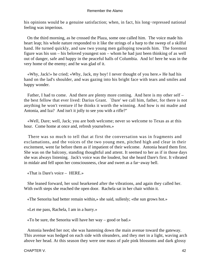his opinions would be a genuine satisfaction; when, in fact, his long−repressed national feeling was imperious.

 On the third morning, as he crossed the Plaza, some one called him. The voice made his heart leap; his whole nature responded to it like the strings of a harp to the sweep of a skilful hand. He turned quickly, and saw two young men galloping towards him. The foremost figure was his son – his beloved youngest son – whom he had just been thinking of as well out of danger, safe and happy in the peaceful halls of Columbia. And lo! here he was in the very home of the enemy; and he was glad of it.

 «Why, Jack!» he cried; «Why, Jack, my boy! I never thought of you here.» He had his hand on the lad's shoulder, and was gazing into his bright face with tears and smiles and happy wonder.

 Father, I had to come. And there are plenty more coming. And here is my other self – the best fellow that ever lived: Darius Grant. `Dare' we call him, father, for there is not anything he won't venture if he thinks it worth the winning. And how is mi madre and Antonia, and Iza? And isn't it jolly to see you with a rifle?"

 «Well, Dare; well, Jack; you are both welcome; never so welcome to Texas as at this hour. Come home at once and, refresh yourselves.»

 There was so much to tell that at first the conversation was in fragments and exclamations, and the voices of the two young men, pitched high and clear in their excitement, went far before them as if impatient of their welcome. Antonia heard them first. She was on the balcony, standing thoughtful and attent. It seemed to her as if in those days she was always listening. Jack's voice was the loudest, but she heard Dare's first. It vibrated in midair and fell upon her consciousness, clear and sweet as a far−away bell.

«That is Dare's voice – HERE.»

 She leaned forward, her soul hearkened after the vibrations, and again they called her. With swift steps she reached the open door. Rachela sat in her chair within it.

«The Senorita had better remain within,» she said, sullenly; «the sun grows hot.»

«Let me pass, Rachela, I am in a hurry.»

«To be sure, the Senorita will have her way – good or bad.»

 Antonia heeded her not; she was hastening down the main avenue toward the gateway. This avenue was hedged on each side with oleanders, and they met in a light, waving arch above her head. At this season they were one mass of pale pink blossoms and dark glossy

CHAPTER V. 42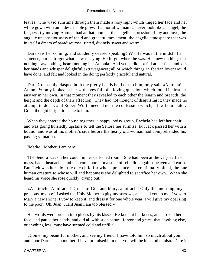leaves. The vivid sunshine through them made a rosy light which tinged her face and her white gown with an indescribable glow. If a mortal woman can ever look like an angel, the fair, swiftly moving Antonia had at that moment the angelic expression of joy and love; the angelic unconsciousness of rapid and graceful movement; the angelic atmosphere that was in itself a dream of paradise; rose−tinted, divinely sweet and warm.

Dare saw her coming, and suddenly ceased speaking { .?? } He was in the midst of a sentence, but he forgot what he was saying. He forgot where he was. He knew nothing, felt nothing, saw nothing, heard nothing but Antonia. And yet he did not fall at her feet, and kiss her hands and whisper delightful extravagances; all of which things an Iberian lover would have done, and felt and looked in the doing perfectly graceful and natural.

 Dare Grant only clasped both the pretty hands held out to him; only said «Antonia! Antonia!» only looked at her with eyes full of a loving question, which found its instant answer in her own. In that moment they revealed to each other the length and breadth, the height and the depth of their affection. They had not thought of disguising it; they made no attempt to do so; and Robert Worth needed not the confession which, a few hours later, Grant thought it right to make to him.

 When they entered the house together, a happy, noisy group, Rachela had left her chair and was going hurriedly upstairs to tell the Senora her surmise; but Jack passed her with a bound, and was at his mother's side before the heavy old woman had comprehended his passing salutation.

"Madre! Mother, I am here!

 The Senora was on her couch in her darkened room. She had been at the very earliest mass, had a headache, and had come home in a state of rebellion against heaven and earth. But Jack was her idol, the one child for whose presence she continually pined, the one human creature to whose will and happiness she delighted to sacrifice her own. When she heard his voice she rose quickly, crying out:

 «A miracle! A miracle! Grace of God and Mary, a miracle! Only this morning, my precious, my boy! I asked the Holy Mother to pity my sorrows, and send you to me. I vow to Mary a new shrine. I vow to keep it, and dress it for one whole year. I will give my opal ring to the poor. Oh, Juan! Juan! Juan I am too blessed.»

 Her words were broken into pieces by his kisses. He knelt at her knees, and stroked her face, and patted her hands, and did all with such natural fervor and grace, that anything else, or anything less, must have seemed cold and unfilial.

 «Come, my beautiful mother, and see my friend. I have told him so much about you; and poor Dare has no mother. I have promised him that you will be his mother also. Dare is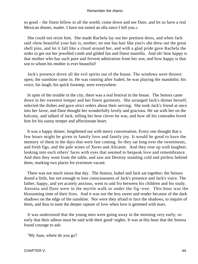so good – the finest fellow in all the world; come down and see Dare, and let us have a real Mexican dinner, madre. I have not tasted an olla since I left you.»

 She could not resist him. She made Rachela lay out her prettiest dress, and when Jack said «how beautiful your hair is, mother; no one has hair like you!» she drew out the great shell pins, and let it fall like a cloud around her, and with a glad pride gave Rachela the order to get out her jewelled comb and gilded fan and finest mantilla. And oh! how happy is that mother who has such pure and fervent admiration from her son; and how happy is that son to whom his mother is ever beautiful!

 Jack's presence drove all the evil spirits out of the house. The windows were thrown open; the sunshine came in. He was running after Isabel, he was playing the mandolin; his voice, his laugh, his quick footstep, were everywhere.

 In spite of the trouble in the city, there was a real festival in the house. The Senora came down in her sweetest temper and her finest garments. She arranged Jack's dinner herself, selected the dishes and gave strict orders about their serving. She took Jack's friend at once into her favor, and Dare thought her wonderfully lovely and gracious. He sat with her on the balcony, and talked of Jack, telling her how clever he was, and how all his comrades loved him for his sunny temper and affectionate heart.

 It was a happy dinner, lengthened out with merry conversation. Every one thought that a few hours might be given to family love and family joy. It would be good to have the memory of them in the days that were fast coming. So they sat long over the sweetmeats, and fresh figs, and the pale wines of Xeres and Alicante. And they rose up with laughter, looking into each others' faces with eyes that seemed to bespeak love and remembrance. And then they went from the table, and saw not Destiny standing cold and pitiless behind them, marking two places for evermore vacant.

 There was not much siesta that day. The Senora, Isabel and Jack sat together; the Senora dozed a little, but not enough to lose consciousness of Jack's presence and Jack's voice. The father, happy, and yet acutely anxious, went to and fro between his children and his study. Antonia and Dare were in the myrtle walk or under the fig−tree. This hour was the blossoming time of their lives. And it was not the less sweet and tender because of the dark shadows on the edge of the sunshine. Nor were they afraid to face the shadows, to inquire of them, and thus to taste the deeper rapture of love when love is gemmed with tears.

 It was understood that the young men were going away in the morning very early; so early that their adieus must be said with their good−nights. It was at this hour that the Senora found courage to ask:

"My Juan, where do you go?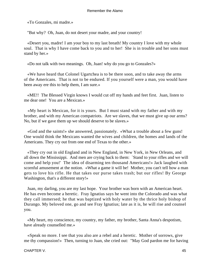«To Gonzales, mi madre.»

"But why? Oh, Juan, do not desert your madre, and your country!

 «Desert you, madre! I am your boy to my last breath! My country I love with my whole soul. That is why I have come back to you and to her! She is in trouble and her sons must stand by her.»

«Do not talk with two meanings. Oh, Juan! why do you go to Gonzales?»

 «We have heard that Colonel Ugartchea is to be there soon, and to take away the arms of the Americans. That is not to be endured. If you yourself were a man, you would have been away ere this to help them, I am sure.»

 «ME!! The Blessed Virgin knows I would cut off my hands and feet first. Juan, listen to me dear one! You are a Mexican.»

 «My heart is Mexican, for it is yours. But I must stand with my father and with my brother, and with my American compatriots. Are we slaves, that we must give up our arms? No, but if we gave them up we should deserve to be slaves.»

 «God and the saints!» she answered, passionately. «What a trouble about a few guns! One would think the Mexicans wanted the wives and children, the homes and lands of the Americans. They cry out from one end of Texas to the other.»

 «They cry out in old England and in New England, in New York, in New Orleans, and all down the Mississippi. And men are crying back to them: `Stand to your rifles and we will come and help you!' The idea of disarming ten thousand Americans!» Jack laughed with scornful amusement at the notion. «What a game it will be! Mother, you can't tell how a man gets to love his rifle. He that takes our purse takes trash; but our rifles! By George Washington, that's a different story!»

 Juan, my darling, you are my last hope. Your brother was born with an American heart. He has even become a heretic. Fray Ignatius says he went into the Colorado and was what they call immersed; he that was baptized with holy water by the thrice holy bishop of Durango. My beloved one, go and see Fray Ignatius; late as it is, he will rise and counsel you.

 «My heart, my conscience, my country, my father, my brother, Santa Anna's despotism, have already counselled me.»

 «Speak no more. I see that you also are a rebel and a heretic. Mother of sorrows, give me thy compassion!» Then, turning to Juan, she cried out: "May God pardon me for having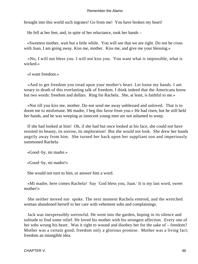brought into this world such ingrates! Go from me! You have broken my heart!

He fell at her feet, and, in spite of her reluctance, took her hands –

 «Sweetest mother, wait but a little while. You will see that we are right. Do not be cross with Juan. I am going away. Kiss me, mother. Kiss me, and give me your blessing.»

 «No, I will not bless you. I will not kiss you. You want what is impossible, what is wicked.»

«I want freedom.»

 «And to get freedom you tread upon your mother's heart. Let loose my hands. I am weary to death of this everlasting talk of freedom. I think indeed that the Americans know but two words: freedom and dollars. Ring for Rachela. She, at least, is faithful to me.»

 «Not till you kiss me, mother. Do not send me away unblessed and unloved. That is to doom me to misfortune. Mi madre, I beg this favor from you.» He had risen, but he still held her hands, and he was weeping as innocent young men are not ashamed to weep.

 If she had looked at him! Oh, if she had but once looked at his face, she could not have resisted its beauty, its sorrow, its imploration! But she would not look. She drew her hands angrily away from him. She turned her back upon her suppliant son and imperiously summoned Rachela.

«Good−by, mi madre.»

«Good−by, mi madre!»

She would not turn to him, or answer him a word.

 «Mi madre, here comes Rachela! Say `God bless you, Juan.' It is my last word, sweet mother!»

 She neither moved nor spoke. The next moment Rachela entered, and the wretched woman abandoned herself to her care with vehement sobs and complainings.

 Jack was inexpressibly sorrowful. He went into the garden, hoping in its silence and solitude to find some relief. He loved his mother with his strongest affection. Every one of her sobs wrung his heart. Was it right to wound and disobey her for the sake of – freedom? Mother was a certain good; freedom only a glorious promise. Mother was a living fact; freedom an intangible idea.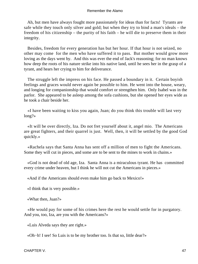Ah, but men have always fought more passionately for ideas than for facts! Tyrants are safe while they touch only silver and gold; but when they try to bind a man's ideals – the freedom of his citizenship – the purity of his faith – he will die to preserve them in their integrity.

 Besides, freedom for every generation has but her hour. If that hour is not seized, no other may come for the men who have suffered it to pass. But mother would grow more loving as the days went by. And this was ever the end of Jack's reasoning; for no man knows how deep the roots of his nature strike into his native land, until he sees her in the grasp of a tyrant, and hears her crying to him for deliverance.

 The struggle left the impress on his face. He passed a boundary in it. Certain boyish feelings and graces would never again be possible to him. He went into the house, weary, and longing for companionship that would comfort or strengthen him. Only Isabel was in the parlor. She appeared to be asleep among the sofa cushions, but she opened her eyes wide as he took a chair beside her.

 «I have been waiting to kiss you again, Juan; do you think this trouble will last very long?»

 «It will be over directly, Iza. Do not fret yourself about it, angel mio. The Americans are great fighters, and their quarrel is just. Well, then, it will be settled by the good God quickly.»

 «Rachela says that Santa Anna has sent off a million of men to fight the Americans. Some they will cut in pieces, and some are to be sent to the mines to work in chains.»

 «God is not dead of old age, Iza. Santa Anna is a miraculous tyrant. He has committed every crime under heaven, but I think he will not cut the Americans in pieces.»

«And if the Americans should even make him go back to Mexico!»

«I think that is very possible.»

«What then, Juan?»

 «He would pay for some of his crimes here the rest he would settle for in purgatory. And you, too, Iza, are you with the Americans?»

«Luis Alveda says they are right.»

«Oh−h! I see! So Luis is to be my brother too. Is that so, little dear?»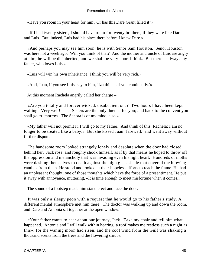«Have you room in your heart for him? Or has this Dare Grant filled it?»

 «If I had twenty sisters, I should have room for twenty brothers, if they were like Dare and Luis. But, indeed, Luis had his place there before I knew Dare.»

 «And perhaps you may see him soon; he is with Senor Sam Houston. Senor Houston was here not a week ago. Will you think of that? And the mother and uncle of Luis are angry at him; he will be disinherited, and we shall be very poor, I think. But there is always my father, who loves Luis.»

«Luis will win his own inheritance. I think you will be very rich.»

«And, Juan, if you see Luis, say to him, `Iza thinks of you continually.'»

At this moment Rachela angrily called her charge –

 «Are you totally and forever wicked, disobedient one? Two hours I have been kept waiting. Very well! The, Sisters are the only duenna for you; and back to the convent you shall go to−morrow. The Senora is of my mind, also.»

 «My father will not permit it. I will go to my father. And think of this, Rachela: I am no longer to be treated like a baby.» But she kissed Juan `farewell,' and went away without further dispute.

 The handsome room looked strangely lonely and desolate when the door had closed behind her. Jack rose, and roughly shook himself, as if by that means he hoped to throw off the oppression and melancholy that was invading even his light heart. Hundreds of moths were dashing themselves to death against the high glass shade that covered the blowing candles from them. He stood and looked at their hopeless efforts to reach the flame. He had an unpleasant thought; one of those thoughts which have the force of a presentiment. He put it away with annoyance, muttering, «It is time enough to meet misfortune when it comes.»

The sound of a footstep made him stand erect and face the door.

 It was only a sleepy peon with a request that he would go to his father's study. A different mental atmosphere met him there. The doctor was walking up and down the room, and Dare and Antonia sat together at the open window.

 «Your father wants to hear about our journey, Jack. Take my chair and tell him what happened. Antonia and I will walk within hearing; a roof makes me restless such a night as this»; for the waning moon had risen, and the cool wind from the Gulf was shaking a thousand scents from the trees and the flowering shrubs.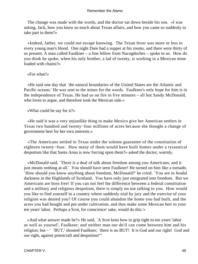The change was made with the words, and the doctor sat down beside his son. «I was asking, Jack, how you knew so much about Texan affairs, and how you came so suddenly to take part in them?»

 «Indeed, father, we could not escape knowing. The Texan fever was more or less in every young man's blood. One night Dare had a supper at his rooms, and there were thirty of us present. A man called Faulkner – a fine fellow from Nacogdoches – spoke to us. How do you think he spoke, when his only brother, a lad of twenty, is working in a Mexican mine loaded with chains?»

«For what?»

 «He said one day that `the natural boundaries of the United States are the Atlantic and Pacific oceans.' He was sent to the mines for the words. Faulkner's only hope for him is in the independence of Texas. He had us on fire in five minutes – all but Sandy McDonald, who loves to argue, and therefore took the Mexican side.»

«What could he say for it?»

 «He said it was a very unjustlike thing to make Mexico give her American settlers in Texas two hundred and twenty−four millions of acres because she thought a change of government best for her own interests.»

 «The Americans settled in Texas under the solemn guarantee of the constitution of eighteen twenty−four. How many of them would have built homes under a tyrannical despotism like that Santa Anna is now forcing upon them?» asked the doctor, warmly.

 «McDonald said, `There is a deal of talk about freedom among you Americans, and it just means nothing at all.' You should have seen Faulkner! He turned on him like a tornado. `How should you know anything about freedom, McDonald?' he cried. `You are in feudal darkness in the Highlands of Scotland. You have only just emigrated into freedom. But we Americans are born free! If you can not feel the difference between a federal constitution and a military and religious despotism, there is simply no use talking to you. How would you like to find yourself in a country where suddenly trial by jury and the exercise of your religion was denied you? Of course you could abandon the home you had built, and the acres you had bought and put under cultivation, and thus make some Mexican heir to your ten years' labor. Perhaps a Scot, for conscience' sake, would do this.'»

 «And what answer made he?» He said, `A Scot kens how to grip tight to ten years' labor as well as yoursel', Faulkner; and neither man nor de'il can come between him and his religion; but - ' 'BUT,' shouted Faulkner; 'there is no BUT! It is God and our right! God and our right, against priestcraft and despotism!'"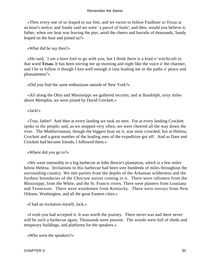«Then every one of us leaped to our feet, and we swore to follow Faulkner to Texas at an hour's notice; and Sandy said we were `a parcel of fools'; and then, would you believe it, father, when our boat was leaving the pier, amid the cheers and hurrahs of thousands, Sandy leaped on the boat and joined us?»

«What did he say then?»

 «He said, `I am a born fool to go with you, but I think there is a kind o' witchcraft in that word **Texas.** It has been stirring me up morning and night like the voice o' the charmer, and I be to follow it though I ken well enough it isna leading me in the paths o' peace and pleasantness!'»

«Did you find the same enthusiasm outside of New York?»

 «All along the Ohio and Mississippi we gathered recruits; and at Randolph, sixty miles above Memphis, we were joined by David Crockett.»

«Jack!»

 «True, father! And then at every landing we took on men. For at every landing Crockett spoke to the people; and, as we stopped very often, we were cheered all the way down the river. The Mediterranean, though the biggest boat on it, was soon crowded; but at Helena, Crockett and a great number of the leading men of the expedition got off. And as Dare and Crockett had become friends, I followed them.»

«Where did you go to?»

 «We went ostensibly to a big barbecue at John Bowie's plantation, which is a few miles below Helena. Invitations to this barbecue had been sent hundreds of miles throughout the surrounding country. We met parties from the depths of the Arkansas wilderness and the furthest boundaries of the Choctaw nation coming to it. There were raftsmen from the Mississippi, from the White, and the St. Francis rivers. There were planters from Lousiana and Tennessee. There were woodsmen from Kentucky. There were envoys from New Orleans, Washington, and all the great Eastern cities.»

«I had an invitation myself, Jack.»

 «I wish you had accepted it. It was worth the journey. There never was and there never will be such a barbecue again. Thousands were present. The woods were full of sheds and temporary buildings, and platforms for the speakers.»

«Who were the speakers?»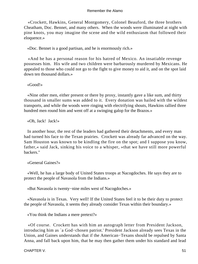«Crockett, Hawkins, General Montgomery, Colonel Beauford, the three brothers Cheatham, Doc. Bennet, and many others. When the woods were illuminated at night with pine knots, you may imagine the scene and the wild enthusiasm that followed their eloquence.»

«Doc. Bennet is a good partisan, and he is enormously rich.»

 «And he has a personal reason for his hatred of Mexico. An insatiable revenge possesses him. His wife and two children were barbarously murdered by Mexicans. He appealed to those who could not go to the fight to give money to aid it, and on the spot laid down ten thousand dollars.»

«Good!»

 «Nine other men, either present or there by proxy, instantly gave a like sum, and thirty thousand in smaller sums was added to it. Every donation was hailed with the wildest transports, and while the woods were ringing with electrifying shouts, Hawkins rallied three hundred men round him and went off at a swinging galop for the Brazos.»

«Oh, Jack! Jack!»

 In another hour, the rest of the leaders had gathered their detachments, and every man had turned his face to the Texan prairies. Crockett was already far advanced on the way. Sam Houston was known to be kindling the fire on the spot; and I suppose you know, father,« said Jack, sinking his voice to a whisper, »that we have still more powerful backers."

«General Gaines?»

 «Well, he has a large body of United States troops at Nacogdoches. He says they are to protect the people of Navasola from the Indians.»

«But Navasola is twenty−nine miles west of Nacogdoches.»

 «Navasola is in Texas. Very well! If the United States feel it to be their duty to protect the people of Navasola, it seems they already consider Texas within their boundary.»

«You think the Indians a mere pretext?»

 «Of course. Crockett has with him an autograph letter from President Jackson, introducing him as `a God−chosen patriot.' President Jackson already sees Texas in the Union, and Gaines understands that if the American−Texans should be repulsed by Santa Anna, and fall back upon him, that he may then gather them under his standard and lead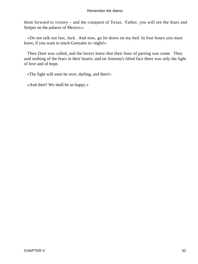them forward to victory – and the conquest of Texas. Father, you will see the Stars and Stripes on the palaces of Mexico.»

 «Do not talk too fast, Jack. And now, go lie down on my bed. In four hours you must leave, if you want to reach Gonzales to−night!»

 Then Dare was called, and the lovers knew that their hour of parting was come. They said nothing of the fears in their hearts; and on Antonia's lifted face there was only the light of love and of hope.

«The fight will soon be over, darling, and then!»

«And then? We shall be so happy.»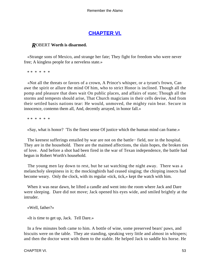# **[CHAPTER VI.](#page-189-0)**

# *R*OBERT **Worth is disarmed.**

 «Strange sons of Mexico, and strange her fate; They fight for freedom who were never free; A kingless people for a nerveless state.»

\* \* \* \* \* \*

 «Not all the threats or favors of a crown, A Prince's whisper, or a tyrant's frown, Can awe the spirit or allure the mind Of him, who to strict Honor is inclined. Though all the pomp and pleasure that does wait On public places, and affairs of state; Though all the storms and tempests should arise, That Church magicians in their cells devise, And from their settled basis nations tear: He would, unmoved, the mighty ruin bear. Secure in innocence, contemn them all, And, decently arrayed, in honor fall.»

\* \* \* \* \* \*

«Say, what is honor? 'Tis the finest sense Of justice which the human mind can frame.»

 The keenest sufferings entailed by war are not on the battle− field, nor in the hospital. They are in the household. There are the maimed affections, the slain hopes, the broken ties of love. And before a shot had been fired in the war of Texan independence, the battle had begun in Robert Worth's household.

 The young men lay down to rest, but he sat watching the night away. There was a melancholy sleepiness in it; the mockingbirds had ceased singing; the chirping insects had become weary. Only the clock, with its regular «tick, tick,» kept the watch with him.

 When it was near dawn, he lifted a candle and went into the room where Jack and Dare were sleeping. Dare did not move; Jack opened his eyes wide, and smiled brightly at the intruder.

«Well, father?»

«It is time to get up, Jack. Tell Dare.»

 In a few minutes both came to him. A bottle of wine, some preserved bears' paws, and biscuits were on the table. They ate standing, speaking very little and almost in whispers; and then the doctor went with them to the stable. He helped Jack to saddle his horse. He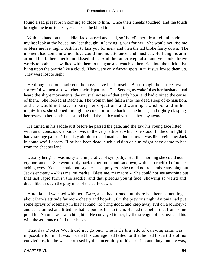found a sad pleasure in coming so close to him. Once their cheeks touched, and the touch brought the tears to his eyes and sent he blood to his heart.

 With his hand on the saddle, Jack paused and said, softly, «Father, dear, tell mi madre my last look at the house, my last thought in leaving it, was for her. She would not kiss me or bless me last night. Ask her to kiss you for me,» and then the lad broke fairly down. The moment had come in which love could find no utterance, and must act. He flung his arm around his father's neck and kissed him. And the father wept also, and yet spoke brave words to both as he walked with them to the gate and watched them ride into the thick mist lying upon the prairie like a cloud. They were only darker spots in it. It swallowed them up. They were lost to sight.

 He thought no one had seen the boys leave but himself. But through the lattices two sorrowful women also watched their departure. The Senora, as wakeful as her husband, had heard the slight movements, the unusual noises of that early hour, and had divined the cause of them. She looked at Rachela. The woman had fallen into the dead sleep of exhaustion, and she would not have to parry her objections and warnings. Unshod, and in her night−dress, she slipped through the corridor to the back of the house, and tightly clasping her rosary in her hands, she stood behind the lattice and watched her boy away.

 He turned in his saddle just before he passed the gate, and she saw his young face lifted with an unconscious, anxious love, to the very lattice at which she stood: In the dim light it had a strange pallor. The misty air blurred and made all indistinct. It was like seeing her Jack in some woful dream. If he had been dead, such a vision of him might have come to her from the shadow land.

 Usually her grief was noisy and imperative of sympathy. But this morning she could not cry nor lament. She went softly back to her room and sat down, with her crucifix before her aching eyes. Yet she could not say her usual prayers. She could not remember anything but Jack's entreaty – «Kiss me, mi madre! Bless me, mi madre!» She could not see anything but that last rapid turn in the saddle, and that piteous young face, showing so weird and dreamlike through the gray mist of the early dawn.

 Antonia had watched with her. Dare, also, had turned, but there had been something about Dare's attitude far more cheery and hopeful. On the previous night Antonia had put some sprays of rosemary in his hat band «to bring good, and keep away evil on a journey»; and as he turned and lifted his hat he put his lips to them. He had the belief that from some point his Antonia was watching him. He conveyed to her, by the strength of his love and his will, the assurance of all their hopes.

 That day Doctor Worth did not go out. The little bravado of carrying arms was impossible to him. It was not that his courage had failed, or that he had lost a tittle of his convictions, but he was depressed by the uncertainty of his position and duty, and he was,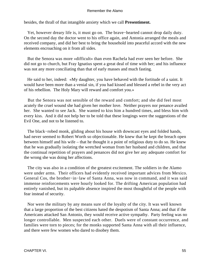besides, the thrall of that intangible anxiety which we call **Presentiment.**

 Yet, however dreary life is, it must go on. The brave−hearted cannot drop daily duty. On the second day the doctor went to his office again, and Antonia arranged the meals and received company, and did her best to bring the household into peaceful accord with the new elements encroaching on it from all sides.

 But the Senora was more «difficult» than even Rachela had ever seen her before. She did not go to church, but Fray Ignatius spent a great deal of time with her; and his influence was not any more conciliating than that of early masses and much fasting.

 He said to her, indeed: «My daughter, you have behaved with the fortitude of a saint. It would have been more than a venial sin, if you had kissed and blessed a rebel in the very act of his rebellion. The Holy Mary will reward and comfort you.»

 But the Senora was not sensible of the reward and comfort; and she did feel most acutely the cruel wound she had given her mother love. Neither prayers nor penance availed her. She wanted to see Jack. She wanted to kiss him a hundred times, and bless him with every kiss. And it did not help her to be told that these longings were the suggestions of the Evil One, and not to be listened to.

The black–robed monk, gliding about his house with downcast eyes and folded hands, had never seemed to Robert Worth so objectionable. He knew that he kept the breach open between himself and his wife – that he thought it a point of religious duty to do so. He knew that he was gradually isolating the wretched woman from her husband and children, and that the continual repetition of prayers and penances did not give her any adequate comfort for the wrong she was doing her affections.

 The city was also in a condition of the greatest excitement. The soldiers in the Alamo were under arms. Their officers had evidently received important advices from Mexico. General Cos, the brother−in−law of Santa Anna, was now in command, and it was said immense reinforcements were hourly looked for. The drifting American population had entirely vanished, but its palpable absence inspired the most thoughtful of the people with fear instead of security.

 Nor were the military by any means sure of the loyalty of the city. It was well known that a large proportion of the best citizens hated the despotism of Santa Anna; and that if the Americans attacked San Antonio, they would receive active sympathy. Party feeling was no longer controllable. Men suspected each other. Duels were of constant occurrence, and families were torn to pieces; for the monks supported Santa Anna with all their influence, and there were few women who dared to disobey them.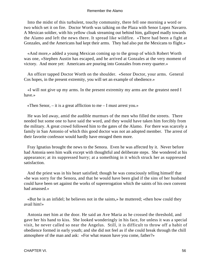Into the midst of this turbulent, touchy community, there fell one morning a word or two which set it on fire. Doctor Worth was talking on the Plaza with Senor Lopez Navarro. A Mexican soldier, with his yellow cloak streaming out behind him, galloped madly towards the Alamo and left the news there. It spread like wildfire. «There had been a fight at Gonzales, and the Americans had kept their arms. They had also put the Mexicans to flight.»

 «And more,» added a young Mexican coming up to the group of which Robert Worth was one, «Stephen Austin has escaped, and he arrived at Gonzales at the very moment of victory. And more yet: Americans are pouring into Gonzales from every quarter.»

 An officer tapped Doctor Worth on the shoulder. «Senor Doctor, your arms. General Cos hopes, in the present extremity, you will set an example of obedience.»

 «I will not give up my arms. In the present extremity my arms are the greatest need I have.»

«Then Senor,  $-$  it is a great affliction to me  $-$  I must arrest you.»

 He was led away, amid the audible murmurs of the men who filled the streets. There needed but some one to have said the word, and they would have taken him forcibly from the military. A great crowd followed him to the gates of the Alamo. For there was scarcely a family in San Antonio of which this good doctor was not an adopted member. The arrest of their favorite confessor would hardly have enraged them more.

 Fray Ignatius brought the news to the Senora. Even he was affected by it. Never before had Antonia seen him walk except with thoughtful and deliberate steps. She wondered at his appearance; at its suppressed hurry; at a something in it which struck her as suppressed satisfaction.

 And the priest was in his heart satisfied; though he was consciously telling himself that «he was sorry for the Senora, and that he would have been glad if the sins of her husband could have been set against the works of supererogation which the saints of his own convent had amassed.»

 «But he is an infidel; he believes not in the saints,» he muttered; «then how could they avail him!»

 Antonia met him at the door. He said an Ave Maria as he crossed the threshold, and gave her his hand to kiss. She looked wonderingly in his face, for unless it was a special visit, he never called so near the Angelus. Still, it is difficult to throw off a habit of obedience formed in early youth; and she did not feel as if she could break through the chill atmosphere of the man and ask: «For what reason have you come, father?»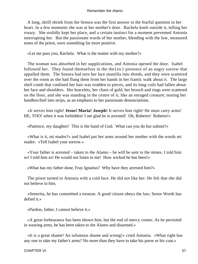A long, shrill shriek from the Senora was the first answer to the fearful question in her heart. In a few moments she was at her mother's door. Rachela knelt outside it, telling her rosary. She stolidly kept her place, and a certain instinct for a moment prevented Antonia interrupting her. But the passionate words of her mother, blending with the low, measured tones of the priest, were something far more positive.

«Let me pass you, Rachela. What is the matter with my mother?»

 The woman was absorbed in her supplications, and Antonia opened the door. Isabel followed her. They found themselves in the the{sic} presence of an angry sorrow that appalled them. The Senora had torn her lace mantilla into shreds, and they were scattered over the room as she had flung them from her hands in her frantic walk about it. The large shell comb that confined her hair was trodden to pieces, and its long coils had fallen about her face and shoulders. Her bracelets, her chain of gold, her brooch and rings were scattered on the floor, and she was standing in the centre of it, like an enraged creature; tearing her handkerchief into strips, as an emphasis to her passionate denunciations.

 «It serves him right! **Jesus! Maria! Joseph!** It serves him right! He must carry arms! HE, TOO! when it was forbidden! I am glad he is arrested! Oh, Roberto! Roberto!»

«Patience, my daughter! This is the hand of God. What can you do but submit?»

 «What is it, mi madre?» and Isabel put her arms around her mother with the words mi madre. «Tell Isabel your sorrow.»

 «Your father is arrested – taken to the Alamo – he will be sent to the mines. I told him so! I told him so! He would not listen to me! How wicked he has been!»

«What has my father done, Fray Ignatius? Why have they arrested him?»

 The priest turned to Antonia with a cold face. He did not like her. He felt that she did not believe in him.

 «Senorita, he has committed a treason. A good citizen obeys the law; Senor Worth has defied it »

«Pardon, father, I cannot believe it.»

 «A great forbearance has been shown him, but the end of mercy comes. As he persisted in wearing arms, he has been taken to the Alamo and disarmed.»

 «It is a great shame! An infamous shame and wrong!» cried Antonia. «What right has any one to take my father's arms? No more than they have to take his purse or his coat.»

CHAPTER VI. 57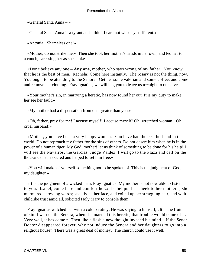«General Santa Anna – »

«General Santa Anna is a tyrant and a thief. I care not who says different.»

«Antonia! Shameless one!»

 «Mother, do not strike me.» Then she took her mother's hands in her own, and led her to a couch, caressing her as she spoke –

 «Don't believe any one – **Any one,** mother, who says wrong of my father. You know that he is the best of men. Rachela! Come here instantly. The rosary is not the thing, now. You ought to be attending to the Senora. Get her some valerian and some coffee, and come and remove her clothing. Fray Ignatius, we will beg you to leave us to−night to ourselves.»

 «Your mother's sin, in marrying a heretic, has now found her out. It is my duty to make her see her fault.»

«My mother had a dispensation from one greater than you.»

 «Oh, father, pray for me! I accuse myself! I accuse myself! Oh, wretched woman! Oh, cruel husband!»

 «Mother, you have been a very happy woman. You have had the best husband in the world. Do not reproach my father for the sins of others. Do not desert him when he is in the power of a human tiger. My God, mother! let us think of something to be done for his help! I will see the Navarros, the Garcias, Judge Valdez; I will go to the Plaza and call on the thousands he has cured and helped to set him free.»

 «You will make of yourself something not to be spoken of. This is the judgment of God, my daughter.»

 «It is the judgment of a wicked man, Fray Ignatius. My mother is not now able to listen to you. Isabel, come here and comfort her.» Isabel put her cheek to her mother's; she murmured caressing words; she kissed her face, and coiled up her straggling hair, and with childlike trust amid all, solicited Holy Mary to console them.

 Fray Ignatius watched her with a cold scrutiny. He was saying to himself, «It is the fruit of sin. I warned the Senora, when she married this heretic, that trouble would come of it. Very well, it has come.» Then like a flash a new thought invaded his mind – If the Senor Doctor disappeared forever, why not induce the Senora and her daughters to go into a religious house? There was a great deal of money. The church could use it well.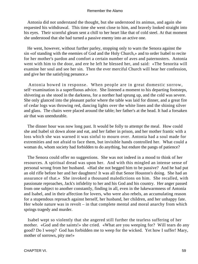Antonia did not understand the thought, but she understood its animus, and again she requested his withdrawal. This time she went close to him, and bravely looked straight into his eyes. Their scornful gleam sent a chill to her heart like that of cold steel. At that moment she understood that she had turned a passive enemy into an active one.

 He went, however, without further parley, stopping only to warn the Senora against the sin «of standing with the enemies of God and the Holy Church,» and to order Isabel to recite for her mother's pardon and comfort a certain number of aves and paternosters. Antonia went with him to the door, and ere he left he blessed her, and said: «The Senorita will examine her soul and see her sin. Then the ever merciful Church will hear her confession, and give her the satisfying penance.»

 Antonia bowed in response. When people are in great domestic sorrow, self−examination is a superfluous advice. She listened a moment to his departing footsteps, shivering as she stood in the darkness, for a norther had sprung up, and the cold was severe. She only glanced into the pleasant parlor where the table was laid for dinner, and a great fire of cedar logs was throwing red, dancing lights over the white linen and the shining silver and glass. The chairs were placed around the table; her father's at the head. It had a forsaken air that was unendurable.

 The dinner hour was now long past. It would be folly to attempt the meal. How could she and Isabel sit down alone and eat, and her father in prison, and her mother frantic with a loss which she was warned it was sinful to mourn over. Antonia had a soul made for extremities and not afraid to face them, but invisible hands controlled her. What could a woman do, whom society had forbidden to do anything, but endure the pangs of patience?

 The Senora could offer no suggestions. She was not indeed in a mood to think of her resources. A spiritual dread was upon her. And with this mingled an intense sense of personal wrong from her husband. «Had she not begged him to be passive? And he had put an old rifle before her and her daughters! It was all that Senor Houston's doing. She had an assurance of that.» She invoked a thousand maledictions on him. She recalled, with passionate reproaches, Jack's infidelity to her and his God and his country. Her anger passed from one subject to another constantly, finding in all, even in the lukewarmness of Antonia and Isabel, and in their affection for lovers, who were also rebels, an accumulating reason for a stupendous reproach against herself, her husband, her children, and her unhappy fate. Her whole nature was in revolt – in that complete mental and moral anarchy from which springs tragedy and murder.

 Isabel wept so violently that she angered still further the tearless suffering of her mother. «God and the saints!» she cried. «What are you weeping for? Will tears do any good? Do I weep? God has forbidden me to weep for the wicked. Yet how I suffer! Mary, mother of sorrows, pity me!»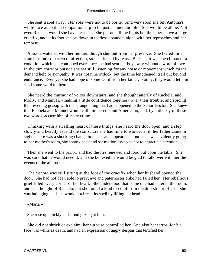She sent Isabel away. Her sobs were not to be borne. And very soon she felt Antonia's white face and silent companionship to be just as unendurable. She would be alone. Not even Rachela would she have near her. She put out all the lights but the taper above a large crucifix, and at its foot she sat down in tearless abandon, alone with her reproaches and her remorse.

 Antonia watched with her mother, though shut out from her presence. She feared for a state of mind so barren of affection, so unsoftened by tears. Besides, it was the climax of a condition which had continued ever since she had sent her boy away without a word of love. In the dim corridor outside she sat still, listening for any noise or movement which might demand help or sympathy. It was not nine o'clock; but the time lengthened itself out beyond endurance. Even yet she had hope of some word from her father. Surely, they would let him send some word to them!

 She heard the murmur of voices downstairs, and she thought angrily of Rachela, and Molly, and Manuel, «making a little confidence together» over their trouble, and spicing their evening gossip with the strange thing that had happened to the Senor Doctor. She knew that Rachela and Manuel would call him heretic and Americano, and, by authority of these two words, accuse him of every crime.

 Thinking with a swelling heart of these things, she heard the door open, and a step slowly and heavily ascend the stairs. Ere she had time to wonder at it, her father came in sight. There was a shocking change in his air and appearance, but as he was evidently going to her mother's room, she shrank back and sat motionless so as not to attract his attention.

 Then she went to the parlor, and had the fire renewed and food put upon the table. She was sure that he would need it, and she believed he would be glad to talk over with her the events of the afternoon.

 The Senora was still sitting at the foot of the crucifix when her husband opened the door. She had not been able to pray; ave and paternoster alike had failed her. Her rebellious grief filled every corner of her heart. She understood that some one had entered the room, and she thought of Rachela; but she found a kind of comfort in the dull stupor of grief she was indulging, and she would not break its spell by lifting her head.

## «Maria.»

She rose up quickly and stood gazing at him.

 She did not shriek or exclaim; her surprise controlled her. And also her terror; for his face was white as death, and had an expression of angry despair that terrified her.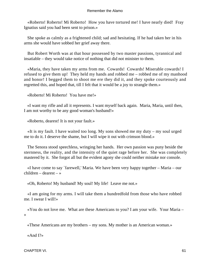«Roberto! Roberto! Mi Roberto! How you have tortured me! I have nearly died! Fray Ignatius said you had been sent to prison.»

 She spoke as calmly as a frightened child; sad and hesitating. If he had taken her in his arms she would have sobbed her grief away there.

 But Robert Worth was at that hour possessed by two master passions, tyrannical and insatiable – they would take notice of nothing that did not minister to them.

 «Maria, they have taken my arms from me. Cowards! Cowards! Miserable cowards! I refused to give them up! They held my hands and robbed me – robbed me of my manhood and honor! I begged them to shoot me ere they did it, and they spoke courteously and regretted this, and hoped that, till I felt that it would be a joy to strangle them.»

«Roberto! Mi Roberto! You have me!»

 «I want my rifle and all it represents. I want myself back again. Maria, Maria, until then, I am not worthy to be any good woman's husband!»

«Roberto, dearest! It is not your fault.»

 «It is my fault. I have waited too long. My sons showed me my duty – my soul urged me to do it. I deserve the shame, but I will wipe it out with crimson blood.»

 The Senora stood speechless, wringing her hands. Her own passion was puny beside the sternness, the reality, and the intensity of the quiet rage before her. She was completely mastered by it. She forgot all but the evident agony she could neither mistake nor console.

 «I have come to say `farewell,' Maria. We have been very happy together – Maria – our children – dearest – »

«Oh, Roberto! My husband! My soul! My life! Leave me not.»

 «I am going for my arms. I will take them a hundredfold from those who have robbed me. I swear I will!»

 «You do not love me. What are these Americans to you? I am your wife. Your Maria – »

«These Americans are my brothers – my sons. My mother is an American woman.»

«And I?»

CHAPTER VI. 61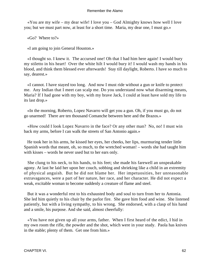«You are my wife – my dear wife! I love you – God Almighty knows how well I love you; but we must part now, at least for a short time. Maria, my dear one, I must go.»

«Go? Where to?»

«I am going to join General Houston.»

 «I thought so. I knew it. The accursed one! Oh that I had him here again! I would bury my stiletto in his heart! Over the white hilt I would bury it! I would wash my hands in his blood, and think them blessed ever afterwards! Stay till daylight, Roberto. I have so much to say, dearest.»

 «I cannot. I have stayed too long. And now I must ride without a gun or knife to protect me. Any Indian that I meet can scalp me. Do you understand now what disarming means, Maria? If I had gone with my boy, with my brave Jack, I could at least have sold my life to its last drop.»

 «In the morning, Roberto, Lopez Navarro will get you a gun. Oh, if you must go, do not go unarmed! There are ten thousand Comanche between here and the Brazos.»

 «How could I look Lopez Navarro in the face? Or any other man? No, no! I must win back my arms, before I can walk the streets of San Antonio again.»

 He took her in his arms, he kissed her eyes, her cheeks, her lips, murmuring tender little Spanish words that meant, oh, so much, to the wretched woman! – words she had taught him with kisses – words he never used but to her ears only.

 She clung to his neck, to his hands, to his feet; she made his farewell an unspeakable agony. At last he laid her upon her couch, sobbing and shrieking like a child in an extremity of physical anguish. But he did not blame her. Her impetuosities, her unreasonable extravagances, were a part of her nature, her race, and her character. He did not expect a weak, excitable woman to become suddenly a creature of flame and steel.

 But it was a wonderful rest to his exhausted body and soul to turn from her to Antonia. She led him quietly to his chair by the parlor fire. She gave him food and wine. She listened patiently, but with a living sympathy, to his wrong. She endorsed, with a clasp of his hand and a smile, his purpose. And she said, almost cheerfully:

 «You have not given up all your arms, father. When I first heard of the edict, I hid in my own room the rifle, the powder and the shot, which were in your study. Paola has knives in the stable; plenty of them. Get one from him.»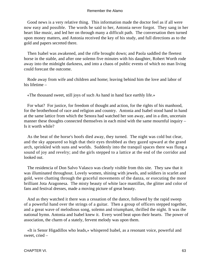Good news is a very relative thing. This information made the doctor feel as if all were now easy and possible. The words he said to her, Antonia never forgot. They sang in her heart like music, and led her on through many a difficult path. The conversation then turned upon money matters, and Antonia received the key of his study, and full directions as to the gold and papers secreted there.

 Then Isabel was awakened, and the rifle brought down; and Paola saddled the fleetest horse in the stable, and after one solemn five minutes with his daughter, Robert Worth rode away into the midnight darkness, and into a chaos of public events of which no man living could forecast the outcome.

 Rode away from wife and children and home; leaving behind him the love and labor of his lifetime –

«The thousand sweet, still joys of such As hand in hand face earthly life.»

 For what? For justice, for freedom of thought and action, for the rights of his manhood, for the brotherhood of race and religion and country. Antonia and Isabel stood hand in hand at the same lattice from which the Senora had watched her son away, and in a dim, uncertain manner these thoughts connected themselves in each mind with the same mournful inquiry – Is it worth while?

 As the beat of the horse's hoofs died away, they turned. The night was cold but clear, and the sky appeared so high that their eyes throbbed as they gazed upward at the grand arch, sprinkled with suns and worlds. Suddenly into the tranquil spaces there was flung a sound of joy and revelry; and the girls stepped to a lattice at the end of the corridor and looked out.

 The residencia of Don Salvo Valasco was clearly visible from this site. They saw that it was illuminated throughout. Lovely women, shining with jewels, and soldiers in scarlet and gold, were chatting through the graceful movements of the danza, or executing the more brilliant Jota Aragonesa. The misty beauty of white lace mantillas, the glitter and color of fans and festival dresses, made a moving picture of great beauty.

 And as they watched it there was a cessation of the dance, followed by the rapid sweep of a powerful hand over the strings of a guitar. Then a group of officers stepped together, and a great wave of melodious song, solemn and triumphant, thrilled the night. It was the national hymn. Antonia and Isabel knew it. Every word beat upon their hearts. The power of association, the charm of a stately, fervent melody was upon them.

 «It is Senor Higadillos who leads,» whispered Isabel, as a resonant voice, powerful and sweet, cried –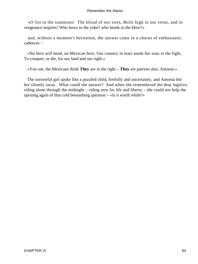«O list to the summons! The blood of our sires, Boils high in our veins, and to vengeance inspires! Who bows to the yoke? who bends to the blow?»

 and, without a moment's hesitation, the answer came in a chorus of enthusiastic cadences –

 «No hero will bend, no Mexican bow; Our country in tears sends her sons to the fight, To conquer, or die, for our land and our right.»

«You see, the Mexicans think **They** are in the right – **They** are patriots also, Antonia.»

 The sorrowful girl spoke like a puzzled child, fretfully and uncertainly, and Antonia led her silently away. What could she answer? And when she remembered the dear fugitive, riding alone through the midnight – riding now for life and liberty – she could not help the uprising again of that cold benumbing question – «Is it worth while?»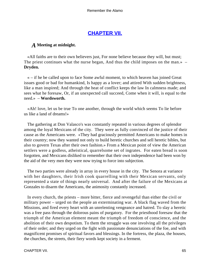# **[CHAPTER VII.](#page-189-0)**

# *A* **Meeting at midnight.**

 «All faiths are to their own believers just, For none believe because they will, but must; The priest continues what the nurse began, And thus the child imposes on the man.» – **Dryden.**

 « – if he be called upon to face Some awful moment, to which heaven has joined Great issues good or bad for humankind, Is happy as a lover; and attired With sudden brightness, like a man inspired; And through the heat of conflict keeps the law In calmness made; and sees what he foresaw, Or, if an unexpected call succeed, Come when it will, is equal to the need.» – **Wordsworth.**

 «Ah! love, let us be true To one another, through the world which seems To lie before us like a land of dreams!»

 The gathering at Don Valasco's was constantly repeated in various degrees of splendor among the loyal Mexicans of the city. They were as fully convinced of the justice of their cause as the Americans were. «They had graciously permitted Americans to make homes in their country; now they wanted not only to build heretic churches and sell heretic bibles, but also to govern Texas after their own fashion.» From a Mexican point of view the American settlers were a godless, atheistical, quarrelsome set of ingrates. For eaten bread is soon forgotten, and Mexicans disliked to remember that their own independence had been won by the aid of the very men they were now trying to force into subjection.

 The two parties were already in array in every house in the city. The Senora at variance with her daughters, their Irish cook quarrelling with their Mexican servants, only represented a state of things nearly universal. And after the failure of the Mexicans at Gonzales to disarm the Americans, the animosity constantly increased.

 In every church, the priests – more bitter, fierce and revengeful than either the civil or military power – urged on the people an exterminating war. A black flag waved from the Missions, and fired every heart with an unrelenting vengeance and hatred. To slay a heretic was a free pass through the dolorous pains of purgatory. For the priesthood foresaw that the triumph of the American element meant the triumph of freedom of conscience, and the abolition of their own despotism. To them the struggle was one involving all the privileges of their order; and they urged on the fight with passionate denunciations of the foe, and with magnificent promises of spiritual favors and blessings. In the fortress, the plaza, the houses, the churches, the streets, their fiery words kept society in a ferment.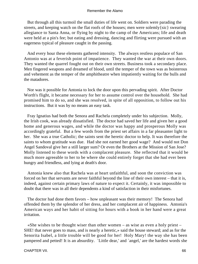But through all this turmoil the small duties of life went on. Soldiers were parading the streets, and keeping watch on the flat roofs of the houses; men were solemly{sic} swearing allegiance to Santa Anna, or flying by night to the camp of the Americans; life and death were held at a pin's fee; but eating and dressing, dancing and flirting were pursued with an eagerness typical of pleasure caught in the passing.

 And every hour these elements gathered intensity. The always restless populace of San Antonio was at a feverish point of impatience. They wanted the war at their own doors. They wanted the quarrel fought out on their own streets. Business took a secondary place. Men fingered weapons and dreamed of blood, until the temper of the town was as boisterous and vehement as the temper of the amphitheatre when impatiently waiting for the bulls and the matadores.

 Nor was it possible for Antonia to lock the door upon this pervading spirit. After Doctor Worth's flight, it became necessary for her to assume control over the household. She had promised him to do so, and she was resolved, in spite of all opposition, to follow out his instructions. But it was by no means an easy task.

 Fray Ignatius had both the Senora and Rachela completely under his subjection. Molly, the Irish cook, was already dissatisfied. The doctor had saved her life and given her a good home and generous wages, and while the doctor was happy and prosperous Molly was accordingly grateful. But a few words from the priest set affairs in a far pleasanter light to her. She was a true Catholic; the saints sent the heretic doctor to help. It was therefore the saints to whom gratitude was due. Had she not earned her good wage? And would not Don Angel Sandoval give her a still larger sum? Or even the Brothers at the Mission of San Jose? Molly listened to these words with a complacent pleasure. She reflected that it would be much more agreeable to her to be where she could entirely forget that she had ever been hungry and friendless, and lying at death's door.

 Antonia knew also that Rachela was at heart unfaithful, and soon the conviction was forced on her that servants are never faithful beyond the line of their own interest – that it is, indeed, against certain primary laws of nature to expect it. Certainly, it was impossible to doubt that there was in all their dependents a kind of satisfaction in their misfortunes.

 The doctor had done them favors – how unpleasant was their memory! The Senora had offended them by the splendor of her dress, and her complacent air of happiness. Antonia's American ways and her habit of sitting for hours with a book in her hand were a great irritation.

 «She wishes to be thought wiser than other women – as wise as even a holy priest – SHE! that never goes to mass, and is nearly a heretic,» said the house steward; and as for the Senorita Isabel, a little trouble will be good for her! Holy Mary! the way she has been pampered and petted! It is an absurdity. `Little dear,' and `angel,' are the hardest words she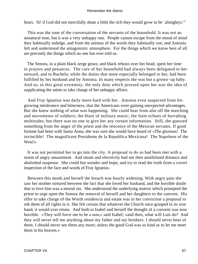hears. Si! if God did not mercifully abate a little the rich they would grow to be `almightys.'"

 This was the tone of the conversation of the servants of the household. It was not an unnatural tone, but it was a very unhappy one. People cannot escape from the mood of mind they habitually indulge, and from the animus of the words they habitually use; and Antonia felt and understood the antagonistic atmosphere. For the things which we know best of all are precisely the things which no one has ever told us.

 The Senora, in a plain black serge gown, and black rebozo over her head, spent her time in prayers and penances. The care of her household had always been delegated to her steward, and to Rachela; while the duties that more especially belonged to her, had been fulfilled by her husband and by Antonia. In many respects she was but a grown−up baby. And so, in this great extremity, the only duty which pressed upon her was the idea of supplicating the saints to take charge of her unhappy affairs.

 And Fray Ignatius was daily more hard with her. Antonia even suspected from his growing intolerance and bitterness, that the Americans were gaining unexpected advantages. But she knew nothing of what was happening. She could hear from afar off the marching and movements of soldiers; the blare of military music; the faint echoes of hurrahing multitudes; but there was no one to give her any certain information. Still, she guessed something from the anger of the priest and the reticence of the Mexican servants. If good fortune had been with Santa Anna, she was sure she would have heard of «The glorious! The invincible! The magnificent Presidente de la Republica Mexicana! The Napoleon of the West!»

 It was not permitted her to go into the city. A proposal to do so had been met with a storm of angry amazement. And steam and electricity had not then annihilated distance and abolished suspense. She could but wonder and hope, and try to read the truth from a covert inspection of the face and words of Fray Ignatius.

 Between this monk and herself the breach was hourly widening. With angry pain she saw her mother tortured between the fact that she loved her husband, and the horrible doubt that to love him was a mortal sin. She understood the underlying motive which prompted the priest to urge upon the Senora the removal of herself and her daughters to the convent. His offer to take charge of the Worth residencia and estate was in her conviction a proposal to rob them of all rights in it. She felt certain that whatever the Church once grasped in its iron hand, it would ever retain. And both to Isabel and herself the thought of a convent was now horrible. «They will force me to be a nun,» said Isabel; «and then, what will Luis do? And they will never tell me anything about my father and my brothers. I should never hear of them. I should never see them any more; unless the good God was so kind as to let me meet them in his heaven.»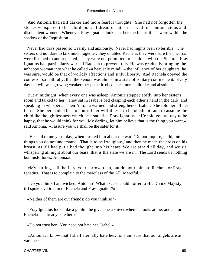And Antonia had still darker and more fearful thoughts. She had not forgotten the stories whispered to her childhood, of dreadful fates reserved for contumacious and disobedient women. Whenever Fray Ignatius looked at her she felt as if she were within the shadow of the Inquisition.

 Never had days passed so wearily and anxiously. Never had nights been so terrible. The sisters did not dare to talk much together; they doubted Rachela; they were sure their words were listened to and repeated. They were not permitted to be alone with the Senora. Fray Ignatius had particularly warned Rachela to prevent this. He was gradually bringing the unhappy woman into what he called «a heavenly mind» – the influence of her daughters, he was sure, would be that of worldly affections and sinful liberty. And Rachela obeyed the confessor so faithfully, that the Senora was almost in a state of solitary confinement. Every day her will was growing weaker, her pathetic obedience more childlike and absolute.

 But at midnight, when every one was asleep, Antonia stepped softly into her sister's room and talked to her. They sat in Isabel's bed clasping each other's hand in the dark, and speaking in whispers. Then Antonia warned and strengthened Isabel. She told her all her fears. She persuaded her to control her wilfulness, to be obedient, and to assume the childlike thoughtlessness which best satisfied Fray Ignatius. «He told you to−day to be happy, that he would think for you. My darling, let him believe that is the thing you want,» said Antonia. «I assure you we shall be the safer for it.»

 «He said to me yesterday, when I asked him about the war, `Do not inquire, child, into things you do not understand. That is to be irreligious,' and then he made the cross on his breast, as if I had put a bad thought into his heart. We are afraid all day, and we sit whispering all night about our fears; that is the state we are in. The Lord sends us nothing but misfortunes, Antonia.»

 «My darling, tell the Lord your sorrow, then, but do not repine to Rachela or Fray Ignatius. That is to complain to the merciless of the All−Merciful.»

 «Do you think I am wicked, Antonia? What excuse could I offer to His Divine Majesty, if I spoke evil to him of Rachela and Fray Ignatius?»

«Neither of them are our friends; do you think so?»

 «Fray Ignatius looks like a goblin; he gives me a shiver when he looks at me; and as for Rachela – I already hate her!»

«Do not trust her. You need not hate her, Isabel.»

 «Antonia, I know that I shall eternally hate her; for I am sure that our angels are at variance.»

CHAPTER VII. 68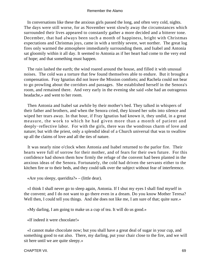In conversations like these the anxious girls passed the long, and often very cold, nights. The days were still worse, for as November went slowly away the circumstances which surrounded their lives appeared to constantly gather a more decided and a bitterer tone. December, that had always been such a month of happiness, bright with Christmas expectations and Christmas joys, came in with a terribly severe, wet norther. The great log fires only warmed the atmosphere immediately surrounding them, and Isabel and Antonia sat gloomily within it all day. It seemed to Antonia as if her heart had come to the very end of hope; and that something must happen.

 The rain lashed the earth; the wind roared around the house, and filled it with unusual noises. The cold was a torture that few found themselves able to endure. But it brought a compensation. Fray Ignatius did not leave the Mission comforts; and Rachela could not bear to go prowling about the corridors and passages. She established herself in the Senora's room, and remained there. And very early in the evening she said «she had an outrageous headache,» and went to her room.

 Then Antonia and Isabel sat awhile by their mother's bed. They talked in whispers of their father and brothers, and when the Senora cried, they kissed her sobs into silence and wiped her tears away. In that hour, if Fray Ignatius had known it, they undid, in a great measure, the work to which he had given more than a month of patient and deeply−reflective labor. For with the girls, there was the wondrous charm of love and nature; but with the priest, only a splendid ideal of a Church universal that was to swallow up all the claims of love and all the ties of nature.

 It was nearly nine o'clock when Antonia and Isabel returned to the parlor fire. Their hearts were full of sorrow for their mother, and of fears for their own future. For this confidence had shown them how firmly the refuge of the convent had been planted in the anxious ideas of the Senora. Fortunately, the cold had driven the servants either to the kitchen fire or to their beds, and they could talk over the subject without fear of interference.

«Are you sleepy, queridita?» – (little dear).

 «I think I shall never go to sleep again, Antonia. If I shut my eyes I shall find myself in the convent; and I do not want to go there even in a dream. Do you know Mother Teresa? Well then, I could tell you things. And she does not like me, I am sure of that; quite sure.»

«My darling, I am going to make us a cup of tea. It will do us good.»

«If indeed it were chocolate!»

 «I cannot make chocolate now; but you shall have a great deal of sugar in your cup, and something good to eat also. There, my darling, put your chair close to the fire, and we will sit here until we are quite sleepy.»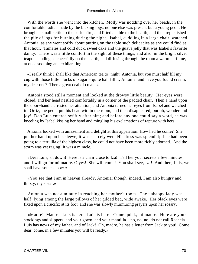With the words she went into the kitchen. Molly was nodding over her beads, in the comfortable radius made by the blazing logs; no one else was present but a young peon. He brought a small kettle to the parlor fire, and lifted a table to the hearth, and then replenished the pile of logs for burning during the night. Isabel, cuddling in a large chair, watched Antonia, as she went softly about putting on the table such delicacies as she could find at that hour. Tamales and cold duck, sweet cake and the guava jelly that was Isabel's favorite dainty. There was a little comfort in the sight of these things; and also, in the bright silver teapot standing so cheerfully on the hearth, and diffusing through the room a warm perfume, at once soothing and exhilarating.

 «I really think I shall like that American tea to−night, Antonia, but you must half fill my cup with those little blocks of sugar – quite half fill it, Antonia; and have you found cream, my dear one? Then a great deal of cream.»

 Antonia stood still a moment and looked at the drowsy little beauty. Her eyes were closed, and her head nestled comfortably in a corner of the padded chair. Then a hand upon the door−handle arrested her attention, and Antonia turned her eyes from Isabel and watched it. Ortiz, the peon, put his head within the room, and then disappeared; but oh, wonder and joy! Don Luis entered swiftly after him; and before any one could say a word, he was kneeling by Isabel kissing her hand and mingling his exclamations of rapture with hers.

 Antonia looked with amazement and delight at this apparition. How had he come? She put her hand upon his sleeve; it was scarcely wet. His dress was splendid; if he had been going to a tertullia of the highest class, he could not have been more richly adorned. And the storm was yet raging! It was a miracle.

 «Dear Luis, sit down! Here is a chair close to Iza! Tell her your secrets a few minutes, and I will go for mi madre. O yes! She will come! You shall see, Iza! And then, Luis, we shall have some supper.»

 «You see that I am in heaven already, Antonia; though, indeed, I am also hungry and thirsty, my sister.»

 Antonia was not a minute in reaching her mother's room. The unhappy lady was half−lying among the large pillows of her gilded bed, wide awake. Her black eyes were fixed upon a crucifix at its foot, and she was slowly murmuring prayers upon her rosary.

 «Madre! Madre! Luis is here, Luis is here! Come quick, mi madre. Here are your stockings and slippers, and your gown, and your mantilla – no, no, no, do not call Rachela. Luis has news of my father, and of Jack! Oh, madre, he has a letter from Jack to you! Come dear, come, in a few minutes you will be ready.»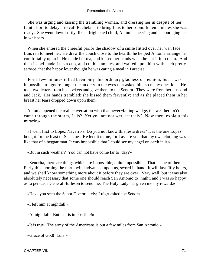She was urging and kissing the trembling woman, and dressing her in despite of her faint effort to delay – to call Rachela – to bring Luis to her room. In ten minutes she was ready. She went down softly, like a frightened child, Antonia cheering and encouraging her in whispers.

 When she entered the cheerful parlor the shadow of a smile flitted over her wan face. Luis ran to meet her. He drew the couch close to the hearth; he helped Antonia arrange her comfortably upon it. He made her tea, and kissed her hands when he put it into them. And then Isabel made Luis a cup, and cut his tamales, and waited upon him with such pretty service, that the happy lover thought he was eating a meal in Paradise.

 For a few minutes it had been only this ordinary gladness of reunion; but it was impossible to ignore longer the anxiety in the eyes that asked him so many questions. He took two letters from his pockets and gave them to the Senora. They were from her husband and Jack. Her hands trembled; she kissed them fervently; and as she placed them in her breast her tears dropped down upon them.

 Antonia opened the real conversation with that never−failing wedge, the weather. «You came through the storm, Luis? Yet you are not wet, scarcely? Now then, explain this miracle.»

 «I went first to Lopez Navarro's. Do you not know this festa dress? It is the one Lopez bought for the feast of St. James. He lent it to me, for I assure you that my own clothing was like that of a beggar man. It was impossible that I could see my angel on earth in it.»

«But in such weather? You can not have come far to−day?»

 «Senorita, there are things which are impossible, quite impossible! That is one of them. Early this morning the north wind advanced upon us, sword in hand. It will last fifty hours, and we shall know something more about it before they are over. Very well, but it was also absolutely necessary that some one should reach San Antonio to−night; and I was so happy as to persuade General Burleson to send me. The Holy Lady has given me my reward.»

«Have you seen the Senor Doctor lately; Luis,» asked the Senora.

«I left him at nightfall.»

«At nightfall! But that is impossible!»

«It is true. The army of the Americans is but a few miles from San Antonio.»

«Grace of God! Luis!»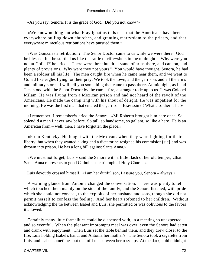«As you say, Senora. It is the grace of God. Did you not know?»

 «We know nothing but what Fray Ignatius tells us – that the Americans have been everywhere pulling down churches, and granting martyrdom to the priests, and that everywhere miraculous retributions have pursued them.»

 «Was Gonzales a retribution? The Senor Doctor came to us while we were there. God be blessed; but he startled us like the rattle of rifle−shots in the midnight! `Why were you not at Goliad?' he cried. `There were three hundred stand of arms there, and cannon, and plenty of provisions. Why were they not yours?' You would have thought, Senora, he had been a soldier all his life. The men caught fire when he came near them, and we went to Goliad like eagles flying for their prey. We took the town, and the garrison, and all the arms and military stores. I will tell you something that came to pass there. At midnight, as I and Jack stood with the Senor Doctor by the camp−fire, a stranger rode up to us. It was Colonel Milam. He was flying from a Mexican prison and had not heard of the revolt of the Americans. He made the camp ring with his shout of delight. He was impatient for the morning. He was the first man that entered the garrison. Bravissimo! What a soldier is he!»

 «I remember! I remember!» cried the Senora. «Mi Roberto brought him here once. So splendid a man I never saw before. So tall, so handsome, so gallant, so like a hero. He is an American from – well, then, I have forgotten the place.»

 «From Kentucky. He fought with the Mexicans when they were fighting for their liberty; but when they wanted a king and a dictator he resigned his commision{sic} and was thrown into prison. He has a long bill against Santa Anna.»

 «We must not forget, Luis,» said the Senora with a little flash of her old temper, «that Santa Anna represents to good Catholics the triumph of Holy Church.»

Luis devoutly crossed himself. «I am her dutiful son, I assure you, Senora – always.»

 A warning glance from Antonia changed the conversation. There was plenty to tell which touched them mainly on the side of the family, and the Senora listened, with pride which she could not conceal, to the exploits of her husband and sons, though she did not permit herself to confess the feeling. And her heart softened to her children. Without acknowledging the tie between Isabel and Luis, she permitted or was oblivious to the favors it allowed.

 Certainly many little formalities could be dispensed with, in a meeting so unexpected and so eventful. When the pleasant impromptu meal was over, even the Senora had eaten and drunk with enjoyment. Then Luis set the table behind them, and they drew closer to the fire, Luis holding Isabel's hand, and Antonia her mother's. The Senora took a cigarette from Luis, and Isabel sometimes put that of Luis between her rosy lips. At the dark, cold midnight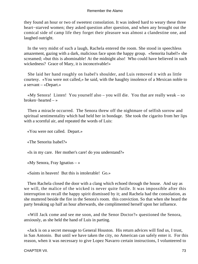they found an hour or two of sweetest consolation. It was indeed hard to weary these three heart−starved women; they asked question after question, and when any brought out the comical side of camp life they forget their pleasure was almost a clandestine one, and laughed outright.

 In the very midst of such a laugh, Rachela entered the room. She stood in speechless amazement, gazing with a dark, malicious face upon the happy group. «Senorita Isabel!» she screamed; «but this is abominable! At the midnight also! Who could have believed in such wickedness? Grace of Mary, it is inconceivable!»

 She laid her hand roughly on Isabel's shoulder, and Luis removed it with as little courtesy. «You were not called,» he said, with the haughty insolence of a Mexican noble to a servant – «Depart.»

 «My Senora! Listen! You yourself also – you will die. You that are really weak – so broken−hearted – »

 Then a miracle occurred. The Senora threw off the nightmare of selfish sorrow and spiritual sentimentality which had held her in bondage. She took the cigarito from her lips with a scornful air, and repeated the words of Luis:

«You were not called. Depart.»

«The Senorita Isabel?»

«Is in my care. Her mother's care! do you understand?»

«My Senora, Fray Ignatius – »

«Saints in heaven! But this is intolerable! Go.»

 Then Rachela closed the door with a clang which echoed through the house. And say as we will, the malice of the wicked is never quite futile. It was impossible after this interruption to recall the happy spirit dismissed by it; and Rachela had the consolation, as she muttered beside the fire in the Senora's room. this conviction. So that when she heard the party breaking up half an hour afterwards, she complimented herself upon her influence.

 «Will Jack come and see me soon, and the Senor Doctor?» questioned the Senora, anxiously, as she held the hand of Luis in parting.

 «Jack is on a secret message to General Houston. His return advices will find us, I trust, in San Antonio. But until we have taken the city, no American can safely enter it. For this reason, when it was necessary to give Lopez Navarro certain instructions, I volunteered to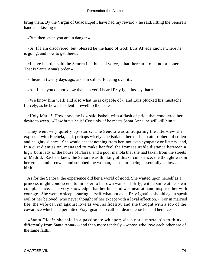bring them. By the Virgin of Guadalupe! I have had my reward,» he said, lifting the Senora's hand and kissing it.

«But, then, even you are in danger.»

 «Si! If I am discovered; but, blessed be the hand of God! Luis Alveda knows where he is going, and how to get there.»

 «I have heard,» said the Senora in a hushed voice, «that there are to be no prisoners. That is Santa Anna's order.»

«I heard it twenty days ago, and am still suffocating over it.»

«Ah, Luis, you do not know the man yet! I heard Fray Ignatius say that.»

 «We know him well; and also what he is capable of»; and Luis plucked his mustache fiercely, as he bowed a silent farewell to the ladies.

 «Holy Maria! How brave he is!» said Isabel, with a flash of pride that conquered her desire to weep. «How brave he is! Certainly, if he meets Santa Anna, he will kill him.»

 They went very quietly up−stairs. The Senora was anticipating the interview she expected with Rachela, and, perhaps wisely, she isolated herself in an atmosphere of sullen and haughty silence. She would accept nothing from her, not even sympathy or flattery; and, in a curt dismission, managed to make her feel the immeasurable distance between a high−born lady of the house of Flores, and a poor manola that she had taken from the streets of Madrid. Rachela knew the Senora was thinking of this circumstance; the thought was in her voice, and it cowed and snubbed the woman, her nature being essentially as low as her birth.

 As for the Senora, the experience did her a world of good. She waited upon herself as a princess might condescend to minister to her own wants – loftily, with a smile at her own complaisance. The very knowledge that her husband was near at hand inspired her with courage. She went to sleep assuring herself «that not even Fray Ignatius should again speak evil of her beloved, who never thought of her except with a loyal affection.» For in married life, the wife can sin against love as well as fidelity; and she thought with a sob of the cowardice which had permitted Fray Ignatius to call her dear one «rebel and heretic.»

 «Santa Dios!» she said in a passionate whisper; «it is not a mortal sin to think differently from Santa Anna» – and then more tenderly – «those who love each other are of the same faith.»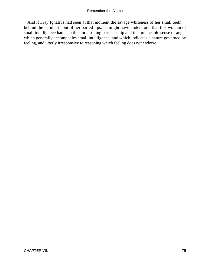And if Fray Ignatius had seen at that moment the savage whiteness of her small teeth behind the petulant pout of her parted lips, he might have understood that this woman of small intelligence had also the unreasoning partisanship and the implacable sense of anger which generally accompanies small intelligence, and which indicates a nature governed by feeling, and utterly irresponsive to reasoning which feeling does not endorse.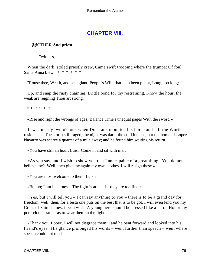## **[CHAPTER VIII.](#page-189-0)**

## *M*OTHER **And priest.**

.... "witness,

 When the dark−stoled priestly crew, Came swift trooping where the trumpet Of foul Santa Anna blew." \* \* \* \* \* \*

"Rouse thee, Wrath, and be a giant; People's Will, that hath been pliant, Long, too long;

 Up, and snap the rusty chaining, Brittle bond for thy restraining, Know the hour, the weak are reigning Thou art strong.

\* \* \* \* \* \*

«Rise and right the wrongs of ages; Balance Time's unequal pages With the sword.»

 It was nearly two o'clock when Don Luis mounted his horse and left the Worth residencia. The storm still raged, the night was dark, the cold intense, but the home of Lopez Navarro was scarce a quarter of a mile away; and he found him waiting his return.

«You have still an hour, Luis. Come in and sit with me.»

 «As you say; and I wish to show you that I am capable of a great thing. You do not believe me? Well, then give me again my own clothes. I will resign these.»

«You are most welcome to them, Luis.»

«But no; I am in earnest. The fight is at hand – they are too fine.»

 $\ll Y$ es, but I will tell you – I can say anything to you – there is to be a grand day for freedom; well, then, for a festa one puts on the best that is to be got. I will even lend you my Cross of Saint James, if you wish. A young hero should be dressed like a hero. Honor my poor clothes so far as to wear them in the fight.»

 «Thank you, Lopez. I will not disgrace them»; and he bent forward and looked into his friend's eyes. His glance prolonged his words – went further than speech – went where speech could not reach.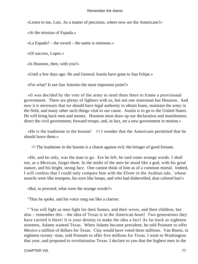«Listen to me, Luis. As a matter of precision, where now are the Americans?»

«At the mission of Espada.»

«La Espada? – the sword – the name is ominous.»

«Of success, Lopez.»

«Is Houston, then, with you?»

«Until a few days ago. He and General Austin have gone to San Felipe.»

«For what? Is not San Antonio the most important point?»

 «It was decided by the vote of the army to send them there to frame a provisional government. There are plenty of fighters with us, but not one statesman but Houston. And now it is necessary that we should have legal authority to obtain loans, maintain the army in the field, and many other such things vital to our cause. Austin is to go to the United States. He will bring back men and money. Houston must draw up our declaration and manifestoes; direct the civil government; forward troops; and, in fact, set a new government in motion.»

 «He is the loadstone in the bosom! [2] I wonder that the Americans permitted that he should leave them.»

[2] The loadstone in the bosom is a charm against evil; the bringer of good fortune.

 «He, and he only, was the man to go. Ere he left, he said some strange words. I shall not, as a Mexican, forget them. In the midst of the men he stood like a god, with his great stature, and his bright, strong face. One cannot think of him as of a common mortal. Indeed, I will confess that I could only compare him with the Efreet in the Arabian tale, `whose nostrils were like trumpets, his eyes like lamps, and who had dishevelled, dust colored hair'»

«But, to proceed; what were the strange words?»

"Thus he spoke, and his voice rang out like a clarion:

 "`You will fight as men fight for their homes, and their wives, and their children, but also – remember this – the idea of Texas is in the American heart! Two generations they have carried it there! It is your destiny to make the idea a fact! As far back as eighteen nineteen, Adams wanted Texas. When Adams became president, he told Poinsett to offer Mexico a million of dollars for Texas. Clay would have voted three millions. Van Buren, in eighteen twenty−nine, told Poinsett to offer five millions for Texas. I went to Washington that year, and proposed to revolutionize Texas. I declare to you that the highest men in the

CHAPTER VIII. 27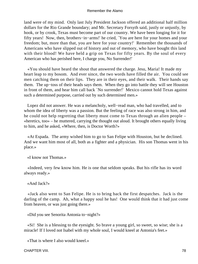land were of my mind. Only last July President Jackson offered an additional half million dollars for the Rio Grande boundary; and Mr. Secretary Forsyth said, justly or unjustly, by hook, or by crook, Texas must become part of our country. We have been longing for it for fifty years! Now, then, brothers−in−arms!' he cried, `You are here for your homes and your freedom; but, more than that, you are here for your country!' Remember the thousands of Americans who have slipped out of history and out of memory, who have bought this land with their blood! We have held a grip on Texas for fifty years. By the soul of every American who has perished here, I charge you, No Surrender!'

 «You should have heard the shout that answered the charge. Jesu, Maria! It made my heart leap to my bosom. And ever since, the two words have filled the air. You could see men catching them on their lips. They are in their eyes, and their walk. Their hands say them. The up−toss of their heads says them. When they go into battle they will see Houston in front of them, and hear him call back `No surrender!' Mexico cannot hold Texas against such a determined purpose, carried out by such determined men.»

 Lopez did not answer. He was a melancholy, well−read man, who had travelled, and to whom the idea of liberty was a passion. But the feeling of race was also strong in him, and he could not help regretting that liberty must come to Texas through an alien people – «heretics, too» – he muttered, carrying the thought out aloud. It brought others equally living to him, and he asked, «Where, then, is Doctor Worth?»

 «At Espada. The army wished him to go to San Felipe with Houston, but he declined. And we want him most of all, both as a fighter and a physician. His son Thomas went in his place.»

«I know not Thomas.»

 «Indeed, very few know him. He is one that seldom speaks. But his rifle has its word always ready.»

«And Jack?»

 «Jack also went to San Felipe. He is to bring back the first despatches. Jack is the darling of the camp. Ah, what a happy soul he has! One would think that it had just come from heaven, or was just going there.»

«Did you see Senorita Antonia to−night?»

 «Si! She is a blessing to the eyesight. So brave a young girl, so sweet, so wise; she is a miracle! If I loved not Isabel with my whole soul, I would kneel at Antonia's feet.»

«That is where I also would kneel.»

CHAPTER VIII. 28 and 20 and 20 and 20 and 20 and 20 and 20 and 20 and 20 and 20 and 20 and 20 and 20 and 20 and 20 and 20 and 20 and 20 and 20 and 20 and 20 and 20 and 20 and 20 and 20 and 20 and 20 and 20 and 20 and 20 an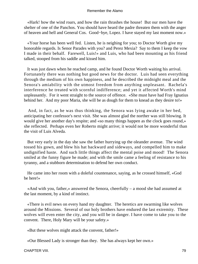«Hark! how the wind roars, and how the rain thrashes the house! But our men have the shelter of one of the Panchos. You should have heard the padre threaten them with the anger of heaven and hell and General Cos. Good−bye, Lopez. I have stayed my last moment now.»

 «Your horse has been well fed. Listen, he is neighing for you; to Doctor Worth give my honorable regards. Is Senor Parades with you? and Perez Mexia? Say to them I keep the vow I made in their behalf. Farewell, Luis!» and Luis, who had been mounting as his friend talked, stooped from his saddle and kissed him.

 It was just dawn when he reached camp, and he found Doctor Worth waiting his arrival. Fortunately there was nothing but good news for the doctor. Luis had seen everything through the medium of his own happiness, and he described the midnight meal and the Senora's amiability with the utmost freedom from anything unpleasant. Rachela's interference he treated with scornful indifference; and yet it affected Worth's mind unpleasantly. For it went straight to the source of offence. «She must have had Fray Ignatius behind her. And my poor Maria, she will be as dough for them to knead as they desire to!»

 And, in fact, as he was thus thinking, the Senora was lying awake in her bed, anticipating her confessor's next visit. She was almost glad the norther was still blowing. It would give her another day's respite; and «so many things happen as the clock goes round,» she reflected. Perhaps even her Roberto might arrive; it would not be more wonderful than the visit of Luis Alveda.

 But very early in the day she saw the father hurrying up the oleander avenue. The wind tossed his gown, and blew his hat backward and sideways, and compelled him to make undignified haste. And such little things affect the mental poise and mood! The Senora smiled at the funny figure he made; and with the smile came a feeling of resistance to his tyranny, and a stubborn determination to defend her own conduct.

 He came into her room with a doleful countenance, saying, as he crossed himself, «God be here!»

 «And with you, father,» answered the Senora, cheerfully – a mood she had assumed at the last moment, by a kind of instinct.

 «There is evil news on every hand my daughter. The heretics are swarming like wolves around the Missions. Several of our holy brothers have endured the last extremity. These wolves will even enter the city, and you will be in danger. I have come to take you to the convent. There, Holy Mary will be your safety.»

«But these wolves might attack the convent, father!»

«Our Blessed Lady is stronger than they. She has always kept her own.»

CHAPTER VIII. 29 20 20 20 21 22:30 22:30 23:30 24:30 25:30 25:30 25:30 25:30 25:30 25:30 25:30 25:30 25:30 25:30 25:30 25:30 25:30 25:30 25:30 25:30 25:30 25:30 25:30 25:30 25:30 25:30 25:30 25:30 25:30 25:30 25:30 25:30 2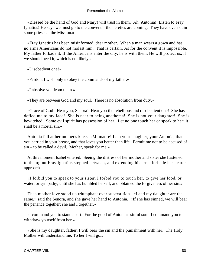«Blessed be the hand of God and Mary! will trust in them. Ah, Antonia! Listen to Fray Ignatius! He says we must go to the convent – the heretics are coming. They have even slain some priests at the Mission.»

 «Fray Ignatius has been misinformed, dear mother. When a man wears a gown and has no arms Americans do not molest him. That is certain. As for the convent it is impossible. My father forbade it. If the Americans enter the city, he is with them. He will protect us, if we should need it, which is not likely.»

«Disobedient one!»

«Pardon. I wish only to obey the commands of my father.»

«I absolve you from them.»

«They are between God and my soul. There is no absolution from duty.»

 «Grace of God! Hear you, Senora! Hear you the rebellious and disobedient one! She has defied me to my face! She is near to being anathema! She is not your daughter! She is bewitched. Some evil spirit has possession of her. Let no one touch her or speak to her; it shall be a mortal sin.»

 Antonia fell at her mother's knee. «Mi madre! I am your daughter, your Antonia, that you carried in your breast, and that loves you better than life. Permit me not to be accused of sin – to be called a devil. Mother, speak for me.»

 At this moment Isabel entered. Seeing the distress of her mother and sister she hastened to them; but Fray Ignatius stepped between, and extending his arms forbade her nearer approach.

 «I forbid you to speak to your sister. I forbid you to touch her, to give her food, or water, or sympathy, until she has humbled herself, and obtained the forgiveness of her sin.»

 Then mother love stood up triumphant over superstition. «I and my daughter are the same,» said the Senora, and she gave her hand to Antonia. «If she has sinned, we will bear the penance together; she and I together.»

 «I command you to stand apart. For the good of Antonia's sinful soul, I command you to withdraw yourself from her.»

 «She is my daughter, father. I will bear the sin and the punishment with her. The Holy Mother will understand me. To her I will go.»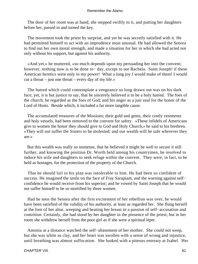The door of her room was at hand; she stepped swiftly to it, and putting her daughters before her, passed in and turned the key.

 The movement took the priest by surprise, and yet he was secretly satisfied with it. He had permitted himself to act with an imprudence most unusual. He had allowed the Senora to find out her own moral strength, and made a situation for her in which she had acted not only without his support, but against his authority.

 «And yet,» he muttered, «so much depends upon my persuading her into the convent; however, nothing now is to be done to− day, except to see Rachela. Saint Joseph! if these American heretics were only in my power! What a long joy I would make of them! I would cut a throat – just one throat – every day of my life.»

 The hatred which could contemplate a vengeance so long drawn out was on his dark face; yet, it is but justice to say, that he sincerely believed it to be a holy hatred. The foes of the church, he regarded as the foes of God; and his anger as a just zeal for the honor of the Lord of Hosts. Beside which, it included a far more tangible cause.

 The accumulated treasures of the Missions; their gold and gems, their costly vestments and holy vessels, had been removed to the convent for safety. «These infidels of Americans give to women the honor they should give to God and Holy Church,» he said to his brethren. «They will not suffer the Sisters to be molested; and our wealth will be safe wherever they are.»

 But this wealth was really so immense, that he believed it might be well to secure it still further, and knowing the position Dr. Worth held among his countrymen, he resolved to induce his wife and daughters to seek refuge within the convent. They were, in fact, to be held as hostages, for the protection of the property of the Church.

 That he should fail in his plan was intolerable to him. He had been so confident of success. He imagined the smile on the face of Fray Sarapiam, and the warning against self− confidence he would receive from his superior; and he vowed by Saint Joseph that he would not suffer himself to be so mortified by three women.

 Had he seen the Senora after the first excitement of her rebellion was over, he would have been satisfied of the validity of his authority, at least as regarded her. She flung herself at the foot of her altar, weeping and beating her breast in a passion of self−accusation and contrition. Certainly, she had stood by her daughter in the presence of the priest; but in her room she withdrew herself from the poor girl as if she were a spiritual leper.

 Antonia at a distance watched the self−abasement of her mother. She could not weep, but she was white as clay, and her heart was swollen with a sense of wrong and injustice, until breathing was almost suffocation. She looked with a piteous entreaty at Isabel. Her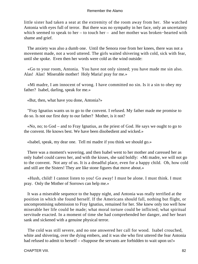little sister had taken a seat at the extremity of the room away from her. She watched Antonia with eyes full of terror. But there was no sympathy in her face, only an uncertainty which seemed to speak to her – to touch her – and her mother was broken−hearted with shame and grief.

 The anxiety was also a dumb one. Until the Senora rose from her knees, there was not a movement made, not a word uttered. The girls waited shivering with cold, sick with fear, until she spoke. Even then her words were cold as the wind outside:

 «Go to your room, Antonia. You have not only sinned; you have made me sin also. Alas! Alas! Miserable mother! Holy Maria! pray for me.»

 «Mi madre, I am innocent of wrong. I have committed no sin. Is it a sin to obey my father? Isabel, darling, speak for me.»

«But, then, what have you done, Antonia?»

 "Fray Ignatius wants us to go to the convent. I refused. My father made me promise to do so. Is not our first duty to our father? Mother, is it not?

 «No, no; to God – and to Fray Ignatius, as the priest of God. He says we ought to go to the convent. He knows best. We have been disobedient and wicked.»

«Isabel, speak, my dear one. Tell mi madre if you think we should go.»

 There was a moment's wavering, and then Isabel went to her mother and caressed her as only Isabel could caress her, and with the kisses, she said boldly: «Mi madre, we will not go to the convent. Not any of us. It is a dreadful place, even for a happy child. Oh, how cold and still are the Sisters! They are like stone figures that move about.»

 «Hush, child! I cannot listen to you! Go away! I must be alone. I must think. I must pray. Only the Mother of Sorrows can help me.»

 It was a miserable sequence to the happy night, and Antonia was really terrified at the position in which she found herself. If the Americans should fall, nothing but flight, or uncompromising submission to Fray Ignatius, remained for her. She knew only too well how miserable her life could be made; what moral torture could be inflicted; what spiritual servitude exacted. In a moment of time she had comprehended her danger, and her heart sank and sickened with a genuine physical terror.

 The cold was still severe, and no one answered her call for wood. Isabel crouched, white and shivering, over the dying embers, and it was she who first uttered the fear Antonia had refused to admit to herself – «Suppose the servants are forbidden to wait upon us!»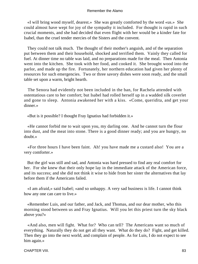«I will bring wood myself, dearest.» She was greatly comforted by the word «us.» She could almost have wept for joy of the sympathy it included. For thought is rapid in such crucial moments, and she had decided that even flight with her would be a kinder fate for Isabel, than the cruel tender mercies of the Sisters and the convent.

 They could not talk much. The thought of their mother's anguish, and of the separation put between them and their household, shocked and terrified them. Vainly they called for fuel. At dinner time no table was laid, and no preparations made for the meal. Then Antonia went into the kitchen. She took with her food, and cooked it. She brought wood into the parlor, and made up the fire. Fortunately, her northern education had given her plenty of resources for such emergencies. Two or three savory dishes were soon ready, and the small table set upon a warm, bright hearth.

 The Senora had evidently not been included in the ban, for Rachela attended with ostentatious care to her comfort; but Isabel had rolled herself up in a wadded silk coverlet and gone to sleep. Antonia awakened her with a kiss. «Come, queridita, and get your dinner.»

«But is it possible? I thought Fray Ignatius had forbidden it.»

 «He cannot forbid me to wait upon you, my darling one. And he cannot turn the flour into dust, and the meat into stone. There is a good dinner ready; and you are hungry, no doubt.»

 «For three hours I have been faint. Ah! you have made me a custard also! You are a very comforter.»

 But the girl was still and sad, and Antonia was hard pressed to find any real comfort for her. For she knew that their only hope lay in the immediate attack of the American force, and its success; and she did not think it wise to hide from her sister the alternatives that lay before them if the Americans failed.

 «I am afraid,» said Isabel; «and so unhappy. A very sad business is life. I cannot think how any one can care to live.»

 «Remember Luis, and our father, and Jack, and Thomas, and our dear mother, who this morning stood between us and Fray Ignatius. Will you let this priest turn the sky black above you?»

 «And also, men will fight. What for? Who can tell? The Americans want so much of everything. Naturally they do not get all they want. What do they do? Fight, and get killed. Then they go into the next world, and complain of people. As for Luis, I do not expect to see him again.»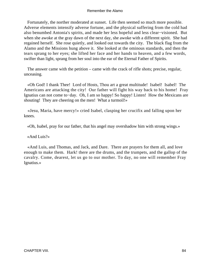Fortunately, the norther moderated at sunset. Life then seemed so much more possible. Adverse elements intensify adverse fortune, and the physical suffering from the cold had also benumbed Antonia's spirits, and made her less hopeful and less clear−visioned. But when she awoke at the gray dawn of the next day, she awoke with a different spirit. She had regained herself. She rose quietly, and looked out towards the city. The black flag from the Alamo and the Missions hung above it. She looked at the ominous standards, and then the tears sprang to her eyes; she lifted her face and her hands to heaven, and a few words, swifter than light, sprang from her soul into the ear of the Eternal Father of Spirits.

 The answer came with the petition – came with the crack of rifle shots; precise, regular, unceasing.

 «Oh God! I thank Thee! Lord of Hosts, Thou art a great multitude! Isabel! Isabel! The Americans are attacking the city! Our father will fight his way back to his home! Fray Ignatius can not come to−day. Oh, I am so happy! So happy! Listen! How the Mexicans are shouting! They are cheering on the men! What a turmoil!»

 «Jesu, Maria, have mercy!» cried Isabel, clasping her crucifix and falling upon her knees.

«Oh, Isabel, pray for our father, that his angel may overshadow him with strong wings.»

«And Luis?»

 «And Luis, and Thomas, and Jack, and Dare. There are prayers for them all, and love enough to make them. Hark! there are the drums, and the trumpets, and the gallop of the cavalry. Come, dearest, let us go to our mother. To day, no one will remember Fray Ignatius.»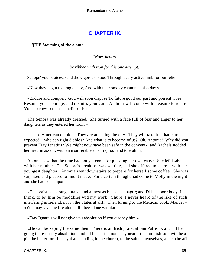# **[CHAPTER IX.](#page-189-0)**

## *T*HE **Storming of the alamo.**

*"Now, hearts,*

### *Be ribbed with iron for this one attempt:*

Set ope' your sluices, send the vigorous blood Through every active limb for our relief."

«Now they begin the tragic play, And with their smoky cannon banish day.»

 «Endure and conquer. God will soon dispose To future good our past and present woes: Resume your courage, and dismiss your care; An hour will come with pleasure to relate Your sorrows past, as benefits of Fate.»

 The Senora was already dressed. She turned with a face full of fear and anger to her daughters as they entered her room –

 «These American diablos! They are attacking the city. They will take it – that is to be expected – who can fight diablos? And what is to become of us? Oh, Antonia! Why did you prevent Fray Ignatius? We might now have been safe in the convent», and Rachela nodded her head in assent, with an insufferable air of reproof and toleration.

 Antonia saw that the time had not yet come for pleading her own cause. She left Isabel with her mother. The Senora's breakfast was waiting, and she offered to share it with her youngest daughter. Antonia went downstairs to prepare for herself some coffee. She was surprised and pleased to find it made. For a certain thought had come to Molly in the night and she had acted upon it –

 «The praist is a strange praist, and almost as black as a nagur; and I'd be a poor body, I think, to let him be meddling wid my work. Shure, I never heard of the like of such interfering in Ireland, nor in the States at all!» Then turning to the Mexican cook, Manuel – «You may lave the fire alone till I bees done wid it.»

«Fray Ignatius will not give you absolution if you disobey him.»

 «He can be kaping the same then. There is an Irish praist at San Patricio, and I'll be going there for my absolution; and I'll be getting none any nearer that an Irish soul will be a pin the better for. I'll say that, standing in the church, to the saints themselves; and so be aff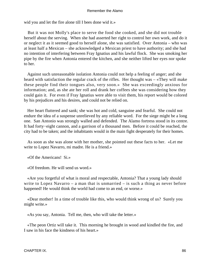wid you and let the fire alone till I bees done wid it.»

 But it was not Molly's place to serve the food she cooked, and she did not trouble herself about the serving. When she had asserted her right to control her own work, and do it or neglect it as it seemed good to herself alone, she was satisfied. Over Antonia – who was at least half a Mexican – she acknowledged a Mexican priest to have authority; and she had no intention of interfering between Fray Ignatius and his lawful flock. She was smoking her pipe by the fire when Antonia entered the kitchen, and she neither lifted her eyes nor spoke to her.

 Against such unreasonable isolation Antonia could not help a feeling of anger; and she heard with satisfaction the regular crack of the rifles. Her thought was – «They will make these people find their tongues also, very soon.» She was exceedingly anxious for information; and, as she ate her roll and drank her coffees she was considering how they could gain it. For even if Fray Ignatius were able to visit them, his report would be colored by his prejudices and his desires, and could not be relied on.

 Her heart fluttered and sank; she was hot and cold, sanguine and fearful. She could not endure the idea of a suspense unrelieved by any reliable word. For the siege might be a long one. San Antonio was strongly walled and defended. The Alamo fortress stood in its centre. It had forty−eight cannon, and a garrison of a thousand men. Before it could be reached, the city had to be taken; and the inhabitants would in the main fight desperately for their homes.

 As soon as she was alone with her mother, she pointed out these facts to her. «Let me write to Lopez Navarro, mi madre. He is a friend.»

«Of the Americans! Si.»

«Of freedom. He will send us word.»

 «Are you forgetful of what is moral and respectable, Antonia? That a young lady should write to Lopez Navarro – a man that is unmarried – is such a thing as never before happened! He would think the world had come to an end, or worse.»

 «Dear mother! In a time of trouble like this, who would think wrong of us? Surely you might write.»

«As you say, Antonia. Tell me, then, who will take the letter.»

 «The peon Ortiz will take it. This morning he brought in wood and kindled the fire, and I saw in his face the kindness of his heart.»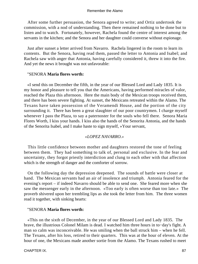After some further persuasion, the Senora agreed to write; and Ortiz undertook the commission, with a nod of understanding. Then there remained nothing to be done but to listen and to watch. Fortunately, however, Rachela found the centre of interest among the servants in the kitchen; and the Senora and her daughter could converse without espionage.

 Just after sunset a letter arrived from Navarro. Rachela lingered in the room to learn its contents. But the Senora, having read them, passed the letter to Antonia and Isabel; and Rachela saw with anger that Antonia, having carefully considered it, threw it into the fire. And yet the news it brought was not unfavorable:

### "SENORA **Maria flores worth:**

 «I send this on December the fifth, in the year of our Blessed Lord and Lady 1835. It is my honor and pleasure to tell you that the Americans, having performed miracles of valor, reached the Plaza this afternoon. Here the main body of the Mexican troops received them, and there has been severe fighting. At sunset, the Mexicans retreated within the Alamo. The Texans have taken possession of the Veramendi House, and the portion of the city surrounding it. There has been a great slaughter of our poor countrymen. I charge myself whenever I pass the Plaza, to say a paternoster for the souls who fell there. Senora Maria Flores Worth, I kiss your hands. I kiss also the hands of the Senorita Antonia, and the hands of the Senorita Isabel, and I make haste to sign myself, »Your servant,

## *«LOPEZ NAVARRO.»*

 This little confidence between mother and daughters restored the tone of feeling between them. They had something to talk of, personal and exclusive. In the fear and uncertainty, they forgot priestly interdiction and clung to each other with that affection which is the strength of danger and the comforter of sorrow.

 On the following day the depression deepened. The sounds of battle were closer at hand. The Mexican servants had an air of insolence and triumph. Antonia feared for the evening's report – if indeed Navarro should be able to send one. She feared more when she saw the messenger early in the afternoon. «Too early is often worse than too late.» The proverb shivered upon her trembling lips as she took the letter from him. The three women read it together, with sinking hearts:

## "SENORA **Maria flores worth:**

 «This on the sixth of December, in the year of our Blessed Lord and Lady 1835. The brave, the illustrious Colonel Milam is dead. I watched him three hours in to−day's fight. A man so calm was inconceivable. He was smiling when the ball struck him – when he fell. The Texans, after his loss, retired to their quarters. This was at the hour of eleven. At the hour of one, the Mexicans made another sortie from the Alamo. The Texans rushed to meet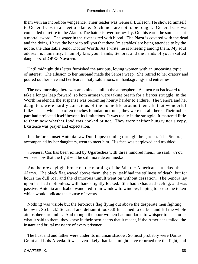them with an incredible vengeance. Their leader was General Burleson. He showed himself to General Cos in a sheet of flame. Such men are not to be fought. General Cos was compelled to retire to the Alamo. The battle is over for to−day. On this earth the soul has but a mortal sword. The water in the river is red with blood. The Plaza is covered with the dead and the dying. I have the honor to tell you that these `miserables' are being attended to by the noble, the charitable Senor Doctor Worth. As I write, he is kneeling among them. My soul adores his humanity. I humbly kiss your hands, Senora, and the hands of your exalted daughters. »LOPEZ **Navarro.**

 Until midnight this letter furnished the anxious, loving women with an unceasing topic of interest. The allusion to her husband made the Senora weep. She retired to her oratory and poured out her love and her fears in holy salutations, in thanksgivings and entreaties.

 The next morning there was an ominous lull in the atmosphere. As men run backward to take a longer leap forward, so both armies were taking breath for a fiercer struggle. In the Worth residencia the suspense was becoming hourly harder to endure. The Senora and her daughters were hardly conscious of the home life around them. In that wonderful folk−speech which so often touches foundation truths, they were not all there. Their nobler part had projected itself beyond its limitations. It was really in the struggle. It mattered little to them now whether food was cooked or not. They were neither hungry nor sleepy. Existence was prayer and expectation.

 Just before sunset Antonia saw Don Lopez coming through the garden. The Senora, accompanied by her daughters, went to meet him. His face was perplexed and troubled:

 «General Cos has been joined by Ugartechea with three hundred men,» he said. «You will see now that the fight will be still more determined.»

 And before daylight broke on the morning of the 5th, the Americans attacked the Alamo. The black flag waved above them; the city itself had the stillness of death; but for hours the dull roar and the clamorous tumult went on without cessation. The Senora lay upon her bed motionless, with hands tightly locked. She had exhausted feeling, and was passive. Antonia and Isabel wandered from window to window, hoping to see some token which would indicate the course of events.

 Nothing was visible but the ferocious flag flying out above the desperate men fighting below it. So black! So cruel and defiant it looked! It seemed to darken and fill the whole atmosphere around it. And though the poor women had not dared to whisper to each other what it said to them, they knew in their own hearts that it meant, if the Americans failed, the instant and brutal massacre of every prisoner.

 The husband and father were under its inhuman shadow. So most probably were Darius Grant and Luis Alveda. It was even likely that Jack might have returned ere the fight, and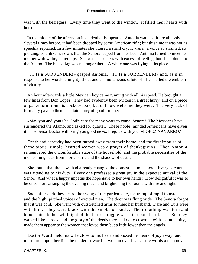was with the besiegers. Every time they went to the window, it filled their hearts with horror.

 In the middle of the afternoon it suddenly disappeared. Antonia watched it breathlessly. Several times before, it had been dropped by some American rifle; but this time it was not as speedily replaced. In a few minutes she uttered a shrill cry. It was in a voice so strained, so piercing, so unlike her own, that the Senora leaped from her bed. Antonia turned to meet her mother with white, parted lips. She was speechless with excess of feeling, but she pointed to the Alamo. The black flag was no longer there! A white one was flying in its place.

 «IT **Is a** SURRENDER!» gasped Antonia. «IT **Is a** SURRENDER!» and, as if in response to her words, a mighty shout and a simultaneous salute of rifles hailed the emblem of victory.

 An hour afterwards a little Mexican boy came running with all his speed. He brought a few lines from Don Lopez. They had evidently been written in a great hurry, and on a piece of paper torn from his pocket−book, but oh! how welcome they were. The very lack of formality gave to them a certain hurry of good fortune:

 «May you and yours be God's care for many years to come, Senora! The Mexicans have surrendered the Alamo, and asked for quarter. These noble−minded Americans have given it. The Senor Doctor will bring you good news. I rejoice with you. »LOPEZ NAVARRO."

 Death and captivity had been turned away from their home, and the first impulse of these pious, simple−hearted women was a prayer of thanksgiving. Then Antonia remembered the uncomfortable state of the household, and the probable necessities of the men coming back from mortal strife and the shadow of death.

 She found that the news had already changed the domestic atmosphere. Every servant was attending to his duty. Every one professed a great joy in the expected arrival of the Senor. And what a happy impetus the hope gave to her own hands! How delightful it was to be once more arranging the evening meal, and brightening the rooms with fire and light!

 Soon after dark they heard the swing of the garden gate, the tramp of rapid footsteps, and the high−pitched voices of excited men. The door was flung wide. The Senora forgot that it was cold. She went with outstretched arms to meet her husband. Dare and Luis were with him. They were black with the smoke of battle. Their clothing was torn and bloodstained; the awful light of the fierce struggle was still upon their faces. But they walked like heroes, and the glory of the deeds they had done crowned with its humanity, made them appear to the women that loved them but a little lower than the angels.

 Doctor Worth held his wife close to his heart and kissed her tears of joy away, and murmured upon her lips the tenderest words a woman ever hears – the words a man never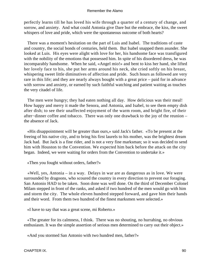perfectly learns till he has loved his wife through a quarter of a century of change, and sorrow, and anxiety. And what could Antonia give Dare but the embrace, the kiss, the sweet whispers of love and pride, which were the spontaneous outcome of both hearts?

 There was a moment's hesitation on the part of Luis and Isabel. The traditions of caste and country, the social bonds of centuries, held them. But Isabel snapped them asunder. She looked at Luis. His eyes were alight with love for her, his handsome face was transfigured with the nobility of the emotions that possessed him. In spite of his disordered dress, he was incomparably handsome. When he said, «Angel mio!» and bent to kiss her hand, she lifted her lovely face to his, she put her arms around his neck, she cried softly on his breast, whispering sweet little diminutives of affection and pride. Such hours as followed are very rare in this life; and they are nearly always bought with a great price – paid for in advance with sorrow and anxiety, or earned by such faithful watching and patient waiting as touches the very citadel of life.

 The men were hungry; they had eaten nothing all day. How delicious was their meal! How happy and merry it made the Senora, and Antonia, and Isabel, to see them empty dish after dish; to see their unaffected enjoyment of the warm room, and bright fire, of their after−dinner coffee and tobacco. There was only one drawback to the joy of the reunion – the absence of Jack.

 «His disappointment will be greater than ours,» said Jack's father. «To be present at the freeing of his native city, and to bring his first laurels to his mother, was the brightest dream Jack had. But Jack is a fine rider, and is not a very fine marksman; so it was decided to send him with Houston to the Convention. We expected him back before the attack on the city began. Indeed, we were waiting for orders from the Convention to undertake it.»

«Then you fought without orders, father?»

 «Well, yes, Antonia – in a way. Delays in war are as dangerous as in love. We were surrounded by dragoons, who scoured the country in every direction to prevent our foraging. San Antonio HAD to be taken. Soon done was well done. On the third of December Colonel Milam stepped in front of the ranks, and asked if two hundred of the men would go with him and storm the city. The whole eleven hundred stepped forward, and gave him their hands and their word. From them two hundred of the finest marksmen were selected.»

«I have to say that was a great scene, mi Roberto.»

 «The greater for its calmness, I think. There was no shouting, no hurrahing, no obvious enthusiasm. It was the simple assertion of serious men determined to carry out their object.»

«And you stormed San Antonio with two hundred men, father?»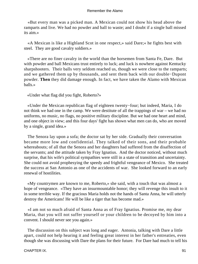«But every man was a picked man. A Mexican could not show his head above the ramparts and live. We had no powder and ball to waste; and I doubt if a single ball missed its aim.»

 «A Mexican is like a Highland Scot in one respect,» said Dare;« he fights best with steel. They are good cavalry soldiers.»

 «There are no finer cavalry in the world than the horsemen from Santa Fe, Dare. But with powder and ball Mexicans trust entirely to luck; and luck is nowhere against Kentucky sharpshooters. Their balls very seldom reached us, though we were close to the ramparts; and we gathered them up by thousands, and sent them back with our double−Dupont powder. **Then** they did damage enough. In fact, we have taken the Alamo with Mexican balls.»

«Under what flag did you fight, Roberto?»

 «Under the Mexican republican flag of eighteen twenty−four; but indeed, Maria, I do not think we had one in the camp. We were destitute of all the trappings of war – we had no uniforms, no music, no flags, no positive military discipline. But we had one heart and mind, and one object in view; and this four days' fight has shown what men can do, who are moved by a single, grand idea.»

 The Senora lay upon a sofa; the doctor sat by her side. Gradually their conversation became more low and confidential. They talked of their sons, and their probable whereabouts; of all that the Senora and her daughters had suffered from the disaffection of the servants; and the attitude taken by Fray Ignatius. And the doctor noticed, without much surprise, that his wife's political sympathies were still in a state of transition and uncertainty. She could not avoid prophesying the speedy and frightful vengeance of Mexico. She treated the success at San Antonio as one of the accidents of war. She looked forward to an early renewal of hostilities.

 «My countrymen are known to me, Roberto,» she said, with a touch that was almost a hope of vengeance. «They have an insurmountable honor; they will revenge this insult to it in some terrible way. If the gracious Maria holds not the hands of Santa Anna, he will utterly destroy the Americans! He will be like a tiger that has become mad.»

 «I am not so much afraid of Santa Anna as of Fray Ignatius. Promise me, my dear Maria, that you will not suffer yourself or your children to be decoyed by him into a convent. I should never see you again.»

 The discussion on this subject was long and eager. Antonia, talking with Dare a little apart, could not help hearing it and feeling great interest in her father's entreaties, even though she was discussing with Dare the plans for their future. For Dare had much to tell his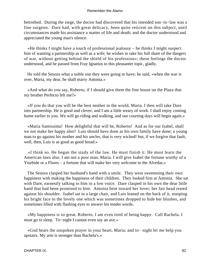betrothed. During the siege, the doctor had discovered that his intended son−in−law was a fine surgeon. Dare had, with great delicacy, been quite reticent on this subject, until circumstances made his assistance a matter of life and death; and the doctor understood and appreciated the young man's silence.

 «He thinks I might have a touch of professional jealousy – he thinks I might suspect him of wanting a partnership as well as a wife; he wishes to take his full share of the dangers of war, without getting behind the shield of his profession»; these feelings the doctor understood, and he passed from Fray Ignatius to this pleasanter topic, gladly.

 He told the Senora what a noble son they were going to have; he said, «when the war is over, Maria, my dear, he shall marry Antonia.»

 «And what do you say, Roberto, if I should give them the fine house on the Plaza that my brother Perfecto left me?»

 «If you do that you will be the best mother in the world, Maria. I then will take Dare into partnership. He is good and clever; and I am a little weary of work. I shall enjoy coming home earlier to you. We will go riding and walking, and our courting days will begin again.»

 «Maria Santissima! How delightful that will be, Roberto! And as for our Isabel, shall we not make her happy also? Luis should have done as his own family have done; a young man to go against his mother and his uncles, that is very wicked! but, if we forgive that fault, well, then, Luis is as good as good bread.»

 «I think so. He began the study of the law. He must finish it. He must learn the American laws also. I am not a poor man, Maria. I will give Isabel the fortune worthy of a Yturbide or a Flores – a fortune that will make her very welcome to the Alvedas.»

 The Senora clasped her husband's hand with a smile. They were sweetening their own happiness with making the happiness of their children. They looked first at Antonia. She sat with Dare, earnestly talking to him in a low voice. Dare clasped in his own the dear little hand that had been promised to him. Antonia bent toward her lover; her fair head rested against his shoulder. Isabel sat in a large chair, and Luis leaned on the back of it, stooping his bright face to the lovely one which was sometimes dropped to hide her blushes, and sometimes lifted with flashing eyes to answer his tender words.

 «My happiness is so great, Roberto, I am even tired of being happy. Call Rachela. I must go to sleep. To−night I cannot even say an ave.»

 «God hears the unspoken prayer in your heart, Maria; and to− night let me help you upstairs. My arm is stronger than Rachela's.»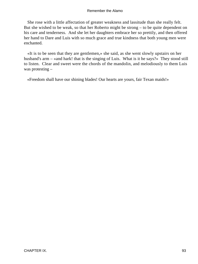She rose with a little affectation of greater weakness and lassitude than she really felt. But she wished to be weak, so that her Roberto might be strong – to be quite dependent on his care and tenderness. And she let her daughters embrace her so prettily, and then offered her hand to Dare and Luis with so much grace and true kindness that both young men were enchanted.

 «It is to be seen that they are gentlemen,» she said, as she went slowly upstairs on her husband's arm – «and hark! that is the singing of Luis. What is it he says?» They stood still to listen. Clear and sweet were the chords of the mandolin, and melodiously to them Luis was protesting –

«Freedom shall have our shining blades! Our hearts are yours, fair Texan maids!»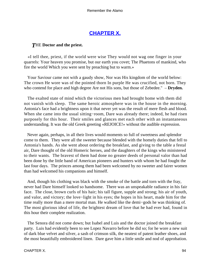## **[CHAPTER X.](#page-189-0)**

## *T*HE **Doctor and the priest.**

 «I tell thee, priest, if the world were wise They would not wag one finger in your quarrels: Your heaven you promise, but our earth you covet; The Phaetons of mankind, who fire the world Which you were sent by preaching but to warm.»

 Your Saviour came not with a gaudy show, Nor was His kingdom of the world below: The crown He wore was of the pointed thorn In purple He was crucified, not born. They who contend for place and high degree Are not His sons, but those of Zebedee." – **Dryden.**

 The exalted state of mind which the victorious men had brought home with them did not vanish with sleep. The same heroic atmosphere was in the house in the morning. Antonia's face had a brightness upon it that never yet was the result of mere flesh and blood. When she came into the usual sitting−room, Dare was already there; indeed, he had risen purposely for this hour. Their smiles and glances met each other with an instantaneous understanding. It was the old Greek greeting «REJOICE!» without the audible expression.

 Never again, perhaps, in all their lives would moments so full of sweetness and splendor come to them. They were all the sweeter because blended with the homely duties that fell to Antonia's hands. As she went about ordering the breakfast, and giving to the table a festal air, Dare thought of the old Homeric heroes, and the daughters of the kings who ministered to their wants. The bravest of them had done no greater deeds of personal valor than had been done by the little band of American pioneers and hunters with whom he had fought the last four days. The princes among them had been welcomed by no sweeter and fairer women than had welcomed his companions and himself.

 And, though his clothing was black with the smoke of the battle and torn with the fray, never had Dare himself looked so handsome. There was an unspeakable radiance in his fair face. The close, brown curls of his hair; his tall figure, supple and strong; his air of youth, and valor, and victory; the love−light in his eyes; the hopes in his heart, made him for the time really more than a mere mortal man. He walked like the demi−gods he was thinking of. The most glorious ideal of life, the brightest dream of love that he had ever had, found in this hour their complete realization.

 The Senora did not come down; but Isabel and Luis and the doctor joined the breakfast party. Luis had evidently been to see Lopez Navarro before he did so; for he wore a new suit of dark blue velvet and silver, a sash of crimson silk, the neatest of patent leather shoes, and the most beautifully embroidered linen. Dare gave him a little smile and nod of approbation.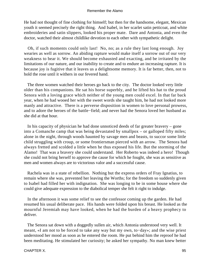He had not thought of fine clothing for himself; but then for the handsome, elegant, Mexican youth it seemed precisely the right thing. And Isabel, in her scarlet satin petticoat, and white embroideries and satin slippers, looked his proper mate. Dare and Antonia, and even the doctor, watched their almost childlike devotion to each other with sympathetic delight.

 Oh, if such moments could only last! No, no; as a rule they last long enough. Joy wearies as well as sorrow. An abiding rapture would make itself a sorrow out of our very weakness to bear it. We should become exhausted and exacting, and be irritated by the limitations of our nature, and our inability to create and to endure an increasing rapture. It is because joy is fugitive that it leaves us a delightsome memory. It is far better, then, not to hold the rose until it withers in our fevered hand.

 The three women watched their heroes go back to the city. The doctor looked very little older than his companions. He sat his horse superbly, and he lifted his hat to the proud Senora with a loving grace which neither of the young men could excel. In that far back year, when he had wooed her with the sweet words she taught him, he had not looked more manly and attractive. There is a perverse disposition in women to love personal prowess, and to adore the heroes of the battle−field; and never had the Senora loved her husband as she did at that hour.

 In his capacity of physician he had done unnoticed deeds of far greater bravery – gone into a Comanche camp that was being devastated by smallpox – or galloped fifty miles; alone in the night, through woods haunted by savage men and beasts, to succor some little child struggling with croup, or some frontiersman pierced with an arrow. The Senora had always fretted and scolded a little when he thus exposed his life. But the storming of the Alamo! That was a bravery she could understand. Her Roberto was indeed a hero! Though she could not bring herself to approve the cause for which he fought, she was as sensitive as men and women always are to victorious valor and a successful cause.

 Rachela was in a state of rebellion. Nothing but the express orders of Fray Ignatius, to remain where she was, prevented her leaving the Worths; for the freedom so suddenly given to Isabel had filled her with indignation. She was longing to be in some house where she could give adequate expression to the diabolical temper she felt it right to indulge.

 In the afternoon it was some relief to see the confessor coming up the garden. He had resumed his usual deliberate pace. His hands were folded upon his breast. He looked as the mournful Jeremiah may have looked, when he had the burden of a heavy prophecy to deliver.

 The Senora sat down with a doggedly sullen air, which Antonia understood very well. It meant, «I am not to be forced to take any way but my own, to−day»; and the wise priest understood her mood as soon as he entered the room. He put behind him the reproof he had been meditating. He stimulated her curiosity; he asked her sympathy. No man knew better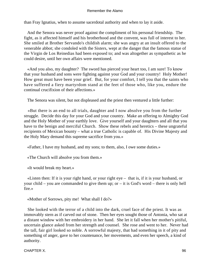than Fray Ignatius, when to assume sacerdotal authority and when to lay it aside.

 And the Senora was never proof against the compliment of his personal friendship. The fight, as it affected himself and his brotherhood and the convent, was full of interest to her. She smiled at Brother Servando's childish alarm; she was angry at an insult offered to the venerable abbot; she condoled with the Sisters, wept at the danger that the famous statue of the Virgin de Los Reinedias had been exposed to; and was altogether as sympathetic as he could desire, until her own affairs were mentioned.

 «And you also, my daughter? The sword has pierced your heart too, I am sure! To know that your husband and sons were fighting against your God and your country! Holy Mother! How great must have been your grief. But, for your comfort, I tell you that the saints who have suffered a fiery martyrdom stand at the feet of those who, like you, endure the continual crucifixion of their affections.»

The Senora was silent, but not displeased and the priest then ventured a little further:

 «But there is an end to all trials, daughter and I now absolve you from the further struggle. Decide this day for your God and your country. Make an offering to Almighty God and the Holy Mother of your earthly love. Give yourself and your daughters and all that you have to the benign and merciful Church. Show these rebels and heretics – these ungrateful recipients of Mexican bounty – what a true Catholic is capable of. His Divine Majesty and the Holy Mary demand this supreme sacrifice from you.»

«Father, I have my husband, and my sons; to them, also, I owe some duties.»

«The Church will absolve you from them.»

«It would break my heart.»

 «Listen then: If it is your right hand, or your right eye – that is, if it is your husband, or your child – you are commanded to give them up; or – it is God's word – there is only hell fire.»

«Mother of Sorrows, pity me! What shall I do?»

 She looked with the terror of a child into the dark, cruel face of the priest. It was as immovably stern as if carved out of stone. Then her eyes sought those of Antonia, who sat at a distant window with her embroidery in her hand. She let it fall when her mother's pitiful, uncertain glance asked from her strength and counsel. She rose and went to her. Never had the tall, fair girl looked so noble. A sorrowful majesty, that had something in it of pity and something of anger, gave to her countenance, her movements, and even her speech, a kind of authority.

CHAPTER X. 96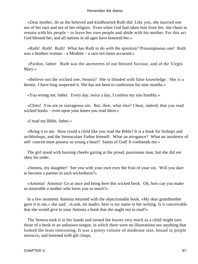«Dear mother, do as the beloved and kindhearted Ruth did. Like you, she married one not of her race and not of her religion. Even when God had taken him from her, she chose to remain with his people – to leave her own people and abide with his mother. For this act God blessed her, and all nations in all ages have honored her.»

 «Ruth! Ruth! Ruth! What has Ruth to do with the question? Presumptuous one! Ruth was a heathen woman – a Moabite – a race ten times accursed.»

 «Pardon, father. Ruth was the ancestress of our blessed Saviour, and of the Virgin Mary.»

 «Believe not the wicked one, Senora? She is blinded with false knowledge. She is a heretic. I have long suspected it. She has not been to confession for nine months.»

«You wrong me, father. Every day, twice a day, I confess my sins humbly.»

 «Chito! You are in outrageous sin. But, then, what else? I hear, indeed, that you read wicked books – even upon your knees you read them.»

«I read my Bible, father.»

 «Bring it to me. How could a child like you read the Bible? It is a book for bishops and archbishops, and the Immaculate Father himself. What an arrogance? What an insolence of self−conceit must possess so young a heart? Saints of God! It confounds me.»

 The girl stood with burning cheeks gazing at the proud, passionate man, but she did not obey his order.

 «Senora, my daughter! See you with your own eyes the fruit of your sin. Will you dare to become a partner in such wickedness?»

 «Antonia! Antonia! Go at once and bring here this wicked book. Oh, how can you make so miserable a mother who loves you so much?»

 In a few moments Antonia returned with the objectionable book. «My dear grandmother gave it to me,» she said. «Look, mi madre, here is my name in her writing. Is it conceivable that she would give to your Antonia a book that she ought not to read?»

 The Senora took it in her hands and turned the leaves very much as a child might turn those of a book in an unknown tongue, in which there were no illustrations nor anything that looked the least interesting. It was a pretty volume of moderate size, bound in purple morocco, and fastened with gilt clasps.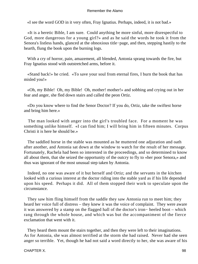«I see the word GOD in it very often, Fray Ignatius. Perhaps, indeed, it is not bad.»

 «It is a heretic Bible, I am sure. Could anything be more sinful, more disrespectful to God, more dangerous for a young girl?» and as he said the words he took it from the Senora's listless hands, glanced at the obnoxious title−page, and then, stepping hastily to the hearth, flung the book upon the burning logs.

 With a cry of horror, pain, amazement, all blended, Antonia sprang towards the fire, but Fray Ignatius stood with outstretched arms, before it.

 «Stand back!» he cried. «To save your soul from eternal fires, I burn the book that has misled you!»

 «Oh, my Bible! Oh, my Bible! Oh, mother! mother!» and sobbing and crying out in her fear and anger, she fled down stairs and called the peon Ortiz.

 «Do you know where to find the Senor Doctor? If you do, Ortiz, take the swiftest horse and bring him here.»

 The man looked with anger into the girl's troubled face. For a moment he was something unlike himself. «I can find him; I will bring him in fifteen minutes. Corpus Christi it is here he should be.»

 The saddled horse in the stable was mounted as he muttered one adjuration and oath after another, and Antonia sat down at the window to watch for the result of her message. Fortunately, Rachela had been so interested in the proceedings, and so determined to know all about them, that she seized the opportunity of the outcry to fly to «her poor Senora,» and thus was ignorant of the most unusual step taken by Antonia.

 Indeed, no one was aware of it but herself and Ortiz; and the servants in the kitchen looked with a curious interest at the doctor riding into the stable yard as if his life depended upon his speed. Perhaps it did. All of them stopped their work to speculate upon the circumstance.

 They saw him fling himself from the saddle they saw Antonia run to meet him; they heard her voice full of distress – they knew it was the voice of complaint. They were aware it was answered by a stamp on the flagged hall of the doctor's iron− heeled boot – which rang through the whole house, and which was but the accompaniment of the fierce exclamation that went with it.

 They heard them mount the stairs together, and then they were left to their imaginations. As for Antonia, she was almost terrified at the storm she had raised. Never had she seen anger so terrible. Yet, though he had not said a word directly to her, she was aware of his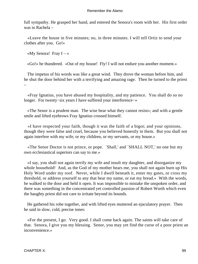full sympathy. He grasped her hand, and entered the Senora's room with her. His first order was to Rachela –

 «Leave the house in five minutes; no, in three minutes. I will tell Ortiz to send your clothes after you. Go!»

«My Senora! Fray  $I - \infty$ 

«Go!» he thundered. «Out of my house! Fly! I will not endure you another moment.»

 The impetus of his words was like a great wind. They drove the woman before him, and he shut the door behind her with a terrifying and amazing rage. Then he turned to the priest –

 «Fray Ignatius, you have abused my hospitality, and my patience. You shall do so no longer. For twenty−six years I have suffered your interference−»

 «The Senor is a prudent man. The wise bear what they cannot resist»; and with a gentle smile and lifted eyebrows Fray Ignatius crossed himself.

 «I have respected your faith, though it was the faith of a bigot; and your opinions, though they were false and cruel, because you believed honestly in them. But you shall not again interfere with my wife, or my children, or my servants, or my house.»

 «The Senor Doctor is not prince, or pope. `Shall,' and `SHALL NOT,' no one but my own ecclesiastical superiors can say to me.»

 «I say, you shall not again terrify my wife and insult my daughter, and disorganize my whole household! And, as the God of my mother hears me, you shall not again burn up His Holy Word under my roof. Never, while I dwell beneath it, enter my gates, or cross my threshold, or address yourself to any that bear my name, or eat my bread.» With the words, he walked to the door and held it open. It was impossible to mistake the unspoken order, and there was something in the concentrated yet controlled passion of Robert Worth which even the haughty priest did not care to irritate beyond its bounds.

 He gathered his robe together, and with lifted eyes muttered an ejaculatory prayer. Then he said in slow, cold, precise tones:

 «For the present, I go. Very good. I shall come back again. The saints will take care of that. Senora, I give you my blessing. Senor, you may yet find the curse of a poor priest an inconvenience.»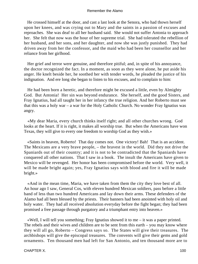He crossed himself at the door, and cast a last look at the Senora, who had thown herself upon her knees, and was crying out to Mary and the saints in a passion of excuses and reproaches. She was deaf to all her husband said. She would not suffer Antonia to approach her. She felt that now was the hour of her supreme trial. She had tolerated the rebellion of her husband, and her sons, and her daughter, and now she was justly punished. They had driven away from her the confessor, and the maid who had been her counsellor and her reliance from her girlhood.

 Her grief and terror were genuine, and therefore pitiful; and, in spite of his annoyance, the doctor recognized the fact. In a moment, as soon as they were alone, he put aside his anger. He knelt beside her, he soothed her with tender words, he pleaded the justice of his indignation. And ere long she began to listen to his excuses, and to complain to him:

 He had been born a heretic, and therefore might be excused a little, even by Almighty God. But Antonia! Her sin was beyond endurance. She herself, and the good Sisters, and Fray Ignatius, had all taught her in her infancy the true religion. And her Roberto must see that this was a holy war – a war for the Holy Catholic Church. No wonder Fray Ignatius was angry.

 «My dear Maria, every church thinks itself right; and all other churches wrong. God looks at the heart. If it is right, it makes all worship true. But when the Americans have won Texas, they will give to every one freedom to worship God as they wish.»

 «Saints in heaven, Roberto! That day comes not. One victory! Bah! That is an accident. The Mexicans are a very brave people, – the bravest in the world. Did they not drive the Spaniards out of their country; and it is not to be contradicted that the Spaniards have conquered all other nations. That I saw in a book. The insult the Americans have given to Mexico will be revenged. Her honor has been compromised before the world. Very well, it will be made bright again; yes, Fray Ignatius says with blood and fire it will be made bright.»

 «And in the mean time, Maria, we have taken from them the city they love best of all. An hour ago I saw, General Cos, with eleven hundred Mexican soldiers, pass before a little band of less than two hundred Americans and lay down their arms. These defenders of the Alamo had all been blessed by the priests. Their banners had been anointed with holy oil and holy water. They had all received absolution everyday before the fight began; they had been promised a free passage through purgatory and a triumphant entry into heaven.»

 «Well, I will tell you something; Fray Ignatius showed it to me – it was a paper printed. The rebels and their wives and children are to be sent from this earth – you may know where they will all go, Roberto – Congress says so. The States will give their treasures. The archbishops will give the episcopal treasures. The convents will give their gems and gold ornaments. Ten thousand men had left for San Antonio, and ten thousand more are to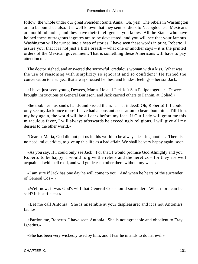follow; the whole under our great President Santa Anna. Oh, yes! The rebels in Washington are to be punished also. It is well known that they sent soldiers to Nacogdoches. Mexicans are not blind moles, and they have their intelligence, you know. All the States who have helped these outrageous ingrates are to be devastated, and you will see that your famous Washington will be turned into a heap of stories. I have seen these words in print, Roberto. I assure you, that it is not just a little breath – what one or another says – it is the printed orders of the Mexican government. That is something these Americans will have to pay attention to.»

 The doctor sighed, and answered the sorrowful, credulous woman with a kiss. What was the use of reasoning with simplicity so ignorant and so confident? He turned the conversation to a subject that always roused her best and kindest feelings – her son Jack.

 «I have just seen young Dewees, Maria. He and Jack left San Felipe together. Dewees brought instructions to General Burleson; and Jack carried others to Fannin, at Goliad.»

 She took her husband's hands and kissed them. «That indeed! Oh, Roberto! If I could only see my Jack once more! I have had a constant accusation to bear about him. Till I kiss my boy again, the world will be all dark before my face. If Our Lady will grant me this miraculous favor, I will always afterwards be exceedingly religious. I will give all my desires to the other world.»

 "Dearest Maria, God did not put us in this world to be always desiring another. There is no need, mi queridita, to give up this life as a bad affair. We shall be very happy again, soon.

 «As you say. If I could only see Jack! For that, I would promise God Almighty and you Roberto to be happy. I would forgive the rebels and the heretics – for they are well acquainted with hell road, and will guide each other there without my wish.»

 «I am sure if Jack has one day he will come to you. And when he hears of the surrender of General Cos – »

 «Well now, it was God's will that General Cos should surrender. What more can be said? It is sufficient.»

 «Let me call Antonia. She is miserable at your displeasure; and it is not Antonia's fault.»

 «Pardon me, Roberto. I have seen Antonia. She is not agreeable and obedient to Fray Ignatius.»

«She has been very wickedly used by him; and I fear he intends to do her evil.»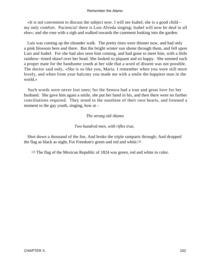«It is not convenient to discuss the subject now. I will see Isabel; she is a good child – my only comfort. Paciencia! there is Luis Alveda singing; Isabel will now be deaf to all else»; and she rose with a sigh and walked towards the casement looking into the garden.

 Luis was coming up the oleander walk. The pretty trees were thinner now, and had only a pink blossom here and there. But the bright winter sun shone through them, and fell upon Luis and Isabel. For she had also seen him coming, and had gone to meet him, with a little rainbow−tinted shawl over her head. She looked so piquant and so happy. She seemed such a proper mate for the handsome youth at her side that a word of dissent was not possible. The doctor said only, «She is so like you, Maria. I remember when you were still more lovely, and when from your balcony you made me with a smile the happiest man in the world.»

 Such words were never lost ones; for the Senora had a true and great love for her husband. She gave him again a smile, she put her hand in his, and then there were no further conciliations required. They stood in the sunshine of their own hearts, and listened a moment to the gay youth, singing, how at  $-$ 

## *The strong old Alamo*

#### *Two hundred men, with rifles true,*

 Shot down a thousand of the foe, And broke the triple ramparts through; And dropped the flag as black as night, For Freedom's green and red and white.[3]

[3] The flag of the Mexican Republic of 1824 was green, red and white in color.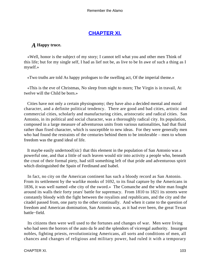# **[CHAPTER XI.](#page-189-0)**

## *A* **Happy truce.**

 «Well, honor is the subject of my story; I cannot tell what you and other men Think of this life; but for my single self, I had as lief not be, as live to be In awe of such a thing as I myself.»

«Two truths are told As happy prologues to the swelling act, Of the imperial theme.»

 «This is the eve of Christmas, No sleep from night to morn; The Virgin is in travail, At twelve will the Child be born.»

 Cities have not only a certain physiognomy; they have also a decided mental and moral character, and a definite political tendency. There are good and bad cities, artistic and commercial cities, scholarly and manufacturing cities, aristocratic and radical cities. San Antonio, in its political and social character, was a thoroughly radical city. Its population, composed in a large measure of adventurous units from various nationalities, had that fluid rather than fixed character, which is susceptible to new ideas. For they were generally men who had found the restraints of the centuries behind them to be intolerable – men to whom freedom was the grand ideal of life.

 It maybe easily undertood{sic} that this element in the population of San Antonio was a powerful one, and that a little of such leaven would stir into activity a people who, beneath the crust of their formal piety, had still something left of that pride and adventurous spirit which distinguished the Spain of Ferdinand and Isabel.

 In fact, no city on the American continent has such a bloody record as San Antonio. From its settlement by the warlike monks of 1692, to its final capture by the Americans in 1836, it was well named «the city of the sword.» The Comanche and the white man fought around its walls their forty years' battle for supremacy. From 1810 to 1821 its streets were constantly bloody with the fight between the royalists and republicans, and the city and the citadel passed from, one party to the other continually. And when it came to the question of freedom and American domination, San Antonio was, as it had ever been, the great Texan battle−field.

 Its citizens then were well used to the fortunes and changes of war. Men were living who had seen the horrors of the auto da fe and the splendors of viceregal authority. Insurgent nobles, fighting priests, revolutionizing Americans, all sorts and conditions of men, all chances and changes of religious and military power, had ruled it with a temporary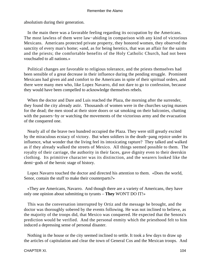absolutism during their generation.

 In the main there was a favorable feeling regarding its occupation by the Americans. The most lawless of them were law−abiding in comparison with any kind of victorious Mexicans. Americans protected private property, they honored women, they observed the sanctity of every man's home; «and, as for being heretics, that was an affair for the saints and the priests; the comfortable benefits of the Holy Catholic Church, had not been vouchsafed to all nations.»

 Political changes are favorable to religious tolerance, and the priests themselves had been sensible of a great decrease in their influence during the pending struggle. Prominent Mexicans had given aid and comfort to the Americans in spite of their spiritual orders, and there were many men who, like Lopez Navarro, did not dare to go to confession, because they would have been compelled to acknowledge themselves rebels.

 When the doctor and Dare and Luis reached the Plaza, the morning after the surrender, they found the city already astir. Thousands of women were in the churches saying masses for the dead; the men stood at their store doors or sat smoking on their balconies, chatting with the passers−by or watching the movements of the victorious army and the evacuation of the conquered one.

 Nearly all of the brave two hundred occupied the Plaza. They were still greatly excited by the miraculous ecstacy of victory. But when soldiers in the death−pang rejoice under its influence, what wonder that the living feel its intoxicating rapture? They talked and walked as if they already walked the streets of Mexico. All things seemed possible to them. The royalty of their carriage, the authority in their faces, gave dignity even to their deerskin clothing. Its primitive character was its distinction, and the wearers looked like the demi−gods of the heroic stage of history.

 Lopez Navarro touched the doctor and directed his attention to them. «Does the world, Senor, contain the stuff to make their counterparts?»

 «They are Americans, Navarro. And though there are a variety of Americans, they have only one opinion about submitting to tyrants – **They** WON'T DO IT!»

 This was the conversation interrupted by Ortiz and the message he brought, and the doctor was thoroughly sobered by the events following. He was not inclined to believe, as the majority of the troops did, that Mexico was conquered. He expected that the Senora's prediction would be verified. And the personal enmity which the priesthood felt to him induced a depressing sense of personal disaster.

 Nothing in the house or the city seemed inclined to settle. It took a few days to draw up the articles of capitulation and clear the town of General Cos and the Mexican troops. And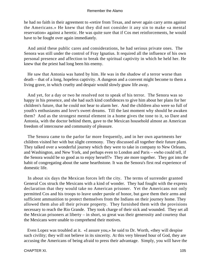he had no faith in their agreement to «retire from Texas, and never again carry arms against the Americans.» He knew that they did not consider it any sin to make «a mental reservation» against a heretic. He was quite sure that if Cos met reinforcements, he would have to be fought over again immediately.

 And amid these public cares and considerations, he had serious private ones. The Senora was still under the control of Fray Ignatius. It required all the influence of his own personal presence and affection to break the spiritual captivity in which he held her. He knew that the priest had long been his enemy.

 He saw that Antonia was hated by him. He was in the shadow of a terror worse than death – that of a long, hopeless captivity. A dungeon and a convent might become to them a living grave, in which cruelty and despair would slowly gnaw life away.

 And yet, for a day or two he resolved not to speak of his terror. The Senora was so happy in his presence, and she had such kind confidences to give him about her plans for her children's future, that he could not bear to alarm her. And the children also were so full of youth's enthusiasms and love's sweet dreams. Till the last moment why should he awaken them? And as the strongest mental element in a home gives the tone to it, so Dare and Antonia, with the doctor behind them, gave to the Mexican household almost an American freedom of intercourse and community of pleasure.

 The Senora came to the parlor far more frequently, and in her own apartments her children visited her with but slight ceremony. They discussed all together their future plans. They talked over a wonderful journey which they were to take in company to New Orleans, and Washington, and New York, and perhaps even to London and Paris – «who could tell, if the Senora would be so good as to enjoy herself?» They ate more together. They got into the habit of congregating about the same hearthstone. It was the Senora's first real experience of domestic life.

 In about six days the Mexican forces left the city. The terms of surrender granted General Cos struck the Mexicans with a kind of wonder. They had fought with the express declaration that they would take no American prisoner. Yet the Americans not only permitted Cos and his troops to leave under parole of honor, but gave them their arms and sufficient ammunition to protect themselves from the Indians on their journey home. They allowed them also all their private property. They furnished them with the provisions necessary to reach the Rio Grande. They took charge of their sick and wounded. They set all the Mexican prisoners at liberty – in short, so great was their generosity and courtesy that the Mexicans were unable to comprehend their motives.

 Even Lopez was troubled at it. «I assure you,» he said to Dr. Worth, «they will despise such civility; they will not believe in its sincerity. At this very blessed hour of God, they are accusing the Americans of being afraid to press their advantage. Simply, you will have the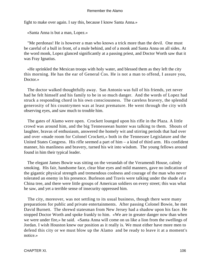fight to make over again. I say this, because I know Santa Anna.»

«Santa Anna is but a man, Lopez.»

 "Me perdonas! He is however a man who knows a trick more than the devil. One must be careful of a bull in front, of a mule behind, and of a monk and Santa Anna on all sides. At the word monk, Lopez glanced significantly at a passing priest, and Doctor Worth saw that it was Fray Ignatius.

 «He sprinkled the Mexican troops with holy water, and blessed them as they left the city this morning. He has the ear of General Cos. He is not a man to offend, I assure you, Doctor.»

 The doctor walked thoughtfully away. San Antonio was full of his friends, yet never had he felt himself and his family to be in so much danger. And the words of Lopez had struck a responding chord in his own consciousness. The careless bravery, the splendid generosity of his countrymen was at least premature. He went through the city with observing eyes, and saw much to trouble him.

 The gates of Alamo were open. Crockett lounged upon his rifle in the Plaza. A little crowd was around him, and the big Tennesseean hunter was talking to them. Shouts of laughter, bravas of enthusiasm, answered the homely wit and stirring periods that had over and over «made room for Colonel Crockett,» both in the Tennessee Legislature and the United States Congress. His rifle seemed a part of him – a kind of third arm. His confident manner, his manliness and bravery, turned his wit into wisdom. The young fellows around found in him their typical leader.

 The elegant James Bowie was sitting on the verandah of the Veramendi House, calmly smoking. His fair, handsome face, clear blue eyes and mild manners, gave no indication of the gigantic physical strength and tremendous coolness and courage of the man who never tolerated an enemy in his presence. Burleson and Travis were talking under the shade of a China tree, and there were little groups of American soldiers on every street; this was what he saw, and yet a terrible sense of insecurity oppressed him.

 The city, moreover, was not settling to its usual business, though there were many preparations for public and private entertainments. After passing Colonel Bowie, he met David Burnett. The shrewd statesman from New Jersey had a shadow upon his face. He stopped Doctor Worth and spoke frankly to him. «We are in greater danger now than when we were under fire,» he said. «Santa Anna will come on us like a lion from the swellings of Jordan. I wish Houston knew our position as it really is. We must either have more men to defend this city or we must blow up the Alamo and be ready to leave it at a moment's notice.»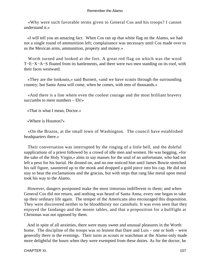«Why were such favorable terms given to General Cos and his troops? I cannot understand it.»

 «I will tell you an amazing fact. When Cos ran up that white flag on the Alamo, we had not a single round of ammunition left; complaisance was necessary until Cos made over to us the Mexican arms, ammunition, property and money.»

 Worth turned and looked at the fort. A great red flag on which was the word T−E−X−A−S floated from its battlements, and there were two men standing on its roof, with their faces westward.

 «They are the lookouts,» said Burnett, «and we have scouts through the surrounding country; but Santa Anna will come, when he comes, with tens of thousands.»

 «And there is a line where even the coolest courage and the most brilliant bravery succumbs to mere numbers – Eh!»

«That is what I mean, Doctor.»

«Where is Houston?»

 «On the Brazos, at the small town of Washington. The council have established headquarters there.»

 Their conversation was interrupted by the ringing of a little bell, and the doleful supplications of a priest followed by a crowd of idle men and women. He was begging, «for the sake of the Holy Virgin,» alms to say masses for the soul of an unfortunate, who had not left a peso for his burial. He droned on, and no one noticed him until James Bowie stretched his tall figure, sauntered up to the monk and dropped a gold piece into his cap. He did not stay to hear the exclamations and the gracias, but with steps that rang like metal upon metal took his way to the Alamo.

 However, dangers postponed make the most timorous indifferent to them; and when General Cos did not return, and nothing was heard of Santa Anna, every one began to take up their ordinary life again. The temper of the Americans also encouraged this disposition. They were discovered neither to be bloodthirsty nor cannibals. It was even seen that they enjoyed the fandango and the monte tables, and that a proposition for a bullfight at Christmas was not opposed by them.

 And in spite of all anxieties, there were many sweet and unusual pleasures in the Worth home. The discipline of the troops was so lenient that Dare and Luis – one or both – were generally there in the evenings. Their turns as scouts or watchman at the Alamo only made more delightful the hours when they were exempted from these duties. As for the doctor, he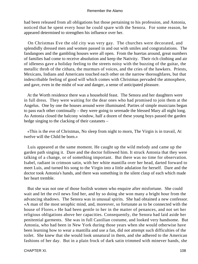had been released from all obligations but those pertaining to his profession, and Antonia, noticed that he spent every hour he could spare with the Senora. For some reason, he appeared determined to strengthen his influence over her.

 On Christmas Eve the old city was very gay. The churches were decorated, and splendidly dressed men and women passed in and out with smiles and congratulations. The fandangoes and the gambling houses were all open. From the huertas around, great numbers of families had come to receive absolution and keep the Nativity. Their rich clothing and air of idleness gave a holiday feeling to the streets noisy with the buzzing of the guitar, the metallic throb of the cithara, the murmurs of voices, and the cries of the hawkers. Priests, Mexicans, Indians and Americans touched each other on the narrow thoroughfares, but that indescribable feeling of good will which comes with Christmas pervaded the atmosphere, and gave, even in the midst of war and danger, a sense of anticipated pleasure.

 At the Worth residence there was a household feast. The Senora and her daughters were in full dress. They were waiting for the dear ones who had promised to join them at the Angelus. One by one the houses around were illuminated. Parties of simple musicians began to pass each other continually – they were going to serenade the blessed Mary all night long. As Antonia closed the balcony window, half a dozen of these young boys passed the garden hedge singing to the clacking of their castanets –

 «This is the eve of Christmas, No sleep from night to morn, The Virgin is in travail, At twelve will the Child be born.»

 Luis appeared at the same moment. He caught up the wild melody and came up the garden path singing it. Dare and the doctor followed him. It struck Antonia that they were talking of a change, or of something important. But there was no time for observation. Isabel, radiant in crimson satin, with her white mantilla over her head, darted forward to meet Luis, and turned his song to the Virgin into a little adulation for herself. Dare and the doctor took Antonia's hands, and there was something in the silent clasp of each which made her heart tremble.

 But she was not one of those foolish women who enquire after misfortune. She could wait and let the evil news find her, and by so doing she won many a bright hour from the advancing shadows. The Senora was in unusual spirits. She had obtained a new confessor. «A man of the most seraphic mind, and, moreover, so fortunate as to be connected with the house of Flores.» He had been gentle to her in the matter of penances, and not set her religious obligations above her capacities. Consequently, the Senora had laid aside her penitential garments. She was in full Castilian costume, and looked very handsome. But Antonia, who had been in New York during those years when she would otherwise have been learning how to wear a mantilla and use a fan, did not attempt such difficulties of the toilet. She knew that she would look unnatural in them, and she adhered to the American fashions of her day. But in a plain frock of dark satin trimmed with minever bands, she

CHAPTER XI. 108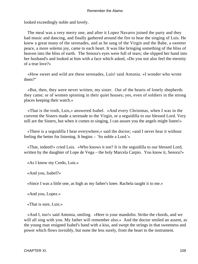looked exceedingly noble and lovely.

 The meal was a very merry one, and after it Lopez Navarro joined the party and they had music and dancing, and finally gathered around the fire to hear the singing of Luis. He knew a great many of the serenades, and as he sang of the Virgin and the Babe, a sweeter peace, a more solemn joy, came to each heart. It was like bringing something of the bliss of heaven into the bliss of earth. The Senora's eyes were full of tears; she slipped her hand into her husband's and looked at him with a face which asked, «Do you not also feel the eternity of a true love?»

 «How sweet and wild are these serenades, Luis! said Antonia. »I wonder who wrote them?"

 «But, then, they were never written, my sister. Out of the hearts of lonely shepherds they came; or of women spinning in their quiet houses; yes, even of soldiers in the strong places keeping their watch.»

 «That is the truth, Luis,» answered Isabel. «And every Christmas, when I was in the convent the Sisters made a serenade to the Virgin, or a seguidilla to our blessed Lord. Very still are the Sisters, but when it comes to singing, I can assure you the angels might listen!»

 «There is a seguidilla I hear everywhere,» said the doctor; «and I never hear it without feeling the better for listening. It begins – `So noble a Lord.'»

 «That, indeed!» cried Luis. «Who knows it not? It is the seguidilla to our blessed Lord, written by the daughter of Lope de Vega – the holy Marcela Carpio. You know it, Senora?»

«As I know my Credo, Luis.»

«And you, Isabel?»

«Since I was a little one, as high as my father's knee. Rachela taught it to me.»

«And you, Lopez.»

«That is sure, Luis.»

 «And I, too!» said Antonia, smiling. «Here is your mandolin. Strike the chords, and we will all sing with you. My father will remember also.» And the doctor smiled an assent, as the young man resigned Isabel's hand with a kiss, and swept the strings in that sweetness and power which flows invisibly, but none the less surely, from the heart to the instrument.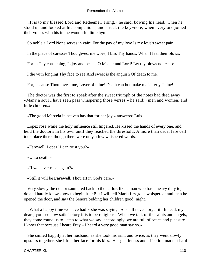«It is to my blessed Lord and Redeemer, I sing,» he said, bowing his head. Then he stood up and looked at his companions, and struck the key−note, when every one joined their voices with his in the wonderful little hymn:

So noble a Lord None serves in vain; For the pay of my love Is my love's sweet pain.

In the place of caresses Thou givest me woes; I kiss Thy hands, When I feel their blows.

For in Thy chastening, Is joy and peace; O Master and Lord! Let thy blows not cease.

I die with longing Thy face to see And sweet is the anguish Of death to me.

For, because Thou lovest me, Lover of mine! Death can but make me Utterly Thine!

 The doctor was the first to speak after the sweet triumph of the notes had died away. «Many a soul I have seen pass whispering those verses,» he said; «men and women, and little children.»

«The good Marcela in heaven has that for her joy,» answered Luis.

 Lopez rose while the holy influence still lingered. He kissed the hands of every one, and held the doctor's in his own until they reached the threshold. A more than usual farewell took place there, though there were only a few whispered words.

«Farewell, Lopez! I can trust you?»

«Unto death.»

«If we never meet again?»

«Still it will be **Farewell.** Thou art in God's care.»

 Very slowly the doctor sauntered back to the parlor, like a man who has a heavy duty to, do and hardly knows how to begin it. «But I will tell Maria first,» he whispered; and then he opened the door, and saw the Senora bidding her children good−night.

 «What a happy time we have had!» she was saying. «I shall never forget it. Indeed, my dears, you see how satisfactory it is to be religious. When we talk of the saints and angels, they come round us to listen to what we say; accordingly, we are full of peace and pleasure. I know that because I heard Fray – I heard a very good man say so.»

 She smiled happily at her husband, as she took his arm, and twice, as they went slowly upstairs together, she lifted her face for his kiss. Her gentleness and affection made it hard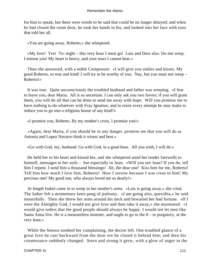for him to speak; but there were words to be said that could be no longer delayed; and when he had closed the room door, he took her hands in his, and looked into her face with eyes that told her all.

«You are going away, Roberto,» she whispered.

 «My love! Yes! To−night – this very hour I must go! Luis and Dare also. Do not weep. I entreat you! My heart is heavy, and your tears I cannot bear.»

 Then she answered, with a noble Composure: «I will give you smiles and kisses. My good Roberto, so true and kind! I will try to be worthy of you. Nay, but you must not weep – Roberto!»

 It was true. Quite unconsciously the troubled husband and father was weeping. «I fear to leave you, dear Maria. All is so uncertain. I can only ask you two favors; if you will grant them, you will do all that can be done to send me away with hope. Will you promise me to have nothing to do whatever with Fray Ignatius; and to resist every attempt he may make to induce you to go into a religious house of any kind?»

«I promise you, Roberto. By my mother's cross, I promise you!»

 «Again, dear Maria, if you should be in any danger, promise me that you will do as Antonia and Lopez Navarro think it wisest and best.»

«Go with God, my, husband. Go with God, in a good hour. All you wish, I will do.»

 He held her to his heart and kissed her, and she whispered amid her tender farewells to himself, messages to her soils – but especially to Juan. «Will you see Juan? If you do, tell him I repent. I send him a thousand blessings! Ah, the dear one! Kiss him for me, Roberto! Tell him how much I love him, Roberto! How I sorrow because I was cross to him! My precious one! My good son, who always loved me so dearly!»

 At length Isabel came in to weep in her mother's arms. «Luis is going away,» she cried. The father felt a momentary keen pang of jealousy. «I am going also, queridita,» he said mournfully. Then she threw her arms around his neck and bewailed her bad fortune. «If I were the Almighty God, I would not give love and then take it away,» she murmured. «I would give orders that the good people should always be happy. I would not let men like Santa Anna live. He is a measureless monster, and ought to go to the  $d - t_0$  purgatory, at the very least.»

 While the Senora soothed her complaining, the doctor left. One troubled glance of a great love he cast backward from the door ere he closed it behind him; and then his countenance suddenly changed. Stern and strong it grew, with a glow of anger in the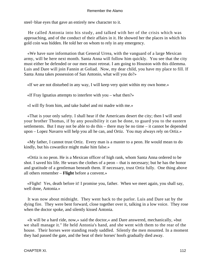steel−blue eyes that gave an entirely new character to it.

 He called Antonia into his study, and talked with her of the crisis which was approaching, and of the conduct of their affairs in it. He showed her the places in which his gold coin was hidden. He told her on whom to rely in any emergency.

 «We have sure information that General Urrea, with the vanguard of a large Mexican army, will be here next month. Santa Anna will follow him quickly. You see that the city must either be defended or our men must retreat. I am going to Houston with this dilemma. Luis and Dare will join Fannin at Goliad. Now, my dear child, you have my place to fill. If Santa Anna takes possession of San Antonio, what will you do?»

«If we are not disturbed in any way, I will keep very quiet within my own home.»

«If Fray Ignatius attempts to interfere with you – what then?»

«I will fly from him, and take Isabel and mi madre with me.»

 «That is your only safety. I shall hear if the Americans desert the city; then I will send your brother Thomas, if by any possibility it can be done, to guard you to the eastern settlements. But I may not be able to do this – there may be no time – it cannot be depended upon – Lopez Navarro will help you all he can, and Ortiz. You may always rely on Ortiz.»

 «My father, I cannot trust Ortiz. Every man is a master to a peon. He would mean to do kindly, but his cowardice might make him false.»

 «Ortiz is no peon. He is a Mexican officer of high rank, whom Santa Anna ordered to be shot. I saved his life. He wears the clothes of a peon – that is necessary; but he has the honor and gratitude of a gentleman beneath them. If necessary, trust Ortiz fully. One thing above all others remember – **Flight** before a convent.»

 «Flight! Yes, death before it! I promise you, father. When we meet again, you shall say, well done, Antonia.»

 It was now about midnight. They went back to the parlor. Luis and Dare sat by the dying fire. They were bent forward, close together over it, talking in a low voice. They rose when the doctor spoke, and silently kissed Antonia.

 «It will be a hard ride, now,» said the doctor,« and Dare answered, mechanically, »but we shall manage it." He held Antonia's hand, and she went with them to the rear of the house. Their horses were standing ready saddled. Silently the men mounted. In a moment they had passed the gate, and the beat of their horses' hoofs gradually died away.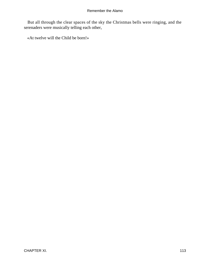But all through the clear spaces of the sky the Christmas bells were ringing, and the serenaders were musically telling each other,

«At twelve will the Child be born!»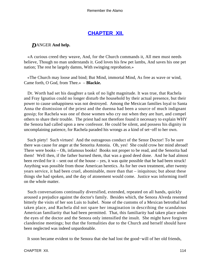# **[CHAPTER XII.](#page-189-0)**

# *D*ANGER **And help.**

 «A curious creed they weave, And, for the Church commands it, All men must needs believe, Though no man understands it. God loves his few pet lambs, And saves his one pet nation; The rest he largely damns, With swinging reprobation.»

 «The Church may loose and bind; But Mind, immortal Mind, As free as wave or wind, Came forth, O God, from Thee.» – **Blackie.**

 Dr. Worth had set his daughter a task of no light magnitude. It was true, that Rachela and Fray Ignatius could no longer disturb the household by their actual presence, but their power to cause unhappiness was not destroyed. Among the Mexican families loyal to Santa Anna the dismission of the priest and the duenna had been a source of much indignant gossip; for Rachela was one of those women who cry out when they are hurt, and compel others to share their trouble. The priest had not therefore found it necessary to explain WHY the Senora had called upon a new confessor. He could be silent, and possess his dignity in uncomplaining patience, for Rachela paraded his wrongs as a kind of set−off to her own.

 Such piety! Such virtues! And the outrageous conduct of the Senor Doctor! To be sure there was cause for anger at the Senorita Antonia. Oh, yes! She could crow her mind abroad! There were books – Oh, infamous books! Books not proper to be read, and the Senorita had them! Well then, if the father burned them, that was a good deed done. And he had almost been reviled for it – sent out of the house – yes, it was quite possible that he had been struck! Anything was possible from those American heretics. As for her own treatment, after twenty years service, it had been cruel, abominable, more than that – iniquitous; but about these things she had spoken, and the day of atonement would come. Justice was informing itself on the whole matter.

 Such conversations continually diversified, extended, repeated on all hands, quickly aroused a prejudice against the doctor's family. Besides which, the Senora Alveda resented bitterly the visits of her son Luis to Isabel. None of the customs of a Mexican betrothal had taken place, and Rachela did not spare her imagination in describing the scandalous American familiarity that had been permitted. That, this familiarity had taken place under the eyes of the doctor and the Senora only intensified the insult. She might have forgiven clandestine meetings; but that the formalities due to the Church and herself should have been neglected was indeed unpardonable.

It soon became evident to the Senora that she had lost the good−will of her old friends,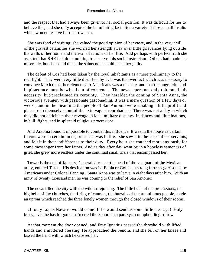and the respect that had always been given to her social position. It was difficult for her to believe this, and she only accepted the humiliating fact after a variety of those small insults which women reserve for their own sex.

 She was fond of visiting; she valued the good opinion of her caste, and in the very chill of the gravest calamities she worried her strength away over little grievances lying outside the walls of her home and the real affections of her life. And perhaps with perfect truth she asserted that SHE had done nothing to deserve this social ostracism. Others had made her miserable, but she could thank the saints none could make her guilty.

 The defeat of Cos had been taken by the loyal inhabitants as a mere preliminary to the real fight. They were very little disturbed by it. It was the overt act which was necessary to convince Mexico that her clemency to Americans was a mistake, and that the ungrateful and impious race must be wiped out of existence. The newspapers not only reiterated this necessity, but proclaimed its certainty. They heralded the coming of Santa Anna, the victorious avenger, with passionate gasconading. It was a mere question of a few days or weeks, and in the meantime the people of San Antonio were «making a little profit and pleasure to themselves out of the extravagant reprobates.» There was not a day in which they did not anticipate their revenge in local military displays, in dances and illuminations, in bull−fights, and in splendid religious processions.

 And Antonia found it impossible to combat this influence. It was in the house as certain flavors were in certain foods, or as heat was in fire. She saw it in the faces of her servants, and felt it in their indifference to their duty. Every hour she watched more anxiously for some messenger from her father. And as day after day went by in a hopeless sameness of grief, she grew more restless under the continual small trials that encompassed her.

 Towards the end of January, General Urrea, at the head of the vanguard of the Mexican army, entered Texas. His destination was La Bahia or Goliad, a strong fortress garrisoned by Americans under Colonel Fanning. Santa Anna was to leave in eight days after him. With an army of twenty thousand men he was coming to the relief of San Antonio.

 The news filled the city with the wildest rejoicing. The little bells of the processions, the big bells of the churches, the firing of cannon, the hurrahs of the tumultuous people, made an uproar which reached the three lonely women through the closed windows of their rooms.

 «If only Lopez Navarro would come! If he would send us some little message! Holy Mary, even he has forgotten us!» cried the Senora in a paroxysm of upbraiding sorrow.

 At that moment the door opened, and Fray Ignatius passed the threshold with lifted hands and a muttered blessing. He approached the Senora, and she fell on her knees and kissed the hand with which he crossed her.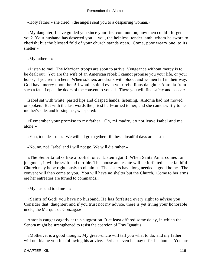«Holy father!» she cried, «the angels sent you to a despairing woman.»

 «My daughter, I have guided you since your first communion; how then could I forget you? Your husband has deserted you – you, the helpless, tender lamb, whom he swore to cherish; but the blessed fold of your church stands open. Come, poor weary one, to its shelter.»

«My father  $-\infty$ 

 «Listen to me! The Mexican troops are soon to arrive. Vengeance without mercy is to be dealt out. You are the wife of an American rebel; I cannot promise you your life, or your honor, if you remain here. When soldiers are drunk with blood, and women fall in their way, God have mercy upon them! I would shield even your rebellious daughter Antonia from such a fate. I open the doors of the convent to you all. There you will find safety and peace.»

 Isabel sat with white, parted lips and clasped hands, listening. Antonia had not moved or spoken. But with the last words the priest half−turned to her, and she came swiftly to her mother's side, and kissing her, whispered:

 «Remember your promise to my father! Oh, mi madre, do not leave Isabel and me alone!»

«You, too, dear ones! We will all go together, till these dreadful days are past.»

«No, no, no! Isabel and I will not go. We will die rather.»

 «The Senorita talks like a foolish one. Listen again! When Santa Anna comes for judgment, it will be swift and terrible. This house and estate will be forfeited. The faithful Church may hope righteously to obtain it. The sisters have long needed a good home. The convent will then come to you. You will have no shelter but the Church. Come to her arms ere her entreaties are turned to commands.»

«My husband told me  $-$  »

 «Saints of God! you have no husband. He has forfeited every right to advise you. Consider that, daughter; and if you trust not my advice, there is yet living your honorable uncle, the Marquis de Gonzaga.»

 Antonia caught eagerly at this suggestion. It at least offered some delay, in which the Senora might be strengthened to resist the coercion of Fray Ignatius.

 «Mother, it is a good thought. My great−uncle will tell you what to do; and my father will not blame you for following his advice. Perhaps even he may offer his home. You are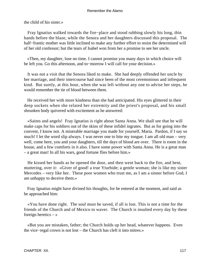the child of his sister.»

 Fray Ignatius walked towards the fire−place and stood rubbing slowly his long, thin hands before the blaze, while the Senora and her daughters discussed this proposal. The half–frantic mother was little inclined to make any further effort to resist the determined will of her old confessor; but the tears of Isabel won from her a promise to see her uncle.

 «Then, my daughter, lose no time. I cannot promise you many days in which choice will be left you. Go this afternoon, and to−morrow I will call for your decision.»

 It was not a visit that the Senora liked to make. She had deeply offended her uncle by her marriage, and their intercourse had since been of the most ceremonious and infrequent kind. But surely, at this hour, when she was left without any one to advise her steps, he would remember the tie of blood between them.

 He received her with more kindness than she had anticipated. His eyes glittered in their deep sockets when she related her extremity and the priest's proposal, and his small shrunken body quivered with excitement as he answered:

 «Saints and angels! Fray Ignatius is right about Santa Anna. We shall see that he will make caps for his soldiers out of the skins of these infidel ingrates. But as for going into the convent, I know not. A miserable marriage you made for yourself, Maria. Pardon, if I say so much! I let the word slip always. I was never one to bite my tongue. I am all old man – very well, come here, you and your daughters, till the days of blood are over. There is room in the house, and a few comforts in it also. I have some power with Santa Anna. He is a great man – a great man! In all his wars, good fortune flies before him.»

 He kissed her hands as he opened the door, and then went back to the fire, and bent, muttering, over it: «Giver of good! a true Yturbide; a gentle woman; she is like my sister Mercedes – very like her. These poor women who trust me, as I am a sinner before God, I am unhappy to deceive them.»

 Fray Ignatius might have divined his thoughts, for he entered at the moment, and said as he approached him:

 «You have done right. The soul must be saved, if all is lost. This is not a time for the friends of the Church and of Mexico to waver. The Church is insulted every day by these foreign heretics  $-\infty$ 

 «But you are mistaken, father; the Church holds up her head, whatever happens. Even the vice−regal crown is not lost – the Church has cleft it into mitres.»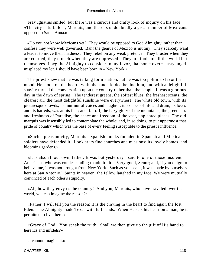Fray Ignatius smiled, but there was a curious and crafty look of inquiry on his face. «The city is turbulent, Marquis, and there is undoubtedly a great number of Mexicans opposed to Santa Anna.»

 «Do you not know Mexicans yet? They would be opposed to God Almighty, rather than confess they were well governed. Bah! the genius of Mexico is mutiny. They scarcely want a leader to move their madness. They rebel on any weak pretence. They bluster when they are courted; they crouch when they are oppressed. They are fools to all the world but themselves. I beg the Almighty to consider in my favor, that some over− hasty angel misplaced my lot. I should have been born in – New York.»

 The priest knew that he was talking for irritation, but he was too politic to favor the mood. He stood on the hearth with his hands folded behind him, and with a delightful suavity turned the conversation upon the country rather than the people. It was a glorious day in the dawn of spring. The tenderest greens, the softest blues, the freshest scents, the clearest air, the most delightful sunshine were everywhere. The white old town, with its picturesque crowds, its murmur of voices and laughter, its echoes of fife and drum, its loves and its hatreds, was at his feet; and, far off, the hazy glory of the mountains, the greenness and freshness of Paradise, the peace and freedom of the vast, unplanted places. The old marquis was insensibly led to contemplate the whole; and, in so doing, to put uppermost that pride of country which was the base of every feeling susceptible to the priest's influence.

 «Such a pleasant city, Marquis! Spanish monks founded it. Spanish and Mexican soldiers have defended it. Look at its fine churches and missions; its lovely homes, and blooming gardens.»

 «It is also all our own, father. It was but yesterday I said to one of those insolent Americans who was condescending to admire it: `Very good, Senor; and, if you deign to believe me, it was not brought from New York. Such as you see it, it was made by ourselves here at San Antonio.' Saints in heaven! the fellow laughed in my face. We were mutually convinced of each other's stupidity.»

 «Ah, how they envy us the country! And you, Marquis, who have traveled over the world, you can imagine the reason?»

 «Father, I will tell you the reason; it is the craving in the heart to find again the lost Eden. The Almighty made Texas with full hands. When He sets his heart on a man, he is permitted to live there.»

 «Grace of God! You speak the truth. Shall we then give up the gift of His hand to heretics and infidels?»

«I cannot imagine it.»

CHAPTER XII. 118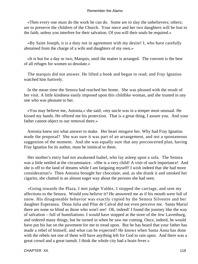«Then every one must do the work he can do. Some are to slay the unbelievers; others; are to preserve the children of the Church. Your niece and her two daughters will be lost to the faith, unless you interfere for their salvation. Of you will their souls be required.»

 «By Saint Joseph, it is a duty not in agreement with my desire! I, who have carefully abstained from the charge of a wife and daughters of my own.»

 «It is but for a day or two, Marquis, until the matter is arranged. The convent is the best of all refuges for women so desolate.»

 The marquis did not answer. He lifted a book and began to read; and Fray Ignatius watched him furtively.

 In the mean time the Senora had reached her home. She was pleased with the result of her visit. A little kindness easily imposed upon this childlike woman, and she trusted in any one who was pleasant to her.

 «You may believe me, Antonia,» she said; «my uncle was in a temper most unusual. He kissed my hands. He offered me his protection. That is a great thing, I assure you. And your father cannot object to our removal there.»

 Antonia knew not what answer to make. Her heart misgave her. Why had Fray Ignatius made the proposal? She was sure it was part of an arrangement, and not a spontaneous suggestion of the moment. And she was equally sure that any preconcerted plan, having Fray Ignatius for its author, must be inimical to them.

 Her mother's entry had not awakened Isabel, who lay asleep upon a sofa. The Senora was a little nettled at the circumstance. «She is a very child! A visit of such importance! And she is off to the land of dreams while I am fatiguing myself! I wish indeed that she had more consideration!» Then Antonia brought her chocolate, and, as she drank it and smoked her cigarito, she chatted in an almost eager way about the persons she had seen.

 «Going towards the Plaza, I met judge Valdez. I stopped the carriage, and sent my affections to the Senora. Would you believe it? He answered me as if his mouth were full of snow. His disagreeable behavior was exactly copied by the Senora Silvestre and her daughter Esperanza. Dona Julia and Pilar de Calval did not even perceive me. Santa Maria! there are none so blind as those who won't see! Oh, indeed! I found the journey like the way of salvation – full of humiliations. I would have stopped at the store of the Jew Lavenburg, and ordered many things, but he turned in when he saw me coming. Once, indeed, he would have put his hat on the pavement for me to tread upon. But he has heard that your father has made a rebel of himself, and what can be expected? He knows when Santa Anna has done with the rebels not one of them will have anything left for God to rain upon. And there was a great crowd and a great tumult. I think the whole city had a brain fever.»

CHAPTER XII. 119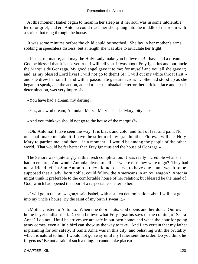At this moment Isabel began to moan in her sleep as if her soul was in some intolerable terror or grief; and ere Antonia could reach her she sprang into the middle of the room with a shriek that rang through the house.

 It was some minutes before the child could be soothed. She lay in her mother's arms, sobbing in speechless distress; but at length she was able to articulate her fright:

 «Listen, mi madre, and may the Holy Lady make you believe me! I have had a dream. God be blessed that it is not yet true! I will tell you. It was about Fray Ignatius and our uncle the Marquis de Gonzaga. My good angel gave it to me; for myself and you all she gave it; and, as my blessed Lord lives! I will not go to them! SI! I will cut my white throat first!» and she drew her small hand with a passionate gesture across it. She had stood up as she began to speak, and the action, added to her unmistakable terror, her stricken face and air of determination, was very impressive.

«You have had a dream, my darling?»

«Yes, an awful dream, Antonia! Mary! Mary! Tender Mary, pity us!»

«And you think we should not go to the house of the marquis?»

 «Oh, Antonia! I have seen the way. It is black and cold, and full of fear and pain. No one shall make me take it. I have the stiletto of my grandmother Flores. I will ask Holy Mary to pardon me, and then – in a moment – I would be among the people of the other world. That would be far better than Fray Ignatius and the house of Gonzaga.»

 The Senora was quite angry at this fresh complication. It was really incredible what she had to endure. And would Antonia please to tell her where else they were to go? They had not a friend left in San Antonio – they did not deserve to have one – and was it to be supposed that a lady, born noble, could follow the Americans in an ox−wagon? Antonia might think it preferable to the comfortable house of her relation; but blessed be the hand of God, which had opened the door of a respectable shelter to her.

 «I will go in the ox−wagon,» said Isabel, with a sullen determination; «but I will not go into my uncle's house. By the saint of my birth I swear it.»

 «Mother, listen to Antonia. When one door shuts, God opens another door. Our own home is yet undisturbed. Do you believe what Fray Ignatius says of the coming of Santa Anna? I do not. Until he arrives we are safe in our own home; and when the hour for going away comes, even a little bird can show us the way to take. And I am certain that my father is planning for our safety. If Santa Anna was in this city, and behaving with the brutality which is natural to him, I would not go away until my father sent the order. Do you think he forgets us? Be not afraid of such a thing. It cannot take place.»

CHAPTER XII. 120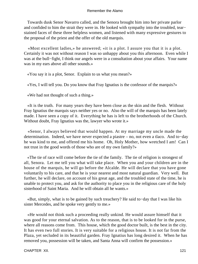Towards dusk Senor Navarro called, and the Senora brought him into her private parlor and confided to him the strait they were in. He looked with sympathy into the troubled, tear− stained faces of these three helpless women, and listened with many expressive gestures to the proposal of the priest and the offer of the old marquis.

 «Most excellent ladies,» he answered; «it is a plot. I assure you that it is a plot. Certainly it was not without reason I was so unhappy about you this afternoon. Even while I was at the bull−fight, I think our angels were in a consultation about your affairs. Your name was in my ears above all other sounds.»

«You say it is a plot, Senor. Explain to us what you mean?»

«Yes, I will tell you. Do you know that Fray Ignatius is the confessor of the marquis?»

«We had not thought of such a thing.»

 «It is the truth. For many years they have been close as the skin and the flesh. Without Fray Ignatius the marquis says neither yes or no. Also the will of the marquis has been lately made. I have seen a copy of it. Everything he has is left to the brotherhoods of the Church. Without doubt, Fray Ignatius was the, lawyer who wrote it.»

 «Senor, I always believed that would happen. At my marriage my uncle made the determination. Indeed, we have never expected a piastre – no, not even a tlaco. And to−day he was kind to me, and offered me his home. Oh, Holy Mother, how wretched I am! Can I not trust in the good words of those who are of my own family?»

 «The tie of race will come before the tie of the family. The tie of religion is strongest of all, Senora. Let me tell you what will take place. When you and your children are in the house of the marquis, he will go before the Alcalde. He will declare that you have gone voluntarily to his care, and that he is your nearest and most natural guardian. Very well. But further, he will declare, on account of his great age, and the troubled state of the time, he is unable to protect you, and ask for the authority to place you in the religious care of the holy sisterhood of Saint Maria. And he will obtain all he wants.»

 «But, simply, what is to be gained by such treachery? He said to−day that I was like his sister Mercedes, and he spoke very gently to me.»

 «He would not think such a proceeding really unkind. He would assure himself that it was good for your eternal salvation. As to the reason, that is to be looked for in the purse, where all reasons come from. This house, which the good doctor built, is the best in the city. It has even two full stories. It is very suitable for a religious house. It is not far from the Plaza, yet secluded in its beautiful garden. Fray Ignatius has long desired it. When he has removed you, possession will be taken, and Santa Anna will confirm the possession.»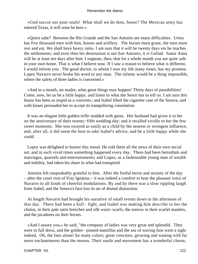«God succor our poor souls! What shall we do then, Senor? The Mexican army has entered Texas, it will soon be here.»

 «Quien sabe? Between the Rio Grande and the San Antonio are many difficulties. Urrea has five thousand men with him, horses and artillery. The horses must graze, the men must rest and eat. We shall have heavy rains. I am sure that it will be twenty days ere he reaches the settlements; and even then his destination is not San Antonio, it is Goliad. Santa Anna will be at least ten days after him. I suppose, then, that for a whole month you are quite safe in your own home. That is what I believe now. If I saw a reason to believe what is different, I would inform you. The good doctor, to whom I owe my life many times, has my promise. Lopez Navarro never broke his word to any man. The infamy would be a thing impossible, where the safety of three ladies is concerned.»

 «And in a month, mi madre, what great things may happen! Thirty days of possibilities! Come, now, let us be a little happy, and listen to what the Senor has to tell us. I am sure this house has been as stupid as a convent»; and Isabel lifted the cigarette case of the Senora, and with kisses persuaded her to accept its tranquilizing consolation.

 It was an elegant little golden trifle studded with gems. Her husband had given it to her on the anniversary of their twenty−fifth wedding day; and it recalled vividly to her the few sweet moments. She was swayed as easily as a child by the nearest or strongest influence, and, after all, it did seem the best to take Isabel's advice, and be a little happy while she could.

 Lopez was delighted to humor this mood. He told them all the news of their own social set; and in such vivid times something happened every day. There had been betrothals and marriages, quarrels and entertainments; and Lopez, as a fashionable young man of wealth and nobility, had taken his share in what had transpired.

 Antonia felt unspeakably grateful to him. After the fretful terror and anxiety of the day – after the cruel visit of Fray Ignatius – it was indeed a comfort to hear the pleasant voice of Navarro in all kinds of cheerful modulations. By and by there was a slow rippling laugh from Isabel, and the Senora's face lost its air of dismal distraction.

 At length Navarro had brought his narrative of small events down to the afternoon of that day. There had been a bull− fight, and Isabel was making him describe to her the chulos, in their pale satin breeches and silk waist−scarfs; the toreros in their scarlet mantles, and the picadores on their horses.

 «And I assure you,» he said, "the company of ladies was very great and splendid. They were in full dress, and the golden− pinned mantillas and the sea of waving fans were a sight indeed. Oh, the fans alone! So many colors; great crescents, growing and waning with far more enchantments than the moons. Their rustle and movement has a wonderful charm,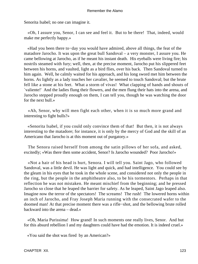Senorita Isabel; no one can imagine it.

 «Oh, I assure you, Senor, I can see and feel it. But to be there! That, indeed, would make me perfectly happy.»

 «Had you been there to−day you would have admired, above all things, the feat of the matadore Jarocho. It was upon the great bull Sandoval – a very monster, I assure you. He came bellowing at Jarocho, as if he meant his instant death. His eyeballs were living fire; his nostrils steamed with fury; well, then, at the precise moment, Jarocho put his slippered feet between his horns, and vaulted, light as a bird flies, over his back. Then Sandoval turned to him again. Well, he calmly waited for his approach, and his long sword met him between the horns. As lightly as a lady touches her cavalier, he seemed to touch Sandoval; but the brute fell like a stone at his feet. What a storm of vivas! What clapping of hands and shouts of `valiente!' And the ladies flung their flowers, and the men flung their hats into the arena, and Jarocho stepped proudly enough on them, I can tell you, though he was watching the door for the next bull.»

 «Ah, Senor, why will men fight each other, when it is so much more grand and interesting to fight bulls?»

 «Senorita Isabel, if you could only convince them of that! But then, it is not always interesting to the matadore; for instance, it is only by the mercy of God and the skill of an Americano that Jarocho is at this moment out of purgatory.»

 The Senora raised herself from among the satin pillows of her sofa, and asked, excitedly; «Was there then some accident, Senor? Is Jarocho wounded? Poor Jarocho!»

 «Not a hair of his head is hurt, Senora. I will tell you. Saint Jago, who followed Sandoval, was a little devil. He was light and quick, and had intelligence. You could see by the gleam in his eyes that he took in the whole scene, and considered not only the people in the ring, but the people in the amphitheatre also, to be his tormentors. Perhaps in that reflection he was not mistaken. He meant mischief from the beginning; and he pressed Jarocho so close that he leaped the barrier for safety. As he leaped, Saint Jago leaped also. Imagine now the terror of the spectators! The screams! The rush! The lowered horns within an inch of Jarocho, and Fray Joseph Maria running with the consecrated wafer to the doomed man! At that precise moment there was a rifle−shot, and the bellowing brute rolled backward into the arena – dead.»

 «Oh, Maria Purissima! How grand! In such moments one really lives, Senor. And but for this absurd rebellion I and my daughters could have had the emotion. It is indeed cruel.»

«You said the shot was fired by an American?»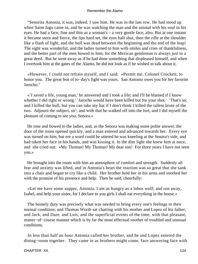"Senorita Antonia, it was, indeed. I saw him. He was in the last row. He had stood up when Saint Jago came in, and he was watching the man and the animal with his soul in his eyes. He had a face, fine and thin as a woman's – a very gentle face, also. But at one instant it became stern and fierce, the lips hard set, the eyes half shut, then the rifle at the shoulder like a flash of light, and the bull was dead between the beginning and the end of the leap! The sight was wonderful, and the ladies turned to him with smiles and cries of thankfulness, and the better part of the men bowed to him; for the Mexican gentleman is always just to a great deed. But he went away as if he had done something that displeased himself, and when I overtook him at the gates of the Alamo, he did not look as if he wished to talk about it.

 «However, I could not refrain myself, and I said: »Permit me, Colonel Crockett, to honor you. The great feat of to−day's fight was yours. San Antonio owes you for her favorite Jarocho."

 «`I saved a life, young man,' he answered and I took a life; and I'll be blamed if I know whether I did right or wrong.' `Jarocho would have been killed but for your shot.' `That's so; and I killed the bull; but you can take my hat if I don't think I killed the tallest brute of the two. Adjourn the subject, sir'; and with that he walked off into the fort, and I did myself the pleasure of coming to see you, Senora.»

 He rose and bowed to the ladies, and, as the Senora was making some polite answer, the door of the room opened quickly, and a man entered and advanced towards her. Every eye was turned on him, but ere a word could be uttered he was kneeling at the Senora's side, and had taken her face in his hands, and was kissing it. In the dim light she knew him at once, and she cried out: «My Thomas! My Thomas! My dear son! For three years I have not seen you.»

 He brought into the room with him an atmosphere of comfort and strength. Suddenly all fear and anxiety was lifted, and in Antonia's heart the reaction was so great that she sank into a chair and began to cry like a child. Her brother held her in his arms and soothed her with the promise of his presence and help. Then he said, cheerfully:

 «Let me have some supper, Antonia. I am as hungry as a lobos wolf; and run away, Isabel, and help your sister, for I declare to you girls I shall eat everything in the house.»

 The homely duty was precisely what was needed to bring every one's feelings to their normal condition; and Thomas Worth sat chatting with his mother and Lopez of his father, and Jack, and Dare, and Luis, and the superficial events of the time, with that pleasant, matter−of−course manner which is by far the most effectual soother of troubled and unusual conditions.

 In less than half an hour Antonia called her brother, and he and Lopez entered the dining−room together. They came in as brothers might come, face answering face with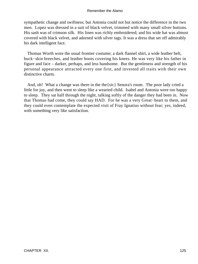sympathetic change and swiftness; but Antonia could not but notice the difference in the two men. Lopez was dressed in a suit of black velvet, trimmed with many small silver buttons. His sash was of crimson silk. His linen was richly embroidered; and his wide hat was almost covered with black velvet, and adorned with silver tags. It was a dress that set off admirably his dark intelligent face.

 Thomas Worth wore the usual frontier costume; a dark flannel shirt, a wide leather belt, buck−skin breeches, and leather boots covering his knees. He was very like his father in figure and face – darker, perhaps, and less handsome. But the gentleness and strength of his personal appearance attracted every one first, and invested all traits with their own distinctive charm.

 And, oh! What a change was there in the the{sic} Senora's room. The poor lady cried a little for joy, and then went to sleep like a wearied child. Isabel and Antonia were too happy to sleep. They sat half through the night, talking softly of the danger they had been in. Now that Thomas had come, they could say HAD. For he was a very Great−heart to them, and they could even contemplate the expected visit of Fray Ignatius without fear; yes, indeed, with something very like satisfaction.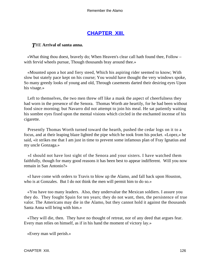# **[CHAPTER XIII.](#page-189-0)**

# *T*HE **Arrival of santa anna.**

 «What thing thou doest, bravely do; When Heaven's clear call hath found thee, Follow – with fervid wheels pursue, Though thousands bray around thee.»

 «Mounted upon a hot and fiery steed, Which his aspiring rider seemed to know; With slow but stately pace kept on his course; You would have thought the very windows spoke, So many greedy looks of young and old, Through casements darted their desiring eyes Upon his visage.»

 Left to themselves, the two men threw off like a mask the aspect of cheerfulness they had worn in the presence of the Senora. Thomas Worth ate heartily, for he had been without food since morning; but Navarro did not attempt to join his meal. He sat patiently waiting his sombre eyes fixed upon the mental visions which circled in the enchanted incense of his cigarette.

 Presently Thomas Worth turned toward the hearth, pushed the cedar logs on it to a focus, and at their leaping blaze lighted the pipe which he took from his pocket. «Lopez,» he said, «it strikes me that I am just in time to prevent some infamous plan of Fray Ignatius and my uncle Gonzaga.»

 «I should not have lost sight of the Senora and your sisters. I have watched them faithfully, though for many good reasons it has been best to appear indifferent. Will you now remain in San Antonio?»

 «I have come with orders to Travis to blow up the Alamo, and fall back upon Houston, who is at Gonzales. But I do not think the men will permit him to do so.»

 «You have too many leaders. Also, they undervalue the Mexican soldiers. I assure you they do. They fought Spain for ten years; they do not want, then, the persistence of true valor. The Americans may die in the Alamo, but they cannot hold it against the thousands Santa Anna will bring with him.»

 «They will die, then. They have no thought of retreat, nor of any deed that argues fear. Every man relies on himself, as if in his hand the moment of victory lay.»

«Every man will perish.»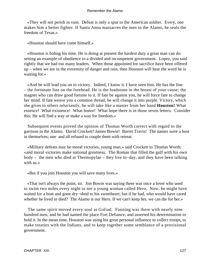«They will not perish in vain. Defeat is only a spur to the American soldier. Every, one makes him a better fighter. If Santa Anna massacres the men in the Alamo, he seals the freedom of Texas.»

«Houston should have come himself.»

 «Houston is biding his time. He is doing at present the hardest duty a great man can do: setting an example of obedience to a divided and incompetent government. Lopez, you said rightly that we had too many leaders. When those appointed for sacrifice have been offered up – when we are in the extremity of danger and ruin, then Houston will hear the word he is waiting for.»

 «And he will lead you on to victory. Indeed, I know it. I have seen him. He has the line – the fortunate line on the forehead. He is the loadstone in the breast of your cause; the magnet who can draw good fortune to it. If fate be against you, he will force fate to change her mind. If fate weave you a common thread, he will change it into purple. Victory, which she gives to others reluctantly, he will take like a master from her hand **Houston!** What essence! What existence! What honor! What hope there is in those seven letters. Consider this: He will find a way or make a way for freedom.»

 Subsequent events proved the opinion of Thomas Worth correct with regard to the garrison in the Alamo. David Crockett! James Bowie! Barret Travis! The names were a host in themselves; one and all refused to couple them with retreat.

 «Military defeats may be moral victories, young man,» said Crockett to Thomas Worth; «and moral victories make national greatness. The Roman that filled the gulf with his own body – the men who died at Thermopylae – they live to−day, and they have been talking with us.»

«But if you join Houston you will save many lives.»

 «That isn't always the point, sir. Jim Bowie was saying there was once a lover who used to swim two miles every night to see a young woman called Hero. Now, he might have waited for a boat and gone dry−shod to his sweetheart; but if he had, who would have cared whether he lived or died? The Alamo is our Hero. If we can't keep her, we can die for her.»

 The same spirit moved every soul at Goliad. Fanning was there with nearly nine hundred men, and he had named the place Fort Defiance, and asserted his determination to hold it. In the mean time, Houston was using his great personal influence to collect troops, to make treaties with the Indians, and to keep together some semblance of a provisional government.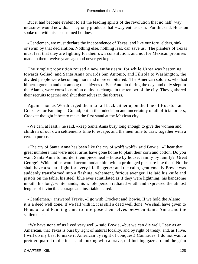But it had become evident to all the leading spirits of the revolution that no half−way measures would now do. They only produced half−way enthusiasm. For this end, Houston spoke out with his accustomed boldness:

 «Gentlemen, we must declare the independence of Texas, and like our fore−elders, sink or swim by that declaration. Nothing else, nothing less, can save us. The planters of Texas must feel that they are fighting for their own constitution, and not for Mexican promises made to them twelve years ago and never yet kept.»

 The simple proposition roused a new enthusiasm; for while Urrea was hastening towards Goliad, and Santa Anna towards San Antonio, and Filisola to Washington, the divided people were becoming more and more embittered. The American soldiers, who had hitherto gone in and out among the citizens of San Antonio during the day, and only slept in the Alamo, were conscious of an ominous change in the temper of the city. They gathered their recruits together and shut themselves in the fortress.

 Again Thomas Worth urged them to fall back either upon the line of Houston at Gonzales, or Fanning at Goliad; but in the indecision and uncertainty of all official orders, Crockett thought it best to make the first stand at the Mexican city.

 «We can, at least,» he said, «keep Santa Anna busy long enough to give the women and children of our own settlements time to escape, and the men time to draw together with a certain purpose.»

 «The cry of Santa Anna has been like the cry of wolf! wolf!» said Bowie. «I hear that great numbers that were under arms have gone home to plant their corn and cotton. Do you want Santa Anna to murder them piecemeal – house by house, family by family? Great George! Which of us would accommodate him with a prolonged pleasure like that? No! he shall have a square fight for every life lie gets»; and the calm, gentlemanly Bowie was suddenly transformed into a flashing, vehement, furious avenger. He laid his knife and pistols on the table, his steel−blue eyes scintillated as if they were lightning; his handsome mouth, his long, white hands, his whole person radiated wrath and expressed the utmost lengths of invincible courage and insatiable hatred.

 «Gentlemen,» answered Travis, «I go with Crockett and Bowie. If we hold the Alamo, it is a deed well done. If we fall with it, it is still a deed well done. We shall have given to Houston and Fanning time to interpose themselves between Santa Anna and the settlements.»

 «We have none of us lived very well,» said Bowie, «but we can die well. I say as an American, that Texas is ours by right of natural locality, and by right of treaty; and, as I live, I will do my best to make it American by right of conquest! Comrades, I do not want a prettier quarrel to die in» – and looking with a brave, unflinching gaze around the grim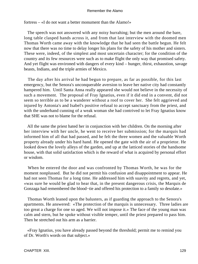fortress – «I do not want a better monument than the Alamo!»

 The speech was not answered with any noisy hurrahing; but the men around the bare, long table clasped hands across it, and from that last interview with the doomed men Thomas Worth came away with the knowledge that he had seen the battle begun. He felt now that there was no time to delay longer his plans for the safety of his mother and sisters. These were, indeed, of the simplest and most uncertain character; for the condition of the country and its few resources were such as to make flight the only way that promised safety. And yet flight was environed with dangers of every kind – hunger, thirst, exhaustion, savage beasts, Indians, and the triple armies of Mexico.

 The day after his arrival he had begun to prepare, as far as possible, for this last emergency, but the Senora's unconquerable aversion to leave her native city had constantly hampered him. Until Santa Anna really appeared she would not believe in the necessity of such a movement. The proposal of Fray Ignatius, even if it did end in a convent, did not seem so terrible as to be a wanderer without a roof to cover her. She felt aggrieved and injured by Antonia's and Isabel's positive refusal to accept sanctuary from the priest, and with the underhand cunning of a weak woman she had contrived to let Fray Ignatius know that SHE was not to blame for the refusal.

 All the same the priest hated her in conjunction with her children. On the morning after her interview with her uncle, he went to receive her submission; for the marquis had informed him of all that had passed, and he felt the three women and the valuable Worth property already under his hard hand. He opened the gate with the air of a proprietor. He looked down the lovely alleys of the garden, and up at the latticed stories of the handsome house, with that solid satisfaction which is the reward of what is acquired by personal effort or wisdom.

 When he entered the door and was confronted by Thomas Worth, he was for the moment nonplussed. But he did not permit his confusion and disappointment to appear. He had not seen Thomas for a long time. He addressed him with suavity and regrets, and yet, «was sure he would be glad to hear that, in the present dangerous crisis, the Marquis de Gonzaga had remembered the blood−tie and offered his protection to a family so desolate.»

 Thomas Worth leaned upon the balusters, as if guarding the approach to the Senora's apartments. He answered: «The protection of the marquis is unnecessary. Three ladies are too great a charge for one so aged. We will not impose it.» The face of the young man was calm and stern, but he spoke without visible temper, until the priest prepared to pass him. Then he stretched out his arm as a barrier.

 «Fray Ignatius, you have already passed beyond the threshold; permit me to remind you of Dr. Worth's words on that subject.»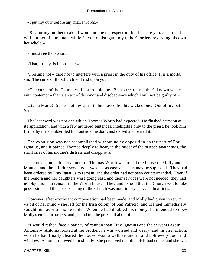«I put my duty before any man's words.»

 «Sir, for my mother's sake, I would not be disrespectful; but I assure you, also, that I will not permit any man, while I live, to disregard my father's orders regarding his own household.»

«I must see the Senora.»

«That, I reply, is impossible.»

 "Presume not – dare not to interfere with a priest in the duty of his office. It is a mortal sin. The curse of the Church will rest upon you.

 «The curse of the Church will not trouble me. But to treat my father's known wishes with contempt – that is an act of dishonor and disobedience which I will not be guilty of.»

 «Santa Maria! Suffer not my spirit to be moved by this wicked one. Out of my path, Satanas!»

 The last word was not one which Thomas Worth had expected. He flushed crimson at its application, and with a few muttered sentences, intelligible only to the priest, he took him firmly by the shoulder, led him outside the door, and closed and barred it.

 The expulsion was not accomplished without noisy opposition on the part of Fray Ignatius, and it pained Thomas deeply to hear, in the midst of the priest's anathemas, the shrill cries of his mother's distress and disapproval.

 The next domestic movement of Thomas Worth was to rid the house of Molly and Manuel, and the inferior servants. It was not as easy a task as may be supposed. They had been ordered by Fray Ignatius to remain, and the order had not been countermanded. Even if the Senora and her daughters were going east, and their services were not needed, they had no objections to remain in the Worth house. They understood that the Church would take possession, and the housekeeping of the Church was notoriously easy and luxurious.

 However, after exorbitant compensation had been made, and Molly had given in return «a bit of her mind,» she left for the Irish colony of San Patricio, and Manuel immediately sought his favorite monte table. When he had doubled his money, he intended to obey Molly's emphatic orders, and go and tell the priest all about it.

 «I would rather, face a battery of cannon than Fray Ignatius and the servants again, Antonia.» Antonia looked at her brother; he was worried and weary, and his first action, when he had finally cleared the house, was to walk around it, and bolt every door and window. Antonia followed him silently. She perceived that the crisis had come, and she was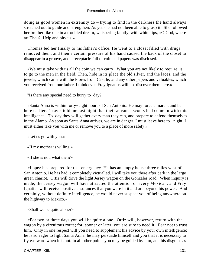doing as good women in extremity do – trying to find in the darkness the hand always stretched out to guide and strengthen. As yet she had not been able to grasp it. She followed her brother like one in a troubled dream, whispering faintly, with white lips, «O God, where art Thou? Help and pity us!»

 Thomas led her finally to his father's office. He went to a closet filled with drugs, removed them, and then a certain pressure of his hand caused the back of the closet to disappear in a groove, and a receptacle full of coin and papers was disclosed.

 «We must take with us all the coin we can carry. What you are not likely to require, is to go to the men in the field. Then, hide in its place the old silver, and the laces, and the jewels, which came with the Flores from Castile; and any other papers and valuables, which you received from our father. I think even Fray Ignatius will not discover them here.»

"Is there any special need to hurry to−day?

 «Santa Anna is within forty−eight hours of San Antonio. He may force a march, and be here earlier. Travis told me last night that their advance scouts had come in with this intelligence. To−day they will gather every man they can, and prepare to defend themselves in the Alamo. As soon as Santa Anna arrives, we are in danger. I must leave here to− night. I must either take you with me or remove you to a place of more safety.»

«Let us go with you.»

«If my mother is willing.»

«If she is not, what then?»

 «Lopez has prepared for that emergency. He has an empty house three miles west of San Antonio. He has had it completely victualled. I will take you there after dark in the large green chariot. Ortiz will drive the light Jersey wagon on the Gonzales road. When inquiry is made, the Jersey wagon will have attracted the attention of every Mexican, and Fray Ignatius will receive positive assurances that you were in it and are beyond his power. And certainly, without definite intelligence, he would never suspect you of being anywhere on the highway to Mexico.»

«Shall we be quite alone?»

 «For two or three days you will be quite alone. Ortiz will, however, return with the wagon by a circuitous route; for, sooner or later, you are sure to need it. Fear not to trust him. Only in one respect will you need to supplement his advice by your own intelligence: he is so eager to fight Santa Anna, he may persuade himself and you that it is necessary to fly eastward when it is not. In all other points you may be guided by him, and his disguise as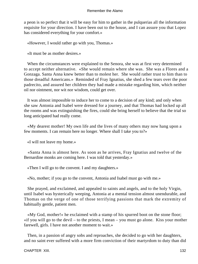a peon is so perfect that it will be easy for him to gather in the pulquerias all the information requisite for your direction. I have been out to the house, and I can assure you that Lopez has considered everything for your comfort.»

«However, I would rather go with you, Thomas.»

«It must be as mother desires.»

 When the circumstances were explained to the Senora, she was at first very determined to accept neither alternative. «She would remain where she was. She was a Flores and a Gonzaga. Santa Anna knew better than to molest her. She would rather trust to him than to those dreadful Americans.» Reminded of Fray Ignatius, she shed a few tears over the poor padrecito, and assured her children they had made a mistake regarding him, which neither oil nor ointment, nor wit nor wisdom, could get over.

 It was almost impossible to induce her to come to a decision of any kind; and only when she saw Antonia and Isabel were dressed for a journey, and that Thomas had locked up all the rooms and was extinguishing the fires, could she bring herself to believe that the trial so long anticipated had really come.

 «My dearest mother! My own life and the lives of many others may now hang upon a few moments. I can remain here no longer. Where shall I take you to?»

«I will not leave my home.»

 «Santa Anna is almost here. As soon as he arrives, Fray Ignatius and twelve of the Bernardine monks are coming here. I was told that yesterday.»

«Then I will go to the convent. I and my daughters.»

«No, mother; if you go to the convent, Antonia and Isabel must go with me.»

 She prayed, and exclaimed, and appealed to saints and angels, and to the holy Virgin, until Isabel was hysterically weeping, Antonia at a mental tension almost unendurable, and Thomas on the verge of one of those terrifying passions that mark the extremity of habitually gentle, patient men.

 «My God, mother!» he exclaimed with a stamp of his spurred boot on the stone floor;  $\le$ if you will go to the devil – to the priests, I mean – you must go alone. Kiss your mother farewell, girls. I have not another moment to wait.»

 Then, in a passion of angry sobs and reproaches, she decided to go with her daughters, and no saint ever suffered with a more firm conviction of their martyrdom to duty than did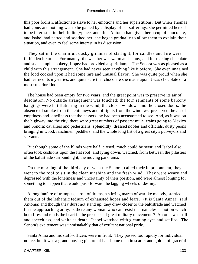this poor foolish, affectionate slave to her emotions and her superstitions. But when Thomas had gone, and nothing was to be gained by a display of her sufferings, she permitted herself to be interested in their hiding−place, and after Antonia had given her a cup of chocolate, and Isabel had petted and soothed her, she began gradually to allow them to explain their situation, and even to feel some interest in its discussion.

 They sat in the charmful, dusky glimmer of starlight, for candles and fire were forbidden luxuries. Fortunately, the weather was warm and sunny, and for making chocolate and such simple cookery, Lopez had provided a spirit lamp. The Senora was as pleased as a child with this arrangement. She had never seen anything like it before. She even imagined the food cooked upon it had some rare and unusual flavor. She was quite proud when she had learned its mysteries, and quite sure that chocolate she made upon it was chocolate of a most superior kind.

 The house had been empty for two years, and the great point was to preserve its air of desolation. No outside arrangement was touched; the torn remnants of some balcony hangings were left fluttering in the wind; the closed windows and the closed doors, the absence of smoke from the chimneys and of lights from the windows, preserved the air of emptiness and loneliness that the passers−by had been accustomed to see. And, as it was on the highway into the city, there were great numbers of passers: mule−trains going to Mexico and Sonora; cavaliers and pedestrians; splendidly−dressed nobles and officials, dusty peons bringing in wood; ranchmen, peddlers, and the whole long list of a great city's purveyors and servants.

 But though some of the blinds were half−closed, much could be seen; and Isabel also often took cushions upon the flat roof, and lying down, watched, from between the pilasters of the balustrade surrounding it, the moving panorama.

 On the morning of the third day of what the Senora, called their imprisonment, they went to the roof to sit in the clear sunshine and the fresh wind. They were weary and depressed with the loneliness and uncertainty of their position, and were almost longing for something to happen that would push forward the lagging wheels of destiny.

 A long fanfare of trumpets, a roll of drums, a stirring march of warlike melody, startled them out of the lethargic tedium of exhausted hopes and fears. «It is Santa Anna!» said Antonia; and though they durst not stand up, they drew closer to the balustrade and watched for the approaching army. Is there any woman who can resist that nameless emotion which both fires and rends the heart in the presence of great military movements? Antonia was still and speechless, and white as death. Isabel watched with gleaming eyes and set lips. The Senora's excitement was unmistakably that of exultant national pride.

 Santa Anna and his staff−officers were in front. They passed too rapidly for individual notice, but it was a grand moving picture of handsome men in scarlet and gold – of graceful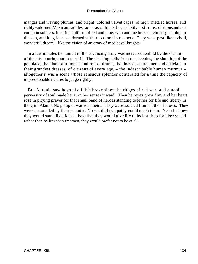mangas and waving plumes, and bright−colored velvet capes; of high−mettled horses, and richly−adorned Mexican saddles, aqueras of black fur, and silver stirrups; of thousands of common soldiers, in a fine uniform of red and blue; with antique brazen helmets gleaming in the sun, and long lances, adorned with tri−colored streamers. They went past like a vivid, wonderful dream – like the vision of an army of mediaeval knights.

 In a few minutes the tumult of the advancing army was increased tenfold by the clamor of the city pouring out to meet it. The clashing bells from the steeples, the shouting of the populace, the blare of trumpets and roll of drums, the lines of churchmen and officials in their grandest dresses, of citizens of every age, – the indescribable human murmur – altogether it was a scene whose sensuous splendor obliterated for a time the capacity of impressionable natures to judge rightly.

 But Antonia saw beyond all this brave show the ridges of red war, and a noble perversity of soul made her turn her senses inward. Then her eyes grew dim, and her heart rose in pitying prayer for that small band of heroes standing together for life and liberty in the grim Alamo. No pomp of war was theirs. They were isolated from all their fellows. They were surrounded by their enemies. No word of sympathy could reach them. Yet she knew they would stand like lions at bay; that they would give life to its last drop for liberty; and rather than be less than freemen, they would prefer not to be at all.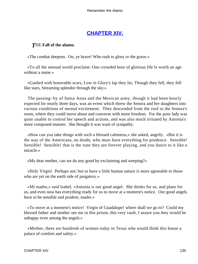# **[CHAPTER XIV.](#page-189-0)**

# *T*HE **Fall of the alamo.**

«The combat deepens. On, ye brave! Who rush to glory or the grave.»

 «To all the sensual world proclaim: One crowded hour of glorious life Is worth an age without a name.»

 «Gashed with honorable scars, Low in Glory's lap they lie; Though they fell, they fell like stars, Streaming splendor through the sky.»

 The passing−by of Santa Anna and the Mexican army, though it had been hourly expected for nearly three days, was an event which threw the Senora and her daughters into various conditions of mental excitement. They descended from the roof to the Senora's room, where they could move about and converse with more freedom. For the poor lady was quite unable to control her speech and actions, and was also much irritated by Antonia's more composed manner. She thought it was want of sympathy.

 «How can you take things with such a blessed calmness,» she asked, angrily. «But it is the way of the Americans, no doubt, who must have everything for prudence. Sensible! Sensible! Sensible! that is the tune they are forever playing, and you dance to it like a miracle.»

«My dear mother, can we do any good by exclaiming and weeping?»

 «Holy Virgin! Perhaps not; but to have a little human nature is more agreeable to those who are yet on the earth side of purgatory.»

 «Mi madre,» said Isabel, «Antonia is our good angel. She thinks for us, and plans for us, and even now has everything ready for us to move at a moment's notice. Our good angels have to be sensible and prudent, madre.»

 «To move at a moment's notice! Virgin of Guadalupe! where shall we go to? Could my blessed father and mother see me in this prison, this very vault, I assure you they would be unhappy even among the angels.»

 «Mother, there are hundreds of women today in Texas who would think this house a palace of comfort and safety.»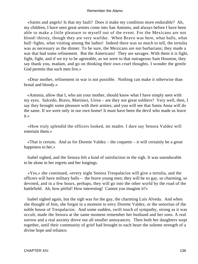«Saints and angels! Is that my fault? Does it make my condition more endurable? Ah, my children, I have seen great armies come into San Antonio, and always before I have been able to make a little pleasure to myself out of the event. For the Mexicans are not blood−thirsty, though they are very warlike. When Bravo was here, what balls, what bull−fights, what visiting among the ladies! Indeed there was so much to tell, the tertulia was as necessary as the dinner. To be sure, the Mexicans are not barbarians; they made a war that had some refinement. But the Americans! They are savages. With them it is fight, fight, fight, and if we try to be agreeable, as we were to that outrageous Sam Houston, they say thank you, madam, and go on thinking their own cruel thoughts. I wonder the gentle God permits that such men live.»

 «Dear mother, refinement in war is not possible. Nothing can make it otherwise than brutal and bloody.»

 «Antonia, allow that I, who am your mother, should know what I have simply seen with my eyes. Salcedo, Bravo, Martinez, Urrea – are they not great soldiers? Very well, then, I say they brought some pleasure with their armies; and you will see that Santa Anna will do the same. If we were only in our own home! It must have been the devil who made us leave it.»

 «How truly splendid the officers looked, mi madre. I dare say Senora Valdez will entertain them.»

«That is certain. And as for Dorette Valdez – the coquette – it will certainly be a great happiness to her.»

 Isabel sighed, and the Senora felt a kind of satisfaction in the sigh. It was unendurable to be alone in her regrets and her longings.

 «Yes,» she continued, «every night Senora Trespalacios will give a tertulia, and the officers will have military balls – the brave young men; they will be so gay, so charming, so devoted, and in a few hours, perhaps, they will go into the other world by the road of the battlefield. Ah, how pitiful! How interesting! Cannot you imagine it?»

 Isabel sighed again, but the sigh was for the gay, the charming Luis Alveda. And when she thought of him, she forgot in a moment to envy Dorette Valdez, or the senoritas of the noble house of Trespalacios. And some sudden, swift touch of sympathy, strong as it was occult, made the Senora at the same moment remember her husband and her sons. A real sorrow and a real anxiety drove out all smaller annoyances. Then both her daughters wept together, until their community of grief had brought to each heart the solemn strength of a divine hope and reliance.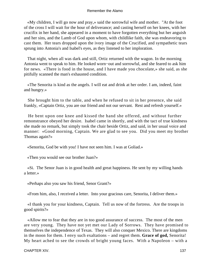«My children, I will go now and pray,» said the sorrowful wife and mother. "At the foot of the cross I will wait for the hour of deliverance; and casting herself on her knees, with her crucifix in her hand, she appeared in a moment to have forgotten everything but her anguish and her sins, and the Lamb of God upon whom, with childlike faith, she was endeavoring to cast them. Her tears dropped upon the ivory image of the Crucified, and sympathetic tears sprung into Antonia's and Isabel's eyes, as they listened to her imploration.

 That night, when all was dark and still, Ortiz returned with the wagon. In the morning Antonia went to speak to him. He looked worn−out and sorrowful, and she feared to ask him for news. «There is food in the house, and I have made you chocolate,» she said, as she pitifully scanned the man's exhausted condition.

 «The Senorita is kind as the angels. I will eat and drink at her order. I am, indeed, faint and hungry.»

 She brought him to the table, and when he refused to sit in her presence, she said frankly, «Captain Ortiz, you are our friend and not our servant. Rest and refresh yourself.»

 He bent upon one knee and kissed the hand she offered, and without further remonstrance obeyed her desire. Isabel came in shortly, and with the tact of true kindness she made no remark, but simply took the chair beside Ortiz, and said, in her usual voice and manner: «Good morning, Captain. We are glad to see you. Did you meet my brother Thomas again?»

«Senorita, God be with you! I have not seen him. I was at Goliad.»

«Then you would see our brother Juan?»

 «Si. The Senor Juan is in good health and great happiness. He sent by my willing hands a letter.»

«Perhaps also you saw his friend, Senor Grant?»

«From him, also, I received a letter. Into your gracious care, Senorita, I deliver them.»

 «I thank you for your kindness, Captain. Tell us now of the fortress. Are the troops in good spirits?»

 «Allow me to fear that they are in too good assurance of success. The most of the men are very young. They have not yet met our Lady of Sorrows. They have promised to themselves the independence of Texas. They will also conquer Mexico. There are kingdoms in the moon for them. I envy such exaltations – and regret them. **Grace of god,** Senorita! My heart ached to see the crowds of bright young faces. With a Napoleon – with a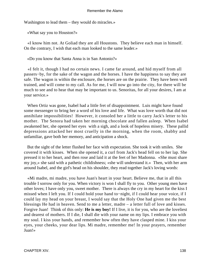Washington to lead them – they would do miracles.»

«What say you to Houston?»

 «I know him not. At Goliad they are all Houstons. They believe each man in himself. On the contrary, I wish that each man looked to the same leader.»

«Do you know that Santa Anna is in San Antonio?»

 «I felt it, though I had no certain news. I came far around, and hid myself from all passers−by, for the sake of the wagon and the horses. I have the happiness to say they are safe. The wagon is within the enclosure, the horses are on the prairie. They have been well trained, and will come to my call. As for me, I will now go into the city, for there will be much to see and to hear that may be important to us. Senoritas, for all your desires, I am at your service.»

 When Ortiz was gone, Isabel had a little fret of disappointment. Luis might have found some messenger to bring her a word of his love and life. What was love worth that did not annihilate impossibilities! However, it consoled her a little to carry Jack's letter to his mother. The Senora had taken her morning chocolate and fallen asleep. When Isabel awakened her, she opened her eyes with a sigh, and a look of hopeless misery. These pallid depressions attacked her most cruelly in the morning, when the room, shabby and unfamiliar, gave both her memory, and anticipation a shock.

 But the sight of the letter flushed her face with expectation. She took it with smiles. She covered it with kisses. When she opened it, a curl from Jack's head fell on to her lap. She pressed it to her heart, and then rose and laid it at the feet of her Madonna. «She must share my joy,» she said with a pathetic childishness; «she will understand it.» Then, with her arm around Isabel, and the girl's head on his shoulder, they read together Jack's loving words:

 «Mi madre, mi madre, you have Juan's heart in your heart. Believe me, that in all this trouble I sorrow only for you. When victory is won I shall fly to you. Other young men have other loves; I have only you, sweet mother. There is always the cry in my heart for the kiss I missed when I left you. If I could hold your hand to−night, if I could hear your voice, if I could lay my head on your breast, I would say that the Holy One had given me the best blessings He had in heaven. Send to me a letter, madre – a letter full of love and kisses. Forgive Juan! Think of this only: **He is my boy!** If I live, it is for you, who are the loveliest and dearest of mothers. If I die, I shall die with your name on my lips. I embrace you with my soul. I kiss your hands, and remember how often they have clasped mine. I kiss your eyes, your cheeks, your dear lips. Mi madre, remember me! In your prayers, remember Juan!»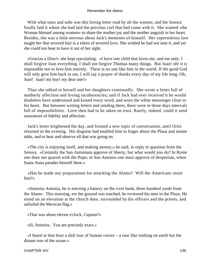With what tears and sobs was this loving letter read by all the women; and the Senora finally laid it where she had laid the precious curl that had come with it. She wanted «the Woman blessed among women» to share the mother joy and the mother anguish in her heart. Besides, she was a little nervous about Jack's memento of himself. Her superstitious lore taught her that severed hair is a token of severed love. She wished he had not sent it, and yet she could not bear to have it out of her sight.

 «Gracias a Dios!» she kept ejaculating. «I have one child that loves me, and me only. I shall forgive Juan everything. I shall not forgive Thomas many things. But Juan! oh! it is impossible not to love him entirely. There is no one like him in the world. If the good God will only give him back to me, I will say a prayer of thanks every day of my life long. Oh, Juan! Juan! my boy! my dear one!»

 Thus she talked to herself and her daughters continually. She wrote a letter full of motherly affection and loving incoherencies; and if Jack had ever received it he would doubtless have understood and kissed every word, and worn the white messenger close to his heart. But between writing letters and sending them, there were in those days intervals full of impossibilities. Love then had to be taken on trust. Rarely, indeed, could it send assurances of fidelity and affection.

 Jack's letter brightened the day, and formed a new topic of conversation, until Ortiz returned in the evening. His disguise had enabled him to linger about the Plaza and monte table, and to hear and observe all that was going on.

 «The city is enjoying itself, and making money,» he said, in reply to question from the Senora. «Certainly the San Antonians approve of liberty, but what would you do? In Rome one does not quarrel with the Pope; in San Antonio one must approve of despotism, when Santa Anna parades himself there.»

 «Has he made any preparations for attacking the Alamo? Will the Americans resist him?»

 «Senorita Antonia, he is erecting a battery on the river bank, three hundred yards from the Alamo. This morning, ere the ground was touched, he reviewed his men in the Plaza. He stood on an elevation at the church door, surrounded by his officers and the priests, and unfurled the Mexican flag.»

«That was about eleven o'clock, Captain?»

«Si, Senorita. You are precisely exact.»

 «I heard at that hour a dull roar of human voices – a roar like nothing on earth but the distant roar of the ocean.»

CHAPTER XIV. 139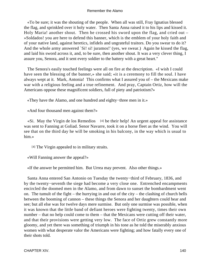«To be sure; it was the shouting of the people. When all was still, Fray Ignatius blessed the flag, and sprinkled over it holy water. Then Santa Anna raised it to his lips and kissed it. Holy Maria! another shout. Then he crossed his sword upon the flag, and cried out – »Soldados! you are here to defend this banner, which is the emblem of your holy faith and of your native land, against heretics, infidels and ungrateful traitors. Do you swear to do it? And the whole army answered `Si! si! juramos!' (yes, we swear.) Again he kissed the flag, and laid his sword across it, and, to be sure, then another shout. It was a very clever thing, I assure you, Senora, and it sent every soldier to the battery with a great heart."

 The Senora's easily touched feelings were all on fire at the description. «I wish I could have seen the blessing of the banner,» she said; «it is a ceremony to fill the soul. I have always wept at it. Mark, Antonia! This confirms what I assured you of – the Mexicans make war with a religious feeling and a true refinement. And pray, Captain Ortiz, how will the Americans oppose these magnificent soldiers, full of piety and patriotism?»

«They have the Alamo, and one hundred and eighty−three men in it.»

«And four thousand men against them?»

 $\ll$ Si. May the Virgin de los Remedios [4] be their help! An urgent appeal for assistance was sent to Fanning at Goliad. Senor Navarre, took it on a horse fleet as the wind. You will see that on the third day he will be smoking in his balcony, in the way which is usual to him.»

[4] The Virgin appealed to in military straits.

«Will Fanning answer the appeal?»

«If the answer be permitted him. But Urrea may prevent. Also other things.»

 Santa Anna entered San Antonio on Tuesday the twenty−third of February, 1836, and by the twenty−seventh the siege had become a very close one. Entrenched encampments encircled the doomed men in the Alamo, and from dawn to sunset the bombardment went on. The tumult of the fight – the hurrying in and out of the city – the clashing of church bells between the booming of cannon – these things the Senora and her daughters could hear and see; but all else was for twelve days mere surmise. But only one surmise was possible, when it was known that the little band of defiant heroes were fighting twenty, times their own number – that no help could come to them – that the Mexicans were cutting off their water, and that their provisions were getting very low. The face of Ortiz grew constantly more gloomy, and yet there was something of triumph in his tone as he told the miserably anxious women with what desperate valor the Americans were fighting; and how fatally every one of their shots told.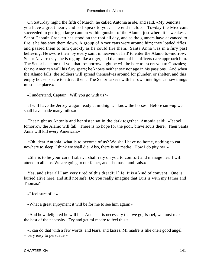On Saturday night, the fifth of March, he called Antonia aside, and said, «My Senorita, you have a great heart, and so I speak to you. The end is close. To−day the Mexicans succeeded in getting a large cannon within gunshot of the Alamo, just where it is weakest. Senor Captain Crockett has stood on the roof all day, and as the gunners have advanced to fire it he has shot them down. A group of Americans were around him; they loaded rifles and passed them to him quickly as he could fire them. Santa Anna was in a fury past believing. He swore then `by every saint in heaven or hell' to enter the Alamo to−morrow. Senor Navarro says he is raging like a tiger, and that none of his officers dare approach him. The Senor bade me tell you that to−morrow night he will be here to escort you to Gonzales; for no American will his fury spare; he knows neither sex nor age in his passions. And when the Alamo falls, the soldiers will spread themselves around for plunder, or shelter, and this empty house is sure to attract them. The Senorita sees with her own intelligence how things must take place.»

«I understand, Captain. Will you go with us?»

 «I will have the Jersey wagon ready at midnight. I know the horses. Before sun−up we shall have made many miles.»

 That night as Antonia and her sister sat in the dark together, Antonia said: «Isabel, tomorrow the Alamo will fall. There is no hope for the poor, brave souls there. Then Santa Anna will kill every American.»

 «Oh, dear Antonia, what is to become of us? We shall have no home, nothing to eat, nowhere to sleep. I think we shall die. Also, there is mi madre. How I do pity her!»

 «She is to be your care, Isabel. I shall rely on you to comfort and manage her. I will attend to all else. We are going to our father, and Thomas – and Luis.»

 Yes, and after all I am very tired of this dreadful life. It is a kind of convent. One is buried alive here, and still not safe. Do you really imagine that Luis is with my father and Thomas?"

«I feel sure of it.»

«What a great enjoyment it will be for me to see him again!»

 «And how delighted he will be! And as it is necessary that we go, Isabel, we must make the best of the necessity. Try and get mi madre to feel this.»

 «I can do that with a few words, and tears, and kisses. Mi madre is like one's good angel – very easy to persuade.»

CHAPTER XIV. 2002. 2003. THE STATE OF THE STATE OF THE STATE OF THE STATE OF THE STATE OF THE STATE OF THE STATE OF THE STATE OF THE STATE OF THE STATE OF THE STATE OF THE STATE OF THE STATE OF THE STATE OF THE STATE OF TH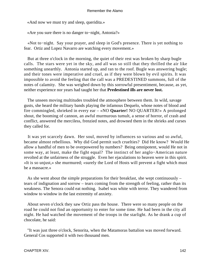«And now we must try and sleep, queridita.»

«Are you sure there is no danger to−night, Antonia?»

 «Not to−night. Say your prayer, and sleep in God's presence. There is yet nothing to fear. Ortiz and Lopez Navarro are watching every movement.»

 But at three o'clock in the morning, the quiet of their rest was broken by sharp bugle calls. The stars were yet in the sky, and all was so still that they thrilled the air like something unearthly. Antonia started up, and ran to the roof. Bugle was answering bugle; and their tones were imperative and cruel, as if they were blown by evil spirits. It was impossible to avoid the feeling that the call was a PREDESTINED summons, full of the notes of calamity. She was weighed down by this sorrowful presentiment, because, as yet, neither experience nor years had taught her that **Predestined ills are never lost.**

 The unseen moving multitudes troubled the atmosphere between them. In wild, savage gusts, she heard the military bands playing the infamous Dequelo, whose notes of blood and fire commingled, shrieked in every ear – «NO **Quarter!** NO QUARTER!» A prolonged shout, the booming of cannon, an awful murmurous tumult, a sense of horror, of crash and conflict, answered the merciless, frenzied notes, and drowned them in the shrieks and curses they called for.

 It was yet scarcely dawn. Her soul, moved by influences so various and so awful, became almost rebellious. Why did God permit such cruelties? Did He know? Would He allow a handful of men to be overpowered by numbers? Being omnipotent, would He not in some way, at least, make the fight equal? The instinct of her anglo−American nature revolted at the unfairness of the struggle. Even her ejaculations to heaven were in this spirit. «It is so unjust,» she murmured; «surely the Lord of Hosts will prevent a fight which must be a massacre.»

 As she went about the simple preparations for their breakfast, she wept continuously – tears of indignation and sorrow – tears coming from the strength of feeling, rather than its weakness. The Senora could eat nothing. Isabel was white with terror. They wandered from window to window in the last extremity of anxiety.

 About seven o'clock they saw Ortiz pass the house. There were so many people on the road he could not find an opportunity to enter for some time. He had been in the city all night. He had watched the movement of the troops in the starlight. As he drank a cup of chocolate, he said:

 "It was just three o'clock, Senorita, when the Matamoras battalion was moved forward. General Cos supported it with two thousand men.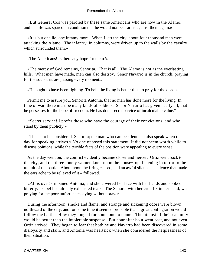«But General Cos was paroled by these same Americans who are now in the Alamo; and his life was spared on condition that he would not bear arms against them again.»

 «It is but one lie, one infamy more. When I left the city, about four thousand men were attacking the Alamo. The infantry, in columns, were driven up to the walls by the cavalry which surrounded them.»

«The Americans! Is there any hope for them?»

 «The mercy of God remains, Senorita. That is all. The Alamo is not as the everlasting hills. What men have made, men can also destroy. Senor Navarro is in the church, praying for the souls that are passing every moment.»

«He ought to have been fighting. To help the living is better than to pray for the dead.»

 Permit me to assure you, Senorita Antonia, that no man has done more for the living. In time of war, there must be many kinds of soldiers. Senor Navarro has given nearly all, that he possesses for the hope of freedom. He has done secret service of incalculable value."

 «Secret service! I prefer those who have the courage of their convictions, and who, stand by them publicly.»

 «This is to be considered, Senorita; the man who can be silent can also speak when the day for speaking arrives.» No one opposed this statement. It did not seem worth while to discuss opinions, while the terrible facts of the position were appealing to every sense.

 As the day went on, the conflict evidently became closer and fiercer. Ortiz went back to the city, and the three lonely women knelt upon the house−top, listening in terror to the tumult of the battle. About noon the firing ceased, and an awful silence – a silence that made the ears ache to be relieved of it – followed.

 «All is over!» moaned Antonia, and she covered her face with her hands and sobbed bitterly. Isabel had already exhausted tears. The Senora, with her crucifix in her hand, was praying for the poor unfortunates dying without prayer.

 During the afternoon, smoke and flame, and strange and sickening odors were blown northward of the city, and for some time it seemed probable that a great conflagration would follow the battle. How they longed for some one to come! The utmost of their calamity would be better than the intolerable suspense. But hour after hour went past, and not even Ortiz arrived. They began to fear that both he and Navarro had been discovered in some disloyalty and slain, and Antonia was heartsick when she considered the helplessness of their situation.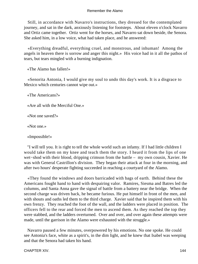Still, in accordance with Navarro's instructions, they dressed for the contemplated journey, and sat in the dark, anxiously listening for footsteps. About eleven o'clock Navarro and Ortiz came together. Ortiz went for the horses, and Navarro sat down beside, the Senora. She asked him, in a low voice, what had taken place, and he answered:

 «Everything dreadful, everything cruel, and monstrous, and inhuman! Among the angels in heaven there is sorrow and anger this night.» His voice had in it all the pathos of tears, but tears mingled with a burning indignation.

«The Alamo has fallen!»

 «Senorita Antonia, I would give my soul to undo this day's work. It is a disgrace to Mexico which centuries cannot wipe out.»

«The Americans?»

«Are all with the Merciful One.»

«Not one saved?»

«Not one.»

«Impossible!»

 "I will tell you. It is right to tell the whole world such an infamy. If I had little children I would take them on my knee and teach them the story. I heard it from the lips of one wet−shod with their blood, dripping crimson from the battle – my own cousin, Xavier. He was with General Castrillon's division. They began their attack at four in the morning, and after two hours' desperate fighting succeeded in reaching a courtyard of the Alamo.

 «They found the windows and doors barricaded with bags of earth. Behind these the Americans fought hand to hand with despairing valor. Ramires, Siesma and Batres led the columns, and Santa Anna gave the signal of battle from a battery near the bridge. When the second charge was driven back, he became furious. He put himself in front of the men, and with shouts and oaths led them to the third charge. Xavier said that he inspired them with his own frenzy. They reached the foot of the wall, and the ladders were placed in position. The officers fell to the rear and forced the men to ascend them. As they reached the top they were stabbed, and the ladders overturned. Over and over, and over again these attempts were made, until the garrison in the Alamo were exhausted with the struggle.»

 Navarro paused a few minutes, overpowered by his emotions. No one spoke. He could see Antonia's face, white as a spirit's, in the dim light, and he knew that Isabel was weeping and that the Senora had taken his hand.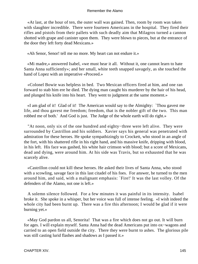«At last, at the hour of ten, the outer wall was gained. Then, room by room was taken with slaughter incredible. There were fourteen Americans in the hospital. They fired their rifles and pistols from their pallets with such deadly aim that Milagros turned a cannon shotted with grape and canister upon them. They were blown to pieces, but at the entrance of the door they left forty dead Mexicans.»

«Ah Senor, Senor! tell me no more. My heart can not endure it.»

 «Mi madre,» answered Isabel, «we must hear it all. Without it, one cannot learn to hate Santa Anna sufficiently»; and her small, white teeth snapped savagely, as she touched the hand of Lopez with an imperative «Proceed.»

 «Colonel Bowie was helpless in bed. Two Mexican officers fired at him, and one ran forward to stab him ere he died. The dying man caught his murderer by the hair of his head, and plunged his knife into his heart. They went to judgment at the same moment.»

 «I am glad of it! Glad of it! The American would say to the Almighty: `Thou gavest me life, and thou gavest me freedom; freedom, that is the nobler gift of the two. This man robbed me of both.' And God is just. The Judge of the whole earth will do right.»

 "At noon, only six of the one hundred and eighty−three were left alive. They were surrounded by Castrillon and his soldiers. Xavier says his general was penetrated with admiration for these heroes. He spoke sympathizingly to Crockett, who stood in an angle of the fort, with his shattered rifle in his right hand, and his massive knife, dripping with blood, in his left. His face was gashed, his white hair crimson with blood; but a score of Mexicans, dead and dying, were around him. At his side was Travis, but so exhausted that he was scarcely alive.

 «Castrillon could not kill these heroes. He asked their lives of Santa Anna, who stood with a scowling, savage face in this last citadel of his foes. For answer, he turned to the men around him, and said, with a malignant emphasis: `Fire!' It was the last volley. Of the defenders of the Alamo, not one is left.»

 A solemn silence followed. For a few minutes it was painful in its intensity. Isabel broke it. She spoke in a whisper, but her voice was full of intense feeling. «I wish indeed the whole city had been burnt up. There was a fire this afternoon; I would be glad if it were burning yet.»

 «May God pardon us all, Senorita! That was a fire which does not go out. It will burn for ages. I will explain myself. Santa Anna had the dead Americans put into ox−wagons and carried to an open field outside the city. There they were burnt to ashes. The glorious pile was still casting lurid flashes and shadows as I passed it.»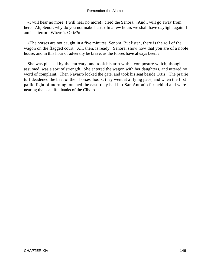«I will hear no more! I will hear no more!» cried the Senora. «And I will go away from here. Ah, Senor, why do you not make haste? In a few hours we shall have daylight again. I am in a terror. Where is Ortiz?»

 «The horses are not caught in a five minutes, Senora. But listen, there is the roll of the wagon on the flagged court. All, then, is ready. Senora, show now that you are of a noble house, and in this hour of adversity be brave, as the Flores have always been.»

 She was pleased by the entreaty, and took his arm with a composure which, though assumed, was a sort of strength. She entered the wagon with her daughters, and uttered no word of complaint. Then Navarro locked the gate, and took his seat beside Ortiz. The prairie turf deadened the beat of their horses' hoofs; they went at a flying pace, and when the first pallid light of morning touched the east, they had left San Antonio far behind and were nearing the beautiful banks of the Cibolo.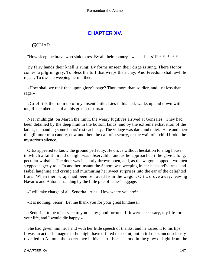# **[CHAPTER XV.](#page-189-0)**

# *G*OLIAD.

"How sleep the brave who sink to rest By all their country's wishes bless'd? \* \* \* \* \*

 By fairy hands their knell is rung; By forms unseen their dirge is sung. There Honor comes, a pilgrim gray, To bless the turf that wraps their clay; And Freedom shall awhile repair, To dwell a weeping hermit there."

 «How shall we rank thee upon glory's page? Thou more than soldier, and just less than sage.»

 «Grief fills the room up of my absent child; Lies in his bed, walks up and down with me; Remembers me of all his gracious parts.»

 Near midnight, on March the ninth, the weary fugitives arrived at Gonzales. They had been detained by the deep mud in the bottom lands, and by the extreme exhaustion of the ladies, demanding some hours' rest each day. The village was dark and quiet. Here and there the glimmer of a candle, now and then the call of a sentry, or the wail of a child broke the mysterious silence.

 Ortiz appeared to know the ground perfectly. He drove without hesitation to a log house in which a faint thread of light was observable, and as he approached it he gave a long, peculiar whistle. The door was instantly thrown open, and, as the wagon stopped, two men stepped eagerly to it. In another instant the Senora was weeping in her husband's arms, and Isabel laughing and crying and murmuring her sweet surprises into the ear of the delighted Luis. When their wraps had been removed from the wagon, Ortiz drove away, leaving Navarro and Antonia standing by the little pile of ladies' luggage.

«I will take charge of all, Senorita. Alas! How weary you are!»

«It is nothing, Senor. Let me thank you for your great kindness.»

 «Senorita, to be of service to you is my good fortune. If it were necessary, my life for your life, and I would die happy.»

 She had given him her hand with her little speech of thanks, and he raised it to his lips. It was an act of homage that he might have offered to a saint, but in it Lopez unconsciously revealed to Antonia the secret love in his heart. For he stood in the glow of light from the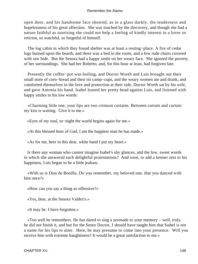open door, and his handsome face showed, as in a glass darkly, the tenderness and hopelessness of his great affection. She was touched by the discovery, and though she had a nature faithful as sunrising she could not help a feeling of kindly interest in a lover so reticent, so watchful, so forgetful of himself.

 The log cabin in which they found shelter was at least a resting−place. A fire of cedar logs burned upon the hearth, and there was a bed in the room, and a few rude chairs covered with raw hide. But the Senora had a happy smile on her weary face. She ignored the poverty of her surroundings. She had her Roberto, and, for this hour at least, had forgiven fate.

 Presently the coffee−pot was boiling, and Doctor Worth and Luis brought out their small store of corn−bread and their tin camp−cups, and the weary women ate and drank, and comforted themselves in the love and protection at their side. Doctor Worth sat by his wife, and gave Antonia his hand. Isabel leaned her pretty head against Luis, and listened with happy smiles to his low words:

 «Charming little one, your lips are two crimson curtains. Between curtain and curtain my kiss is waiting. Give it to me.»

«Eyes of my soul, to−night the world begins again for me.»

«At this blessed hour of God, I am the happiest man he has made.»

«As for me, here in this dear, white hand I put my heart.»

 Is there any woman who cannot imagine Isabel's shy glances, and the low, sweet words in which she answered such delightful protestations? And soon, to add a keener zest to his happiness, Luis began to be a little jealous.

 «With us is Dias de Bonilla. Do you remember, my beloved one. that you danced with him once?»

«How can you say a thing so offensive?»

«Yes, dear, at the Senora Valdez's.»

«It may be. I have forgotten.»

 «Too well he remembers. He has dared to sing a serenade to your memory – well, truly, he did not finish it, and but for the Senor Doctor, I should have taught him that Isabel is not a name for his lips to utter. Here, he may presume to come into your presence. Will you receive him with extreme haughtiness? It would be a great satisfaction to me.»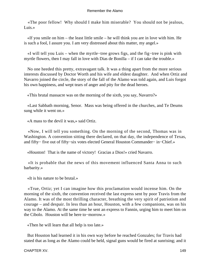«The poor fellow! Why should I make him miserable? You should not be jealous, Luis.»

 «If you smile on him – the least little smile – he will think you are in love with him. He is such a fool, I assure you. I am very distressed about this matter, my angel.»

 «I will tell you Luis – when the myrtle−tree grows figs, and the fig−tree is pink with myrtle flowers, then I may fall in love with Dias de Bonilla – if I can take the trouble.»

 No one heeded this pretty, extravagant talk. It was a thing apart from the more serious interests discussed by Doctor Worth and his wife and eldest daughter. And when Ortiz and Navarro joined the circle, the story of the fall of the Alamo was told again, and Luis forgot his own happiness, and wept tears of anger and pity for the dead heroes.

«This brutal massacre was on the morning of the sixth, you say, Navarro?»

 «Last Sabbath morning, Senor. Mass was being offered in the churches, and Te Deums sung while it went on.»

«A mass to the devil it was,» said Ortiz.

 «Now, I will tell you something. On the morning of the second, Thomas was in Washington. A convention sitting there declared, on that day, the independence of Texas, and fifty− five out of fifty−six votes elected General Houston Commander− in−Chief.»

«Houston! That is the name of victory! Gracias a Dios!» cried Navarro.

 «It is probable that the news of this movement influenced Santa Anna to such barbarity.»

«It is his nature to be brutal.»

 «True, Ortiz; yet I can imagine how this proclamation would incense him. On the morning of the sixth, the convention received the last express sent by poor Travis from the Alamo. It was of the most thrilling character, breathing the very spirit of patriotism and courage – and despair. In less than an hour, Houston, with a few companions, was on his way to the Alamo. At the same time he sent an express to Fannin, urging him to meet him on the Cibolo. Houston will be here to−morrow.»

«Then he will learn that all help is too late.»

 But Houston had learned it in his own way before he reached Gonzales; for Travis had stated that as long as the Alamo could be held, signal guns would be fired at sunrising; and it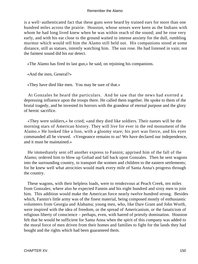is a well−authenticated fact that these guns were heard by trained ears for more than one hundred miles across the prairie. Houston, whose senses were keen as the Indians with whom he had long lived knew when he was within reach of the sound; and he rose very early, and with his ear close to the ground waited in intense anxiety for the dull, rumbling murmur which would tell him the Alamo still held out. His companions stood at some distance, still as statues, intently watching him. The sun rose. He had listened in vain; not the faintest sound did his ear detect.

«The Alamo has fired its last gun,» he said, on rejoining his companions.

«And the men, General?»

«They have died like men. You may be sure of that.»

 At Gonzales he heard the particulars. And he saw that the news had exerted a depressing influence upon the troops there. He called them together. He spoke to them of the brutal tragedy, and he invested its horrors with the grandeur of eternal purpose and the glory of heroic sacrifice.

 «They were soldiers,» he cried; «and they died like soldiers. Their names will be the morning stars of American history. They will live for ever in the red monument of the Alamo.» He looked like a lion, with a gloomy stare; his port was fierce, and his eyes commanded all he viewed. «Vengeance remains to us! We have declared our independence, and it must be maintained.»

 He immediately sent off another express to Fannin; apprised him of the fall of the Alamo; ordered him to blow up Goliad and fall back upon Gonzales. Then he sent wagons into the surrounding country, to transport the women and children to the eastern settlements; for he knew well what atrocities would mark every mile of Santa Anna's progress through the country.

 These wagons, with their helpless loads, were to rendezvous at Peach Creek, ten miles from Gonzales; where also he expected Fannin and his eight hundred and sixty men to join him. This addition would make the American force nearly twelve hundred strong. Besides which, Fannin's little army was of the finest material, being composed mostly of enthusiastic volunteers from Georgia and Alabama; young men, who, like Dare Grant and John Worth, were inspired with the idea of freedom, or the spread of Americanism, or the fanaticism of religious liberty of conscience – perhaps, even, with hatred of priestly domination. Houston felt that he would be sufficient for Santa Anna when the spirit of this company was added to the moral force of men driven from their homes and families to fight for the lands they had bought and the rights which had been guaranteed them.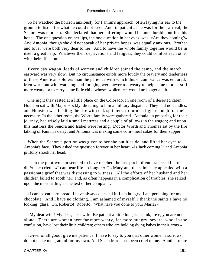So he watched the horizon anxiously for Fannin's approach, often laying his ear to the ground to listen for what he could not see. And, impatient as he was for their arrival, the Senora was more so. She declared that her sufferings would be unendurable but for this hope. The one question on her lips, the one question in her eyes, was, «Are they coming?» And Antonia, though she did not speak of her private hopes, was equally anxious. Brother and lover were both very dear to her. And to have the whole family together would be in itself a great help. Whatever their deprivations and fatigues, they could comfort each other with their affection.

 Every day wagon−loads of women and children joined the camp, and the march eastward was very slow. But no circumstance extols more loudly the bravery and tenderness of these American soldiers than the patience with which this encumbrance was endured. Men worn out with watching and foraging were never too weary to help some mother still more weary, or to carry some little child whose swollen feet would no longer aid it.

 One night they rested at a little place on the Colorado. In one room of a deserted cabin Houston sat with Major Hockly, dictating to him a military dispatch. They had no candles, and Houston was feeding the fire with oak splinters, to furnish light enough for their necessity. In the other room, the Worth family were gathered. Antonia, in preparing for their journey, had wisely laid a small mattress and a couple of pillows in the wagon; and upon this mattress the Senora and Isabel were resting. Doctor Worth and Thomas sat by the fire talking of Fannin's delay; and Antonia was making some corn−meal cakes for their supper.

 When the Senora's portion was given to her she put it aside, and lifted her eyes to Antonia's face. They asked the question forever in her heart, «Is Jack coming?» and Antonia pitifully shook her head.

 Then the poor woman seemed to have reached the last pitch of endurance. «Let me die!» she cried. «I can bear life no longer.» To Mary and the saints she appealed with a passionate grief that was distressing to witness. All the efforts of her husband and her children failed to sooth her; and, as often happens in a complication of troubles, she seized upon the most trifling as the text of her complaint.

 «I cannot eat corn bread; I have always detested it. I am hungry. I am perishing for my chocolate. And I have no clothing. I am ashamed of myself. I thank the saints I have no looking−glass. Oh, Roberto! Roberto! What have you done to your Maria?»

 «My dear wife! My dear, dear wife! Be patient a little longer. Think, love, you are not alone. There are women here far more weary, far more hungry; several who, in the confusion, have lost their little children; others who are holding dying babes in their arms.»

 «Giver of all good! give me patience. I have to say to you that other women's sorrows do not make me grateful for my own. And Santa Maria has been cruel to me. Another more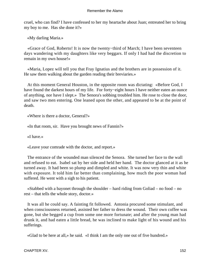cruel, who can find? I have confessed to her my heartache about Juan; entreated her to bring my boy to me. Has she done it?»

«My darling Maria.»

 «Grace of God, Roberto! It is now the twenty−third of March; I have been seventeen days wandering with my daughters like very beggars. If only I had had the discretion to remain in my own house!»

 «Maria, Lopez will tell you that Fray Ignatius and the brothers are in possession of it. He saw them walking about the garden reading their breviaries.»

 At this moment General Houston, in the opposite room was dictating: «Before God, I have found the darkest hours of my life. For forty−eight hours I have neither eaten an ounce of anything, nor have I slept.» The Senora's sobbing troubled him. He rose to close the door, and saw two men entering. One leaned upon the other, and appeared to be at the point of death.

«Where is there a doctor, General?»

«In that room, sir. Have you brought news of Fannin?»

«I have.»

«Leave your comrade with the doctor, and report.»

 The entrance of the wounded man silenced the Senora. She turned her face to the wall and refused to eat. Isabel sat by her side and held her hand. The doctor glanced at it as he turned away. It had been so plump and dimpled and white. It was now very thin and white with exposure. It told him far better than complaining, how much the poor woman had suffered. He went with a sigh to his patient.

 «Stabbed with a bayonet through the shoulder – hard riding from Goliad – no food – no rest – that tells the whole story, doctor.»

 It was all he could say. A fainting fit followed. Antonia procured some stimulant, and when consciousness returned, assisted her father to dress the wound. Their own coffee was gone, but she begged a cup from some one more fortunate; and after the young man had drunk it, and had eaten a little bread, he was inclined to make light of his wound and his sufferings.

«Glad to be here at all,» he said. «I think I am the only one out of five hundred.»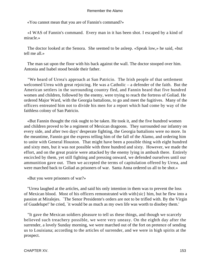«You cannot mean that you are of Fannin's command?»

 «I WAS of Fannin's command. Every man in it has been shot. I escaped by a kind of miracle.»

 The doctor looked at the Senora. She seemed to be asleep. «Speak low,» he said, «but tell me all.»

 The man sat upon the floor with his back against the wall. The doctor stooped over him. Antonia and Isabel stood beside their father.

 "We heard of Urrea's approach at San Patricio. The Irish people of that settlement welcomed Urrea with great rejoicing. He was a Catholic – a defender of the faith. But the American settlers in the surrounding country fled, and Fannin heard that five hundred women and children, followed by the enemy, were trying to reach the fortress of Goliad. He ordered Major Ward, with the Georgia battalions, to go and meet the fugitives. Many of the officers entreated him not to divide his men for a report which had come by way of the faithless colony of San Patricio.

 «But Fannin thought the risk ought to be taken. He took it, and the five hundred women and children proved to be a regiment of Mexican dragoons. They surrounded our infantry on every side, and after two days' desperate fighting, the Georgia battalions were no more. In the meantime, Fannin got the express telling him of the fall of the Alamo, and ordering him to unite with General Houston. That might have been a possible thing with eight hundred and sixty men, but it was not possible with three hundred and sixty. However, we made the effort, and on the great prairie were attacked by the enemy lying in ambush there. Entirely encircled by them, yet still fighting and pressing onward, we defended ourselves until our ammunition gave out. Then we accepted the terms of capitulation offered by Urrea, and were marched back to Goliad as prisoners of war. Santa Anna ordered us all to be shot.»

«But you were prisoners of war?»

 "Urrea laughed at the articles, and said his only intention in them was to prevent the loss of Mexican blood. Most of his officers remonstrated with with{sic} him, but he flew into a passion at Miralejes. `The Senor Presidente's orders are not to be trifled with. By the Virgin of Guadelupe!' he cried, `it would be as much as my own life was worth to disobey them.'

 "It gave the Mexican soldiers pleasure to tell us these things, and though we scarcely believed such treachery possible, we were very uneasy. On the eighth day after the surrender, a lovely Sunday morning, we were marched out of the fort on pretence of sending us to Louisiana; according to the articles of surrender, and we were in high spirits at the prospect.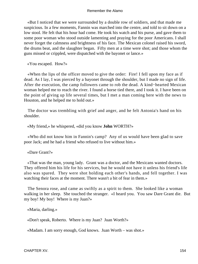«But I noticed that we were surrounded by a double row of soldiers, and that made me suspicious. In a few moments, Fannin was marched into the centre, and told to sit down on a low stool. He felt that his hour had come. He took his watch and his purse, and gave them to some poor woman who stood outside lamenting and praying for the poor Americans. I shall never forget the calmness and brightness of his face. The Mexican colonel raised his sword, the drums beat, and the slaughter began. Fifty men at a time were shot; and those whom the guns missed or crippled, were dispatched with the bayonet or lance.»

«You escaped. How?»

 «When the lips of the officer moved to give the order: Fire! I fell upon my face as if dead. As I lay, I was pierced by a bayonet through the shoulder, but I made no sign of life. After the execution, the camp followers came to rob the dead. A kind−hearted Mexican woman helped me to reach the river. I found a horse tied there, and I took it. I have been on the point of giving up life several times, but I met a man coming here with the news to Houston, and he helped me to hold out.»

 The doctor was trembling with grief and anger, and he felt Antonia's hand on his shoulder.

«My friend,» he whispered, «did you know **John** WORTH?»

 «Who did not know him in Fannin's camp? Any of us would have been glad to save poor Jack; and he had a friend who refused to live without him.»

«Dare Grant?»

 «That was the man, young lady. Grant was a doctor, and the Mexicans wanted doctors. They offered him his life for his services, but he would not have it unless his friend's life also was spared. They were shot holding each other's hands, and fell together. I was watching their faces at the moment. There wasn't a bit of fear in them.»

 The Senora rose, and came as swiftly as a spirit to them. She looked like a woman walking in her sleep. She touched the stranger. «I heard you. You saw Dare Grant die. But my boy! My boy! Where is my Juan?»

«Maria, darling.»

«Don't speak, Roberto. Where is my Juan? Juan Worth?»

«Madam. I am sorry enough, God knows. Juan Worth – was shot.»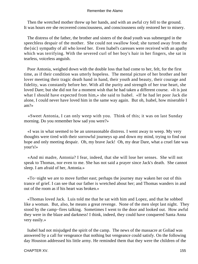Then the wretched mother threw up her hands, and with an awful cry fell to the ground. It was hours ere she recovered consciousness, and consciousness only restored her to misery.

 The distress of the father, the brother and sisters of the dead youth was submerged in the speechless despair of the mother. She could not swallow food; she turned away from the the{sic} sympathy of all who loved her. Even Isabel's caresses were received with an apathy which was terrifying. With the severed curl of her boy's hair in her fingers, she sat in tearless, voiceless anguish.

 Poor Antonia, weighed down with the double loss that had come to her, felt, for the first time, as if their condition was utterly hopeless. The mental picture of her brother and her lover meeting their tragic death hand in hand, their youth and beauty, their courage and fidelity, was constantly before her. With all the purity and strength of her true heart, she loved Dare; but she did not for a moment wish that he had taken a different course. «It is just what I should have expected from him,» she said to Isabel. «If he had let poor Jack die alone, I could never have loved him in the same way again. But oh, Isabel, how miserable I am?»

 «Sweet Antonia, I can only weep with you. Think of this; it was on last Sunday morning. Do you remember how sad you were?»

 «I was in what seemed to be an unreasonable distress. I went away to weep. My very thoughts were tired with their sorrowful journeys up and down my mind, trying to find out hope and only meeting despair. Oh, my brave Jack! Oh, my dear Dare, what a cruel fate was your's!»

 «And mi madre, Antonia? I fear, indeed, that she will lose her senses. She will not speak to Thomas, nor even to me. She has not said a prayer since Jack's death. She cannot sleep. I am afraid of her, Antonia.»

 «To−night we are to move further east; perhaps the journey may waken her out of this trance of grief. I can see that our father is wretched about her; and Thomas wanders in and out of the room as if his heart was broken.»

 «Thomas loved Jack. Luis told me that he sat with him and Lopez, and that he sobbed like a woman. But, also, he means a great revenge. None of the men slept last night. They stood by the camp−fires talking. Sometimes I went to the door and looked out. How awful they were in the blaze and darkness! I think, indeed, they could have conquered Santa Anna very easily.»

 Isabel had not misjudged the spirit of the camp. The news of the massacre at Goliad was answered by a call for vengeance that nothing but vengeance could satisfy. On the following day Houston addressed his little army. He reminded them that they were the children of the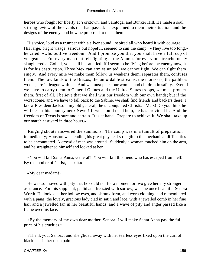heroes who fought for liberty at Yorktown, and Saratoga, and Bunker Hill. He made a soul− stirring review of the events that had passed; he explained to them their situation, and the designs of the enemy, and how he proposed to meet them.

 His voice, loud as a trumpet with a silver sound, inspired all who heard it with courage. His large, bright visage, serious but hopeful, seemed to sun the camp. «They live too long,» he cried, «who outlive freedom. And I promise you that you shall have a full cup of vengeance. For every man that fell fighting at the Alamo, for every one treacherously slaughtered at Goliad, you shall be satisfied. If I seem to be flying before the enemy now, it is for his destruction. Three Mexican armies united, we cannot fight. We can fight them singly. And every mile we make them follow us weakens them, separates them, confuses them. The low lands of the Brazos, the unfordable streams, the morasses, the pathless woods, are in league with us. And we must place our women and children in safety. Even if we have to carry them to General Gaines and the United States troops, we must protect them, first of all. I believe that we shall win our freedom with our own hands; but if the worst come, and we have to fall back to the Sabine, we shall find friends and backers there. I know President Jackson, my old general, the unconquered Christian Mars! Do you think he will desert his countrymen? Never! If we should need help, he has provided it. And the freedom of Texas is sure and certain. It is at hand. Prepare to achieve it. We shall take up our march eastward in three hours.»

 Ringing shouts answered the summons. The camp was in a tumult of preparation immediately; Houston was lending his great physical strength to the mechanical difficulties to be encountered. A crowd of men was around. Suddenly a woman touched him on the arm, and he straightened himself and looked at her.

 «You will kill Santa Anna, General? You will kill this fiend who has escaped from hell! By the mother of Christ, I ask it.»

«My dear madam!»

 He was so moved with pity that he could not for a moment or two give her any stronger assurance. For this suppliant, pallid and frenzied with sorrow, was the once beautiful Senora Worth. He looked at her hollow eyes, and shrunk form, and worn clothing, and remembered with a pang, the lovely, gracious lady clad in satin and lace, with a jewelled comb in her fine hair and a jewelled fan in her beautiful hands, and a wave of pity and anger passed like a flame over his face.

 «By the memory of my own dear mother, Senora, I will make Santa Anna pay the full price of his cruelties.»

 «Thank you, Senor»; and she glided away with her tearless eyes fixed upon the curl of black hair in her open palm.

CHAPTER XV. 156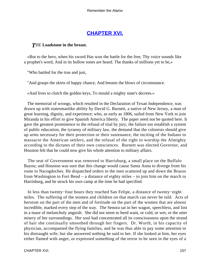# **[CHAPTER XVI.](#page-189-0)**

# *T*HE **Loadstone in the breast.**

 «But to the hero, when his sword Has won the battle for the free, Thy voice sounds like a prophet's word, And in its hollow tones are heard. The thanks of millions yet to be,»

"Who battled for the true and just,

"And grasps the skirts of happy chance, And breasts the blows of circumstance.

«And lives to clutch the golden keys, To mould a mighty state's decrees.»

 The memorial of wrongs, which resulted in the Declaration of Texan Independence, was drawn up with statesmanlike ability by David G. Burnett, a native of New Jersey, a man of great learning, dignity, and experience; who, as early as 1806, sailed from New York to join Miranda in his effort to give Spanish America liberty. The paper need not be quoted here. It gave the greatest prominence to the refusal of trial by jury, the failure too establish a system of public education, the tyranny of military law, the demand that the colonists should give up arms necessary for their protection or their sustenance, the inciting of the Indians to massacre the American settlers, and the refusal of the right to worship the Almighty according to the dictates of their own consciences. Burnett was elected Governor, and Houston felt that he could now give his whole attention to military affairs.

 The seat of Government was removed to Harrisburg, a small place on the Buffalo Bayou; and Houston was sure that this change would cause Santa Anna to diverge from his route to Nacogdoches. He dispatched orders to the men scattered up and down the Brazos from Washington to Fort Bend – a distance of eighty miles – to join him on the march to Harrisburg, and he struck his own camp at the time he had specified.

 In less than twenty−four hours they reached San Felipe, a distance of twenty−eight miles. The suffering of the women and children on that march can never be told. Acts of heroism on the part of the men and of fortitude on the part of the women that are almost incredible, marked every step of the way. The Senora sat in her wagon, speechless, and lost in a maze of melancholy anguish. She did not seem to heed want, or cold, or wet, or the utter misery of her surroundings. Her soul had concentrated all its consciousness upon the strand of hair she continually smoothed through her fingers. Dr. Worth, in his capacity of physician, accompanied the flying families, and he was thus able to pay some attention to his distraught wife; but she answered nothing he said to her. If she looked at him, her eyes either flamed with anger, or expressed something of the terror to be seen in the eyes of a

CHAPTER XVI. 2002. 2003. THE STATE STATE STATE STATE STATE STATE STATE STATE STATE STATE STATE STATE STATE STATE STATE STATE STATE STATE STATE STATE STATE STATE STATE STATE STATE STATE STATE STATE STATE STATE STATE STATE S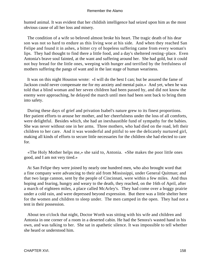hunted animal. It was evident that her childish intelligence had seized upon him as the most obvious cause of all her loss and misery.

 The condition of a wife so beloved almost broke his heart. The tragic death of his dear son was not so hard to endure as this living woe at his side. And when they reached San Felipe and found it in ashes, a bitter cry of hopeless suffering came from every woman's lips. They had thought to find there a little food, and a day's sheltered resting−place. Even Antonia's brave soul fainted, at the want and suffering around her. She had gold, but it could not buy bread for the little ones, weeping with hunger and terrified by the fretfulness of mothers suffering the pangs of want and in the last stage of human weariness.

 It was on this night Houston wrote: «I will do the best I can; but be assured the fame of Jackson could never compensate me for my anxiety and mental pain.» And yet, when he was told that a blind woman and her seven children had been passed by, and did not know the enemy were approaching, he delayed the march until men had been sent back to bring them into safety.

 During these days of grief and privation Isabel's nature grew to its finest proportions. Her patient efforts to arouse her mother, and her cheerfulness under the loss of all comforts, were delightful. Besides which, she had an inexhaustible fund of sympathy for the babies. She was never without one in her arms. Three mothers, who had died on the road, left their children to her care. And it was wonderful and pitiful to see the delicately nurtured girl, making all kinds of efforts to secure little necessaries for the children she had elected to care for.

 «The Holy Mother helps me,» she said to, Antonia. «She makes the poor little ones good, and I am not very tired.»

 At San Felipe they were joined by nearly one hundred men, who also brought word that a fine company were advancing to their aid from Mississippi, under General Quitman; and that two large cannon, sent by the people of Cincinnati, were within a few miles. And thus hoping and fearing, hungry and weary to the death, they reached, on the 16th of April, after a march of eighteen miles, a place called McArley's. They had come over a boggy prairie under a cold rain, and were depressed beyond expression. But there was a little shelter here for the women and children to sleep under. The men camped in the open. They had not a tent in their possession.

 About ten o'clock that night, Doctor Worth was sitting with his wife and children and Antonia in one corner of a room in a deserted cabin. He had the Senora's wasted hand in his own, and was talking to her. She sat in apathetic silence. It was impossible to tell whether she heard or understood him.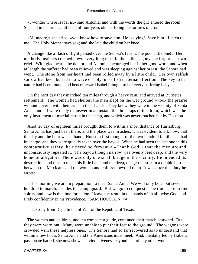«I wonder where Isabel is,» said Antonia; and with the words the girl entered the room. She had in her arms a little lad of four years old, suffering the tortures of croup.

 «Mi madre,» she cried, «you know how to save him! He is dying! Save him! Listen to me! The Holy Mother says so»; and she laid the child on her knee.

 A change like a flash of light passed over the Senora's face. «The poor little one!» Her motherly instincts crushed down everything else. In the child's agony she forgot her own grief. With glad hearts the doctor and Antonia encouraged her in her good work, and when at length the sufferer had been relieved and was sleeping against her breast, the Senora had wept. The stone from her heart had been rolled away by a little child. Her own selfish sorrow had been buried in a wave of holy, unselfish maternal affection. The key to her nature had been found, and henceforward Isabel brought to her every suffering baby.

 On the next day they marched ten miles through a heavy rain, and arrived at Burnett's settlement. The women had shelter, the men slept on the wet ground – took the prairie without cover – with their arms in their hands. They knew they were in the vicinity of Santa Anna, and all were ready to answer in an instant the three taps of the drum, which was the only instrument of martial music in the camp, and which was never touched but by Houston.

 Another day of eighteen miles brought them to within a short distance of Harrisburg. Santa Anna had just been there, and the place was in ashes. It was evident to all, now, that the day and the hour was at hand. Houston first thought of the two hundred families he had in charge, and they were quickly taken over the bayou. When he had seen the last one in this comparative safety, he uttered so fervent a «Thank God!» that the men around unconsciously repeated it. The bayou though narrow was twenty feet deep, and the very home of alligators. There was only one small bridge in the vicinity. He intended its destruction, and thus to make his little band and the deep, dangerous stream a double barrier between the Mexicans and the women and children beyond them. It was after this duty he wrote:

 «This morning we are in preparation to meet Santa Anna. We will only be about seven hundred to march, besides the camp guard. But we go to conquest. The troops are in fine spirits, and now is the time for action. I leave the result in the hands of an all−wise God, and I rely confidently in his Providence. »SAM HOUSTON."[5]

[5] Copy from Department of War of the Republic of Texas.

 The women and children, under a competent guide, continued their march eastward. But they were worn out. Many were unable to put their feet to the ground. The wagons were crowded with these helpless ones. The Senora had so far recovered as to understand that within a few hours Santa Anna and the Americans must meet. And, mentally led by Isabel's passionate hatred, she now showed a vindictiveness beyond that of any other woman.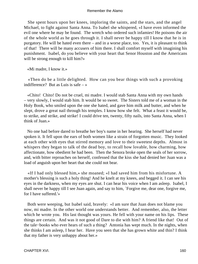She spent hours upon her knees, imploring the saints, and the stars, and the angel Michael, to fight against Santa Anna. To Isabel she whispered, «I have even informed the evil one where he may be found. The wretch who ordered such infamies! He poisons the air of the whole world as he goes through it. I shall never be happy till I know that he is in purgatory. He will be hated even there – and in a worse place, too. Yes, it is pleasant to think of that! There will be many accusers of him there. I shall comfort myself with imagining his punishment. Isabel, do you believe with your heart that Senor Houston and the Americans will be strong enough to kill him?»

«Mi madre, I know it.»

 «Then do be a little delighted. How can you bear things with such a provoking indifference? But as Luis is safe – »

 «Chito! Chito! Do not be cruel, mi madre. I would stab Santa Anna with my own hands – very slowly, I would stab him. It would be so sweet. The Sisters told me of a woman in the Holy Book, who smiled upon the one she hated, and gave him milk and butter, and when he slept, drove a great nail through his temples. I know how she felt. What a feast it would be, to strike, and strike, and strike! I could drive ten, twenty, fifty nails, into Santa Anna, when I think of Juan.»

 No one had before dared to breathe her boy's name in her hearing. She herself had never spoken it. It fell upon the ears of both women like a strain of forgotten music. They looked at each other with eyes that stirred memory and love to their sweetest depths. Almost in whispers they began to talk of the dead boy, to recall how lovable, how charming, how affectionate, how obedient he had been. Then the Senora broke open the seals of her sorrow, and, with bitter reproaches on herself, confessed that the kiss she had denied her Juan was a load of anguish upon her heart that she could not bear.

 «If I had only blessed him,» she moaned; «I had saved him from his misfortune. A mother's blessing is such a holy thing! And he knelt at my knees, and begged it. I can see his eyes in the darkness, when my eyes are shut. I can hear his voice when I am asleep. Isabel, I shall never be happy till I see Juan again, and say to him, `Forgive me, dear one, forgive me, for I have suffered.'»

 Both were weeping, but Isabel said, bravely: «I am sure that Juan does not blame you now, mi madre. In the other world one understands better. And remember, also, the letter which he wrote you. His last thought was yours. He fell with your name on his lips. These things are certain. And was it not good of Dare to die with him? A friend like that! Out of the tale−books who ever hears of such a thing? Antonia has wept much. In the nights, when she thinks I am asleep, I hear her. Have you seen that she has grown white and thin? I think that my father is very unhappy about her.»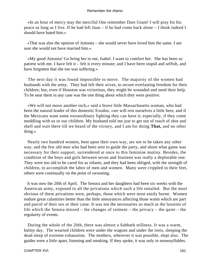«In an hour of mercy may the merciful One remember Dare Grant! I will pray for his peace as long as I live. If he had left Juan – if he had come back alone – I think indeed I should have hated him.»

 «That was also the opinion of Antonia – she would never have loved him the same. I am sure she would not have married him.»

 «My good Antonia! Go bring her to me, Isabel. I want to comfort her. She has been so patient with me. I have felt it – felt it every minute; and I have been stupid and selfish, and have forgotten that she too was suffering.»

 The next day it was found impossible to move. The majority of the women had husbands with the army. They had left their wives, to secure everlasting freedom for their children; but, even if Houston was victorious, they might be wounded and need their help. To be near them in any case was the one thing about which they were positive.

 «We will not move another inch,» said a brave little Massachusetts woman, who had been the natural leader of this domestic Exodus; «we will rest ourselves a little here, and if the Mexicans want some extraordinary fighting they can have it; especially, if they come meddling with us or our children. My husband told me just to get out of reach of shot and shell and wait there till we heard of the victory, and I am for doing **That,** and no other thing.»

 Nearly two hundred women, bent upon their own way, are not to be taken any other way; and the few old men who had been sent to guide the party, and shoot what game was necessary for their support, surrendered at once to this feminine mutiny. Besides, the condition of the boys and girls between seven and fourteen was really a deplorable one. They were too old to be cared for as infants, and they had been obliged, with the strength of children, to accomplish the labor of men and women. Many were crippled in their feet, others were continually on the point of swooning.

 It was now the 20th of April. The Senora and her daughters had been six weeks with the American army, exposed to all the privations which such a life entailed. But the most obvious of these privations were, perhaps, those which were most easily borne. Women endure great calamities better than the little annoyances affecting those wants which are part and parcel of their sex or their caste. It was not the necessaries so much as the luxuries of life which the Senora missed – the changes of raiment – the privacy – the quiet – the regularity of events.

 During the whole of the 20th, there was almost a Sabbath stillness. It was a warm, balmy day. The wearied children were under the wagons and under the trees, sleeping the dead sleep of extreme exhaustion. The mothers, wherever it was possible, slept also. The guides were a little apart, listening and smoking. If they spoke, it was only in monosyllables.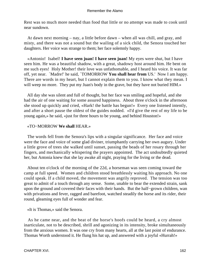Rest was so much more needed than food that little or no attempt was made to cook until near sundown.

 At dawn next morning – nay, a little before dawn – when all was chill, and gray, and misty, and there was not a sound but the wailing of a sick child, the Senora touched her daughters. Her voice was strange to them; her face solemnly happy.

 «Antonio! Isabel! **I have seen juan! I have seen juan!** My eyes were shut, but I have seen him. He was a beautiful shadow, with a great, shadowy host around him. He bent on me such eyes! Holy Mother! their love was unfathomable, and I heard his voice. It was far off, yet near. `Madre!' he said, `TOMORROW **You shall hear from** US.' Now I am happy. There are words in my heart, but I cannot explain them to you. I know what they mean. I will weep no more. They put my Juan's body in the grave, but they have not buried HIM.»

 All day she was silent and full of thought, but her face was smiling and hopeful, and she had the air of one waiting for some assured happiness. About three o'clock in the afternoon she stood up quickly and cried, «Hark! the battle has begun!» Every one listened intently, and after a short pause the oldest of the guides nodded. «I'd give the rest of my life to be young again,» he said, «just for three hours to be young, and behind Houston!»

# «TO−MORROW **We shall** HEAR.»

 The words fell from the Senora's lips with a singular significance. Her face and voice were the face and voice of some glad diviner, triumphantly carrying her own augury. Under a little grove of trees she walked until sunset, passing the beads of her rosary through her fingers, and mechanically whispering the prayers appointed. The act undoubtedly quieted her, but Antonia knew that she lay awake all night, praying for the living or the dead.

 About ten o'clock of the morning of the 22d, a horseman was seen coming toward the camp at full speed. Women and children stood breathlessly waiting his approach. No one could speak. If a child moved, the movement was angrily reproved. The tension was too great to admit of a touch through any sense. Some, unable to bear the extended strain, sank upon the ground and covered their faces with their hands. But the half−grown children, wan with privations and fever, ragged and barefoot, watched steadily the horse and its rider, their round, gleaming eyes full of wonder and fear.

«It is Thomas,» said the Senora.

 As he came near, and the beat of the horse's hoofs could be heard, a cry almost inarticulate, not to be described, shrill and agonizing in its intensity, broke simultaneously from the anxious women. It was one cry from many hearts, all at the last point of endurance. Thomas Worth understood it. He flung his hat up, and answered with a joyful «Hurrah!»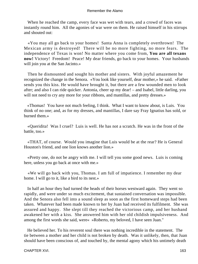When he reached the camp, every face was wet with tears, and a crowd of faces was instantly round him. All the agonies of war were on them. He raised himself in his stirrups and shouted out:

 «You may all go back to your homes! Santa Anna is completely overthrown! The Mexican army is destroyed! There will be no more fighting, no more fears. The independence of Texas is won! No matter where you come from, **You are all texans now!** Victory! Freedom! Peace! My dear friends, go back to your homes. Your husbands will join you at the San Jacinto.»

 Then he dismounted and sought his mother and sisters. With joyful amazement he recognized the change in the Senora. «You look like yourself, dear mother,» he said. «Father sends you this kiss. He would have brought it, but there are a few wounded men to look after; and also I can ride quicker. Antonia, cheer up my dear! – and Isabel, little darling, you will not need to cry any more for your ribbons, and mantillas, and pretty dresses.»

 «Thomas! You have not much feeling, I think. What I want to know about, is Luis. You think of no one; and, as for my dresses, and mantillas, I dare say Fray Ignatius has sold, or burned them.»

 «Queridita! Was I cruel? Luis is well. He has not a scratch. He was in the front of the battle, too.»

 «THAT, of course. Would you imagine that Luis would be at the rear? He is General Houston's friend, and one lion knows another lion.»

 «Pretty one, do not be angry with me. I will tell you some good news. Luis is coming here, unless you go back at once with me.»

 «We will go back with you, Thomas. I am full of impatience. I remember my dear home. I will go to it, like a bird to its nest.»

 In half an hour they had turned the heads of their horses westward again. They went so rapidly, and were under so much excitement, that sustained conversation was impossible. And the Senora also fell into a sound sleep as soon as the first homeward steps had been taken. Whatever had been made known to her by Juan had received its fulfilment. She was assured and happy. She slept till they reached the victorious camp, and her husband awakened her with a kiss. She answered him with her old childish impulsiveness. And among the first words she said, were« »Roberto, my beloved, I have seen Juan."

 He believed her. To his reverent soul there was nothing incredible in the statement. The tie between a mother and her child is not broken by death. Was it unlikely, then, that Juan should have been conscious of, and touched by, the mental agony which his untimely death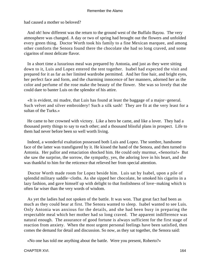had caused a mother so beloved?

 And oh! how different was the return to the ground west of the Buffalo Bayou. The very atmosphere was changed. A day or two of spring had brought out the flowers and unfolded every green thing. Doctor Worth took his family to a fine Mexican marquee, and among other comforts the Senora found there the chocolate she had so long craved, and some cigaritos of most delicate flavor.

 In a short time a luxurious meal was prepared by Antonia, and just as they were sitting down to it, Luis and Lopez entered the tent together. Isabel had expected the visit and prepared for it as far as her limited wardrobe permitted. And her fine hair, and bright eyes, her perfect face and form, and the charming innocence of her manners, adorned her as the color and perfume of the rose make the beauty of the flower. She was so lovely that she could dare to banter Luis on the splendor of his attire.

 «It is evident, mi madre, that Luis has found at least the baggage of a major−general. Such velvet and silver embroidery! Such a silk sash! They are fit at the very least for a sultan of the Turks.»

 He came to her crowned with victory. Like a hero he came, and like a lover. They had a thousand pretty things to say to each other; and a thousand blissful plans in prospect. Life to them had never before been so well worth living.

 Indeed, a wonderful exaltation possessed both Luis and Lopez. The sombre, handsome face of the latter was transfigured by it. He kissed the hand of the Senora, and then turned to Antonia. Her pallor and emaciation shocked him. He could only murmur, «Senorita!» But she saw the surprise, the sorrow, the sympathy, yes, the adoring love in his heart, and she was thankful to him for the reticence that relieved her from special attention.

 Doctor Worth made room for Lopez beside him. Luis sat by Isabel, upon a pile of splendid military saddle−cloths. As she sipped her chocolate, he smoked his cigarito in a lazy fashion, and gave himself up with delight to that foolishness of love−making which is often far wiser than the very words of wisdom.

 As yet the ladies had not spoken of the battle. It was won. That great fact had been as much as they could bear at first. The Senora wanted to sleep. Isabel wanted to see Luis. Only Antonia was anxious for the details, and she had been busy in preparing the respectable meal which her mother had so long craved. The apparent indifference was natural enough. The assurance of good fortune is always sufficient for the first stage of reaction from anxiety. When the most urgent personal feelings have been satisfied, then comes the demand for detail and discussion. So now, as they sat together, the Senora said:

«No one has told me anything about the battle. Were you present, Roberto?»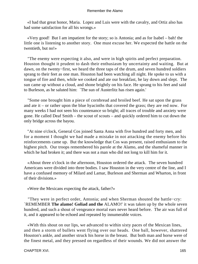«I had that great honor, Maria. Lopez and Luis were with the cavalry, and Ortiz also has had some satisfaction for all his wrongs.»

 «Very good! But I am impatient for the story; so is Antonia; and as for Isabel – bah! the little one is listening to another story. One must excuse her. We expected the battle on the twentieth, but no!»

 "The enemy were expecting it also, and were in high spirits and perfect preparation. Houston thought it prudent to dash their enthusiasm by uncertainty and waiting. But at dawn, on the twenty−first, we heard the three taps of the drum, and seven hundred soldiers sprang to their feet as one man. Houston had been watching all night. He spoke to us with a tongue of fire and then, while we cooked and ate our breakfast, he lay down and slept. The sun came up without a cloud, and shone brightly on his face. He sprang to his feet and said to Burleson, as he saluted him: `The sun of Austerlitz has risen again.'

 "Some one brought him a piece of cornbread and broiled beef. He sat upon the grass and ate it – or rather upon the blue hyacinths that covered the grass; they are red now. For many weeks I had not seen his countenance so bright; all traces of trouble and anxiety were gone. He called Deaf Smith – the scout of scouts – and quickly ordered him to cut down the only bridge across the bayou.

 "At nine o'clock, General Cos joined Santa Anna with five hundred and forty men, and for a moment I thought we had made a mistake in not attacking the enemy before his reinforcements came up. But the knowledge that Cos was present, raised enthusiasm to the highest pitch. Our troops remembered his parole at the Alamo, and the shameful manner in which he had broken it; and there was not a man who did not long to kill him for it.

 «About three o'clock in the afternoon, Houston ordered the attack. The seven hundred Americans were divided into three bodies. I saw Houston in the very centre of the line, and I have a confused memory of Milard and Lamar, Burleson and Sherman and Wharton, in front of their divisions.»

«Were the Mexicans expecting the attack, father?»

 "They were in perfect order, Antonia; and when Sherman shouted the battle−cry: `REMEMBER **The alamo! Goliad and the** ALAMO!' it was taken up by the whole seven hundred, and such a shout of vengeance mortal ears never heard before. The air was full of it, and it appeared to be echoed and repeated by innumerable voices.

 «With this shout on our lips, we advanced to within sixty paces of the Mexican lines, and then a storm of bullets went flying over our heads. One ball, however, shattered Houston's ankle, and another struck his horse in the breast. But both man and horse were of the finest metal, and they pressed on regardless of their wounds. We did not answer the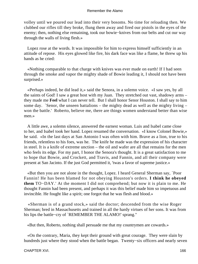volley until we poured our lead into their very bosoms. No time for reloading then. We clubbed our rifles till they broke, flung them away and fired our pistols in the eyes of the enemy; then, nothing else remaining, took our bowie−knives from our belts and cut our way through the walls of living flesh.»

 Lopez rose at the words. It was impossible for him to express himself sufficiently in an attitude of repose. His eyes glowed like fire, his dark face was like a flame, he threw up his hands as he cried:

 «Nothing comparable to that charge with knives was ever made on earth! If I had seen through the smoke and vapor the mighty shade of Bowie leading it, I should not have been surprised.»

 «Perhaps indeed, he did lead it,» said the Senora, in a solemn voice. «I saw yes, by all the saints of God! I saw a great host with my Juan. They stretched out vast, shadowy arms – they made me **Feel** what I can never tell. But I shall honor Senor Houston. I shall say to him some day. `Senor, the unseen battalions – the mighty dead as well as the mighty living – won the battle.' Roberto, believe me, there are things women understand better than wise men.»

 A little awe, a solemn silence, answered the earnest woman. Luis and Isabel came close to her, and Isabel took her hand. Lopez resumed the conversation. «I know Colonel Bowie,» he said. «In the last days at San Antonio I was often with him. Brave as a lion, true to his friends, relentless to his foes, was he. The knife he made was the expression of his character in steel. It is a knife of extreme unction – the oil and wafer are all that remains for the men who feels its edge. For my part, I honor the Senora's thought. It is a great satisfaction to me to hope that Bowie, and Crockett, and Travis, and Fannin, and all their company were present at San Jacinto. If the just God permitted it, 'twas a favor of supreme justice.»

 «But then you are not alone in the thought, Lopez. I heard General Sherman say, `Poor Fannin! He has been blamed for not obeying Houston's orders. **I think he obeyed them** TO−DAY.' At the moment I did not comprehend; but now it is plain to me. He thought Fannin had been present, and perhaps it was this belief made him so impetuous and invincible. He fought like a spirit; one forgot that he was flesh and blood.»

 «Sherman is of a grand stock,» said the doctor; descended from the wise Roger Sherman; bred in Massachusetts and trained in all the hardy virtues of her sons. It was from his lips the battle−cry of `REMEMBER THE ALAMO!' sprang."

«But then, Roberto, nothing shall persuade me that my countrymen are cowards.»

 «On the contrary, Maria, they kept their ground with great courage. They were slain by hundreds just where they stood when the battle began. Twenty−six officers and nearly seven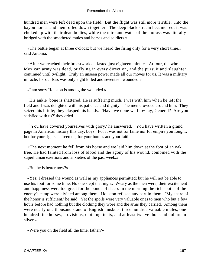hundred men were left dead upon the field. But the flight was still more terrible. Into the bayou horses and men rolled down together. The deep black stream became red; it was choked up with their dead bodies, while the mire and water of the morass was literally bridged with the smothered mules and horses and soldiers.»

 «The battle began at three o'clock; but we heard the firing only for a very short time,» said Antonia.

 «After we reached their breastworks it lasted just eighteen minutes. At four, the whole Mexican army was dead, or flying in every direction, and the pursuit and slaughter continued until twilight. Truly an unseen power made all our moves for us. It was a military miracle, for our loss was only eight killed and seventeen wounded.»

«I am sorry Houston is among the wounded.»

 "His ankle−bone is shattered. He is suffering much. I was with him when he left the field and I was delighted with his patience and dignity. The men crowded around him. They seized his bridle; they clasped his hands. `Have we done well to−day, General? Are you satisfied with us?' they cried.

 "`You have covered yourselves with glory,' he answered. `You have written a grand page in American history this day, boys. For it was not for fame nor for empire you fought; but for your rights as freemen, for your homes and your faith.'

 «The next moment he fell from his horse and we laid him down at the foot of an oak tree. He had fainted from loss of blood and the agony of his wound, combined with the superhuman exertions and anxieties of the past week.»

«But he is better now?»

 «Yes; I dressed the wound as well as my appliances permitted; but he will not be able to use his foot for some time. No one slept that night. Weary as the men were, their excitement and happiness were too great for the bonds of sleep. In the morning the rich spoils of the enemy's camp were divided among them. Houston refused any part in them. `My share of the honor is sufficient,' he said. Yet the spoils were very valuable ones to men who but a few hours before had nothing but the clothing they wore and the arms they carried. Among them were nearly one thousand stand of English muskets, three hundred valuable mules, one hundred fine horses, provisions, clothing, tents, and at least twelve thousand dollars in silver.»

«Were you on the field all the time, father?»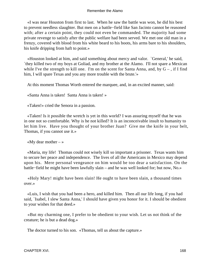«I was near Houston from first to last. When he saw the battle was won, he did his best to prevent needless slaughter. But men on a battle−field like San Jacinto cannot be reasoned with; after a certain point, they could not even be commanded. The majority had some private revenge to satisfy after the public welfare had been served. We met one old man in a frenzy, covered with blood from his white beard to his boots, his arms bare to his shoulders, his knife dripping from haft to point.»

 «Houston looked at him, and said something about mercy and valor. `General,' he said, `they killed two of my boys at Goliad, and my brother at the Alamo. I'll not spare a Mexican while I've the strength to kill one. I'm on the scent for Santa Anna, and, by  $G -$ , if I find him, I will spare Texas and you any more trouble with the brute.'»

At this moment Thomas Worth entered the marquee, and, in an excited manner, said:

«Santa Anna is taken! Santa Anna is taken! »

«Taken!» cried the Senora in a passion.

 «Taken! Is it possible the wretch is yet in this world? I was assuring myself that he was in one not so comfortable. Why is he not killed? It is an inconceivable insult to humanity to let him live. Have you thought of your brother Juan? Give me the knife in your belt, Thomas, if you cannot use it.»

«My dear mother  $-\infty$ 

 «Maria, my life! Thomas could not wisely kill so important a prisoner. Texas wants him to secure her peace and independence. The lives of all the Americans in Mexico may depend upon his. Mere personal vengeance on him would be too dear a satisfaction. On the battle−field he might have been lawfully slain – and he was well looked for; but now, No.»

 «Holy Mary! might have been slain! He ought to have been slain, a thousand times over.»

 «Luis, I wish that you had been a hero, and killed him. Then all our life long, if you had said, `Isabel, I slew Santa Anna,' I should have given you honor for it. I should be obedient to your wishes for that deed.»

 «But my charming one, I prefer to be obedient to your wish. Let us not think of the creature; he is but a dead dog.»

The doctor turned to his son. «Thomas, tell us about the capture.»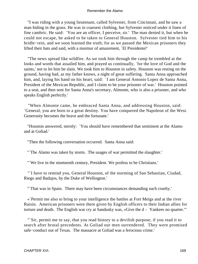"I was riding with a young lieutenant, called Sylvester, from Cincinnati, and he saw a man hiding in the grass. He was in coarsest clothing, but Sylvester noticed under it linen of fine cambric. He said: `You are an officer, I perceive, sir.' The man denied it, but when he could not escape, he asked to be taken to General Houston. Sylvester tied him to his bridle−rein, and we soon learned the truth; for as we passed the Mexican prisoners they lifted their hats and said, with a murmur of amazement, `El Presidente!'

 "The news spread like wildfire. As we took him through the camp he trembled at the looks and words that assailed him, and prayed us continually, `for the love of God and the saints,' not to let him be slain. We took him to Houston in safety. Houston was resting on the ground, having had, as my father knows, a night of great suffering. Santa Anna approached him, and, laying his hand on his heart, said: `I am General Antonio Lopez de Santa Anna, President of the Mexican Republic, and I claim to be your prisoner of war.' Houston pointed to a seat, and then sent for Santa Anna's secretary, Almonte, who is also a prisoner, and who speaks English perfectly.'

 "When Almonte came, he embraced Santa Anna, and addressing Houston, said: `General, you are born to a great destiny. You have conquered the Napoleon of the West. Generosity becomes the brave and the fortunate.'

 "Houston answered, sternly: `You should have remembered that sentiment at the Alamo and at Goliad.'

"Then the following conversation occurred. Santa Anna said:

"The Alamo was taken by storm. The usages of war permitted the slaughter."

"`We live in the nineteenth century, President. We profess to be Christians.'

 "`I have to remind you, General Houston, of the storming of San Sebastian, Ciudad, Riego and Badajos, by the Duke of Wellington.'

"`That was in Spain. There may have been circumstances demanding such cruelty.'

 «`Permit me also to bring to your intelligence the battles at Fort Meigs and at the river Raisin. American prisoners were there given by English officers to their Indian allies for torture and death. The English war cry at Sandusky was,  $\Re$  Solve the  $d -$  Yankees no quarter."

 "`Sir, permit me to say, that you read history to a devilish purpose, if you read it to search after brutal precedents. At Goliad our men surrendered. They were promised safe−conduct out of Texas. The massacre at Goliad was a ferocious crime.'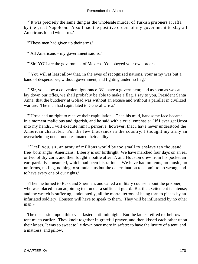"`It was precisely the same thing as the wholesale murder of Turkish prisoners at Jaffa by the great Napoleon. Also I had the positive orders of my government to slay all Americans found with arms.'

"These men had given up their arms."

"`All Americans – my government said so.'

"`Sir! YOU are the government of Mexico. You obeyed your own orders.'

 "`You will at least allow that, in the eyes of recognized nations, your army was but a band of desperadoes, without government, and fighting under no flag.'

 "`Sir, you show a convenient ignorance. We have a government; and as soon as we can lay down our rifles, we shall probably be able to make a flag. I say to you, President Santa Anna, that the butchery at Goliad was without an excuse and without a parallel in civilized warfare. The men had capitulated to General Urrea.'

 "`Urrea had no right to receive their capitulation.' Then his mild, handsome face became in a moment malicious and tigerish, and he said with a cruel emphasis: `If I ever get Urrea into my hands, I will execute him! I perceive, however, that I have never understood the American character. For the few thousands in the country, I thought my army an overwhelming one. I underestimated their ability.'

 "`I tell you, sir, an army of millions would be too small to enslave ten thousand free−born anglo−Americans. Liberty is our birthright. We have marched four days on an ear or two of dry corn, and then fought a battle after it'; and Houston drew from his pocket an ear, partially consumed, which had been his ration. `We have had no tents, no music, no uniforms, no flag, nothing to stimulate us but the determination to submit to no wrong, and to have every one of our rights.'

 «Then he turned to Rusk and Sherman, and called a military counsel about the prisoner, who was placed in an adjoining tent under a sufficient guard. But the excitement is intense; and the wretch is suffering, undoubtedly, all the mortal terrors of being torn to pieces by an infuriated soldiery. Houston will have to speak to them. They will be influenced by no other man.»

 The discussion upon this event lasted until midnight. But the ladies retired to their own tent much earlier. They knelt together in grateful prayer, and then kissed each other upon their knees. It was so sweet to lie down once more in safety; to have the luxury of a tent, and a mattress, and pillow.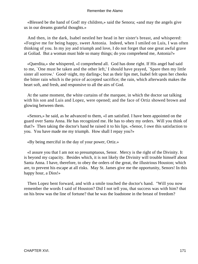«Blessed be the hand of God! my children,» said the Senora; «and may the angels give us in our dreams grateful thoughts.»

 And then, in the dark, Isabel nestled her head in her sister's breast, and whispered: «Forgive me for being happy, sweet Antonia. Indeed, when I smiled on Luis, I was often thinking of you. In my joy and triumph and love, I do not forget that one great awful grave at Goliad. But a woman must hide so many things; do you comprehend me, Antonia?»

 «Querdita,» she whispered, «I comprehend all. God has done right. If His angel had said to me, `One must be taken and the other left,' I should have prayed, `Spare then my little sister all sorrow.' Good−night, my darling»; but as their lips met, Isabel felt upon her cheeks the bitter rain which is the price of accepted sacrifice; the rain, which afterwards makes the heart soft, and fresh, and responsive to all the airs of God.

 At the same moment, the white curtains of the marquee, in which the doctor sat talking with his son and Luis and Lopez, were opened; and the face of Ortiz showed brown and glowing between them.

 «Senors,» he said, as he advanced to them, «I am satisfied. I have been appointed on the guard over Santa Anna. He has recognized me. He has to obey my orders. Will you think of that?» Then taking the doctor's hand he raised it to his lips. «Senor, I owe this satisfaction to you. You have made me my triumph. How shall I repay you?»

«By being merciful in the day of your power, Ortiz.»

 «I assure you that I am not so presumptuous, Senor. Mercy is the right of the Divinity. It is beyond my capacity. Besides which, it is not likely the Divinity will trouble himself about Santa Anna. I have, therefore, to obey the orders of the great, the illustrious Houston; which are, to prevent his escape at all risks. May St. James give me the opportunity, Senors! In this happy hour, a Dios!»

 Then Lopez bent forward, and with a smile touched the doctor's hand. "Will you now remember the words I said of Houston? Did I not tell you, that success was with him? that on his brow was the line of fortune? that he was the loadstone in the breast of freedom?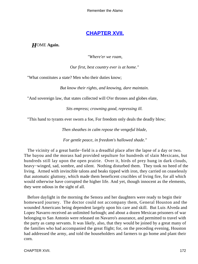# **[CHAPTER XVII.](#page-189-0)**

*H*OME **Again.**

*"Where'er we roam,*

*Our first, best country ever is at home."* 

"What constitutes a state? Men who their duties know;

*But know their rights, and knowing, dare maintain.* 

"And sovereign law, that states collected will O'er thrones and globes elate,

*Sits empress; crowning good, repressing ill.* 

"This hand to tyrants ever sworn a foe, For freedom only deals the deadly blow;

*Then sheathes in calm repose the vengeful blade,* 

*For gentle peace, in freedom's hallowed shade."*

 The vicinity of a great battle−field is a dreadful place after the lapse of a day or two. The bayou and the morass had provided sepulture for hundreds of slain Mexicans, but hundreds still lay upon the open prairie. Over it, birds of prey hung in dark clouds, heavy−winged, sad, sombre, and silent. Nothing disturbed them. They took no heed of the living. Armed with invincible talons and beaks tipped with iron, they carried on ceaselessly that automatic gluttony, which made them beneficent crucibles of living fire, for all which would otherwise have corrupted the higher life. And yet, though innocent as the elements, they were odious in the sight of all.

 Before daylight in the morning the Senora and her daughters were ready to begin their homeward journey. The doctor could not accompany them, General Houston and the wounded Americans being dependent largely upon his care and skill. But Luis Alveda and Lopez Navarro received an unlimited furlough; and about a dozen Mexican prisoners of war belonging to San Antonio were released on Navarro's assurance, and permitted to travel with the party as camp servants. It was likely, also, that they would be joined by a great many of the families who had accompanied the great flight; for, on the preceding evening, Houston had addressed the army, and told the householders and farmers to go home and plant their corn.

CHAPTER XVII. 172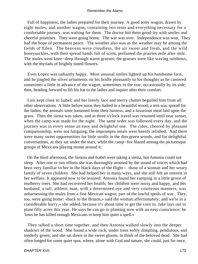Full of happiness, the ladies prepared for their journey. A good army wagon, drawn by eight mules, and another wagon, containing two tents and everything necessary for a comfortable journey, was waiting for them. The doctor bid them good−by with smiles and cheerful promises. They were going home. The war was over. Independence was won. They had the hope of permanent peace. The weather also was as the weather may be among the fields of Eden. The heavens were cloudless, the air sweet and fresh, and the wild honeysuckles, with their spread hands full of scent, perfumed the prairies mile after mile. The mules went knee−deep through warm grasses; the grasses were like waving rainbows, with the myriads of brightly tinted flowers.

 Even Lopez was radiantly happy. Most unusual smiles lighted up his handsome face, and he jingled the silver ornaments on his bridle pleasantly to his thoughts as he cantered sometimes a little in advance of the wagon, sometimes in the rear, occasionally by its side; then, bending forward to lift his hat to the ladies and inquire after their comfort.

 Luis kept close to Isabel; and her lovely face and merry chatter beguiled him from all other observations. A little before noon they halted in a beautiful wood; a tent was spread for the ladies, the animals were loosened from their harness, and a luxurious meal laid upon the grass. Then the siesta was taken, and at three o'clock travel was resumed until near sunset, when the camp was made for the night. The same order was followed every day, and the journey was in every sense an easy and delightful one. The rides, cheered by pleasant companionship, were not fatiguing; the impromptu meals were keenly relished. And there were many sweet opportunities for little strolls in the dim green woods, and for delightful conversations, as they sat under the stars, while the camp−fire blazed among the picturesque groups of Mexicans playing monte around it.

 On the third afternoon, the Senora and Isabel were taking a siesta, but Antonia could not sleep. After one or two efforts she was thoroughly aroused by the sound of voices which had been very familiar to her in the black days of the flight – those of a woman and her weary family of seven children. She had helped her in many ways, and she still felt an interest in her welfare. It appeared now to be assured. Antonia found her camping in a little grove of mulberry trees. She had recovered her health; her children were noisy and happy, and her husband, a tall, athletic man, with a determined eye and very courteous manners, was unharnessing the mules from a fine Mexican wagon; part of the lawful spoils of war. They, too, were going home: «back to the Brazos,» said the woman affectionately; and we're in a considerable hurry,« she added, because it's about time to get the corn in. Jake lays out to plant fifty acres this year. He says he can go to planting now with an easy conscience; he 'lows he has killed enough Mexicans to keep him quiet a spell.»

 They talked a short time together, and then Antonia walked slowly into the deeper shadows of the wood. She found a wide rock, under trees softly dimpling, pendulous, and tenderly green; and she sat down in the sweet gloom, to think of the beloved dead. She had often longed for some quiet spot, where, alone with God and nature, she could, just for once,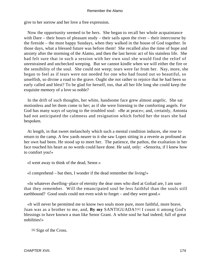give to her sorrow and her love a free expression.

 Now the opportunity seemed to be hers. She began to recall her whole acquaintance with Dare – their hours of pleasant study – their sails upon the river – their intercourse by the fireside – the most happy Sundays, when they walked in the house of God together. In those days, what a blessed future was before them! She recalled also the time of hope and anxiety after the storming of the Alamo, and then the last heroic act of his stainless life. She had felt sure that in such a session with her own soul she would find the relief of unrestrained and unchecked weeping. But we cannot kindle when we will either the fire or the sensibility of the soul. She could not weep; tears were far from her. Nay, more, she began to feel as if tears were not needed for one who had found out so beautiful, so unselfish, so divine a road to the grave. Ought she not rather to rejoice that he had been so early called and blest? To be glad for herself, too, that all her life long she could keep the exquisite memory of a love so noble?

 In the drift of such thoughts, her white, handsome face grew almost angelic. She sat motionless and let them come to her; as if she were listening to the comforting angels. For God has many ways of saying to the troubled soul: «Be at peace»; and, certainly, Antonia had not anticipated the calmness and resignation which forbid her the tears she had bespoken.

 At length, in that sweet melancholy which such a mental condition induces, she rose to return to the camp. A few yards nearer to it she saw Lopez sitting in a reverie as profound as her own had been. He stood up to meet her. The patience, the pathos, the exaltation in her face touched his heart as no words could have done. He said, only: «Senorita, if I knew how to comfort you!»

«I went away to think of the dead, Senor.»

«I comprehend – but then, I wonder if the dead remember the living!»

 «In whatever dwelling−place of eternity the dear ones who died at Goliad are, I am sure that they remember. Will the emancipated soul be less faithful than the souls still earthbound? Good souls could not even wish to forget – and they were good.»

 «It will never be permitted me to know two souls more pure, more faithful, more brave, Juan was as a brother to me, and, **By my** SANTIGUADA![6] I count it among God's blessings to have known a man like Senor Grant. A white soul he had indeed; full of great nobilities!»

[6] Sign of the Cross.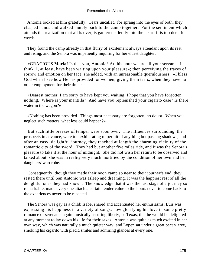Antonia looked at him gratefully. Tears uncalled−for sprang into the eyes of both; they clasped hands and walked mutely back to the camp together. For the sentiment which attends the realization that all is over, is gathered silently into the heart; it is too deep for words.

 They found the camp already in that flurry of excitement always attendant upon its rest and rising, and the Senora was impatiently inquiring for her eldest daughter.

 «GRACIOUS **Maria!** Is that you, Antonia? At this hour we are all your servants, I think. I, at least, have been waiting upon your pleasure»; then perceiving the traces of sorrow and emotion on her face, she added, with an unreasonable querulousness: «I bless God when I see how He has provided for women; giving them tears, when they have no other employment for their time.»

 «Dearest mother, I am sorry to have kept you waiting. I hope that you have forgotten nothing. Where is your mantilla? And have you replenished your cigarito case? Is there water in the wagon?»

 «Nothing has been provided. Things most necessary are forgotten, no doubt. When you neglect such matters, what less could happen?»

 But such little breezes of temper were soon over. The influences surrounding, the prospects in advance, were too exhilarating to permit of anything but passing shadows, and after an easy, delightful journey, they reached at length the charming vicinity of the romantic city of the sword. They had but another five miles ride, and it was the Senora's pleasure to take it at the hour of midnight. She did not wish her return to be observed and talked about; she was in reality very much mortified by the condition of her own and her daughters' wardrobe.

 Consequently, though they made their noon camp so near to their journey's end, they rested there until San Antonio was asleep and dreaming. It was the happiest rest of all the delightful ones they had known. The knowledge that it was the last stage of a journey so remarkable, made every one attach a certain tender value to the hours never to come back to the experiences never to be repeated.

 The Senora was gay as a child; Isabel shared and accentuated her enthusiasms; Luis was expressing his happiness in a variety of songs; now glorifying his love in some pretty romance or serenade, again musically assuring liberty, or Texas, that he would be delighted at any moment to lay down his life for their sakes. Antonia was quite as much excited in her own way, which was naturally a much quieter way; and Lopez sat under a great pecan−tree, smoking his cigarito with placid smiles and admiring glances at every one.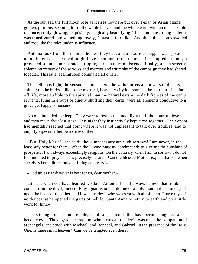As the sun set, the full moon rose as it rises nowhere but over Texan or Asian plains; golden, glorious, seeming to fill the whole heaven and the whole earth with an unspeakable radiance; softly glowing, exquisitely, magically beautifying. The commonest thing under it was transfigured into something lovely, fantastic, fairylike. And the dullest souls swelled and rose like the tides under its influence.

 Antonia took from their stores the best they had, and a luxurious supper was spread upon the grass. The meal might have been one of ten courses, it occupied so long; it provoked so much mirth, such a rippling stream of reminiscence; finally, such a sweetly solemn retrospect of the sorrows and mercies and triumphs of the campaign they had shared together. This latter feeling soon dominated all others.

 The delicious light, the sensuous atmosphere, the white turrets and towers of the city, shining on the horizon like some mystical, heavenly city in dreams – the murmur of its far− off life, more audible to the spiritual than the natural ears – the dark figures of the camp servants, lying in groups or quietly shuffling their cards, were all elements conducive to a grave yet happy seriousness.

 No one intended to sleep. They were to rest in the moonlight until the hour of eleven, and then make their last stage. This night they instinctively kept close together. The Senora had mentally reached that point where it was not unpleasant to talk over troubles, and to amplify especially her own share of them.

 «But, Holy Maria!» she said; «how unnecessary are such sorrows! I am never, in the least, any better for them. When the Divine Majesty condescends to give me the sunshine of prosperity, I am always exceedingly religious. On the contrary when I am in sorrow, I do not feel inclined to pray. That is precisely natural. Can the blessed Mother expect thanks, when she gives her children only suffering and tears?»

«God gives us whatever is best for us, dear mother.»

 «Speak, when you have learned wisdom, Antonia. I shall always believe that trouble comes from the devil; indeed, Fray Ignatius once told me of a holy man that had one grief upon the heels of the other, and it was the devil who was sent with all of them. I have myself no doubt that he opened the gates of hell for Santa Anna to return to earth and do a little work for him.»

 «This thought makes me tremble,» said Lopez; «souls that have become angelic, can become evil. The degraded seraphim, whom we call the devil, was once the companion of archangels, and stood with Michael, and Raphael, and Gabriel, in the presence of the Holy One. Is there sin in heaven? Can we be tempted even there?»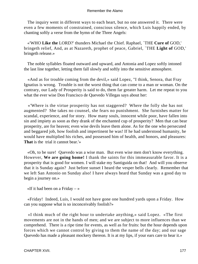The inquiry went in different ways to each heart, but no one answered it. There were even a few moments of constrained, conscious silence, which Luis happily ended, by chanting softly a verse from the hymn of the Three Angels:

 «'WHO **Like the** LORD?' thunders Michael the Chief. Raphael, `THE **Cure of** GOD,' bringeth relief, And, as at Nazareth, prophet of peace, Gabriel, `THE **Light of** GOD,' bringeth release.»

 The noble syllables floated outward and upward, and Antonia and Lopez softly intoned the last line together, letting them fall slowly and softly into the sensitive atmosphere.

 «And as for trouble coming from the devil,» said Lopez, "I think, Senora, that Fray Ignatius is wrong. Trouble is not the worst thing that can come to a man or woman. On the contrary, our Lady of Prosperity is said to do, them far greater harm. Let me repeat to you what the ever wise Don Francisco de Quevedo Villegas says about her:

 «'Where is the virtue prosperity has not staggered? Where the folly she has not augmented? She takes no counsel, she fears no punishment. She furnishes matter for scandal, experience, and for story. How many souls, innocent while poor, have fallen into sin and impiety as soon as they drank of the enchanted cup of prosperity? Men that can bear prosperity, are for heaven; even wise devils leave them alone. As for the one who persecuted and beggared job, how foolish and impertinent he was! If he had understood humanity, he would have multiplied his riches, and possessed him of health, and honors, and pleasures: **That** is the trial it cannot bear.'»

 «Oh, to be sure! Quevedo was a wise man. But even wise men don't know everything. However, **We are going home!** I thank the saints for this immeasurable favor. It is a prosperity that is good for women. I will stake my Santiguida on that! And will you observe that it is Sunday again? Just before sunset I heard the vesper bells clearly. Remember that we left San Antonio on Sunday also! I have always heard that Sunday was a good day to begin a journey on.»

«If it had been on a Friday  $-\infty$ 

 «Friday! Indeed, Luis, I would not have gone one hundred yards upon a Friday. How can you suppose what is so inconceivably foolish?»

 «I think much of the right hour to undertake anything,» said Lopez. «The first movements are not in the hands of men; and we are subject to more influences than we comprehend. There is a ripe time for events, as well as for fruits: but the hour depends upon forces which we cannot control by giving to them the name of the day; and our sage Quevedo has made a pleasant mockery thereon. It is at my lips, if your ears care to hear it.»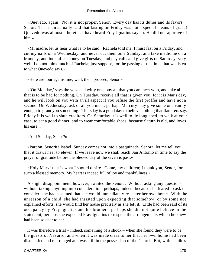«Quevedo, again! No, it is not proper, Senor. Every day has its duties and its favors, Senor. That man actually said that fasting on Friday was not a special means of grace! Quevedo was almost a heretic. I have heard Fray Ignatius say so. He did not approve of him.»

 «Mi madre, let us hear what is to be said. Rachela told me, I must fast on a Friday, and cut my nails on a Wednesday, and never cut them on a Sunday, and take medicine on a Monday, and look after money on Tuesday, and pay calls and give gifts on Saturday; very well, I do not think much of Rachela; just suppose, for the passing of the time, that we listen to what Quevedo says.»

«Here are four against me; well, then, proceed, Senor.»

 «`On Monday,' says the wise and witty one, buy all that you can meet with, and take all that is to be had for nothing. On Tuesday, receive all that is given you; for it is Mar's day, and he will look on you with an ill aspect if you refuse the first proffer and have not a second. On Wednesday, ask of all you meet; perhaps Mercury may give some one vanity enough to grant you something. Thursday is a good day to believe nothing that flatterers say. Friday it is well to shun creditors. On Saturday it is well to lie long abed, to walk at your ease, to eat a good dinner, and to wear comfortable shoes; because Saturn is old, and loves his ease.'»

«And Sunday, Senor?»

 «Pardon, Senorita Isabel, Sunday comes not into a pasquinade. Senora, let me tell you that it draws near to eleven. If we leave now we shall reach San Antonio in time to say the prayer of gratitude before the blessed day of the seven is past.»

 «Holy Mary! that is what I should desire. Come, my children; I thank you, Senor, for such a blessed memory. My heart is indeed full of joy and thankfulness.»

 A slight disappointment, however, awaited the Senora. Without asking any questions, without taking anything into consideration, perhaps, indeed, because she feared to ask or consider, she had assumed that she would immediately re−enter her own home. With the unreason of a child, she had insisted upon expecting that somehow, or by some not explained efforts, she would find her house precisely as she left it. Little had been said of its occupancy by Fray Ignatius and his brothers; perhaps she did not quite believe in the statement; perhaps she expected Fray Ignatius to respect the arrangements which he knew had been so dear to her.

 It was therefore a trial – indeed, something of a shock – when she found they were to be the guests of Navarro, and when it was made clear to her that her own home had been dismantled and rearranged and was still in the possession of the Church. But, with a child's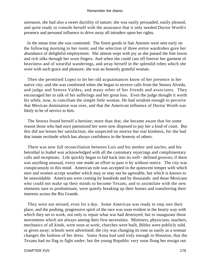unreason, she had also a sweet ductility of nature; she was easily persuaded, easily pleased, and quite ready to console herself with the assurance that it only needed Doctor Worth's presence and personal influence to drive away all intruders upon her rights.

 In the mean time she was contented. The finest goods in San Antonio were sent early on the following morning to her room; and the selection of three entire wardrobes gave her abundance of delightful employment. She almost wept with joy as she passed the fine lawns and rich silks through her worn fingers. And when she could cast off forever her garment of heaviness and of weariful wanderings, and array herself in the splendid robes which she wore with such grace and pleasure, she was an honestly grateful woman.

 Then she permitted Lopez to let her old acquaintances know of her presence in her native city; and she was comforted when she began to receive calls from the Senora Alveda, and judge and Senora Valdez, and many other of her friends and associates. They encouraged her to talk of her sufferings and her great loss. Even the judge thought it worth his while, now, to conciliate the simple little woman. He had wisdom enough to perceive that Mexican domination was over, and that the American influence of Doctor Worth was likely to be of service to him.

 The Senora found herself a heroine; more than that, she became aware that for some reason those who had once patronized her were now disposed to pay her a kind of court. But this did not lessen her satisfaction; she suspected no motive but real kindness, for she had that innate rectitude which has always confidence in the honesty of others.

 There was now full reconciliation between Luis and his mother and uncles; and his betrothal to Isabel was acknowledged with all the customary rejoicings and complimentary calls and receptions. Life quickly began to fall back into its well− defined grooves; if there was anything unusual, every one made an effort to pass it by without notice. The city was conspicuously in this mind. American rule was accepted in the quiescent temper with which men and women accept weather which may or may not be agreeable, but which is known to be unavoidable. Americans were coming by hundreds and by thousands: and those Mexicans who could not make up their minds to become Texans, and to assimilate with the new elements sure to predominate, were quietly breaking up their homes and transferring their interests across the Rio Grande.

 They were not missed, even for a day. Some American was ready to step into their place, and the pushing, progressive spirit of the race was soon evident in the hearty way with which they set to work, not only to repair what war had destroyed, but to inaugurate those movements which are always among their first necessities. Ministers, physicians, teachers, mechanics of all kinds, were soon at work; churches were built, Bibles were publicly sold, or given away; schools were advertised; the city was changing its tone as easily as a woman changes the fashion of her dress. Santa Anna had said truly enough to Houston, that the Texans had no flag to fight under; but the young Republic very soon flung her ensign out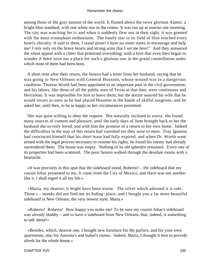among those of the gray nations of the world. It floated above the twice glorious Alamo: a bright blue standard, with one white star in the centre. It was run up at sunrise one morning. The city was watching for it; and when it suddenly flew out in their sight, it was greeted with the most triumphant enthusiasm. The lonely star in its field of blue touched every heart's chivalry. It said to them, I stand alone! I have no sister states to encourage and help me! I rely only on the brave hearts and strong arms that I set me here!" And they answered the silent appeal with a cheer that promised everything; with a love that even then began to wonder if there were not a place for such a glorious star in the grand constellation under which most of them had been born.

 A short time after their return, the Senora had a letter from her husband, saying that he was going to New Orleans with General Houston, whose wound was in a dangerous condition. Thomas Worth had been appointed to an important post in the civil government; and his labors, like those of all the public men of Texas at that date, were continuous and Herculean. It was impossible for him to leave them; but the doctor assured his wife that he would return as soon as he had placed Houston in the hands of skilful surgeons; and he asked her, until then, to be as happy as her circumstances permitted.

 She was quite willing to obey the request. Not naturally inclined to worry, she found many sources of content and pleasure, until the early days of June brought back to her the husband she so truly loved, and with him the promise of a return to her own home. Indeed the difficulties in the way of this return had vanished ere they were to meet. Fray Ignatius had convinced himself that his short lease had fully expired; and when Dr. Worth went armed with the legal process necessary to resume his rights, he found his enemy had already surrendered them. The house was empty. Nothing of its old splendor remained. Every one of its properties had been scattered. The poor Senora walked through the desolate rooms with a heartache.

 «It was precisely in this spot that the sideboard stood, Roberto! – the sideboard that my cousin Johar presented to me. It came from the City of Mexico, and there was not another like it. I shall regret it all my life.»

 «Maria, my dearest, it might have been worse. The silver which adorned it is safe. Those r – monks did not find out its hiding−place, and I bought you a far more beautiful sideboard in New Orleans; the very newest style, Maria.»

 «Roberto! Roberto! How happy you make me! To be sure my cousin Johar's sideboard was already shabby – and to have a sideboard from New Orleans, that, indeed, is something to talk about!»

 «Besides, which, dearest one, I bought new furniture for the parlors, and for your own apartments; also for Antonia's and Isabel's rooms. Indeed, Maria, I thought it best to provide afresh for the whole house.»

#### CHAPTER XVII. 180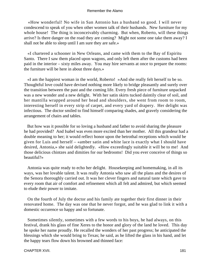«How wonderful! No wife in San Antonio has a husband so good. I will never condescend to speak of you when other women talk of their husbands. New furniture for my whole house! The thing is inconceivably charming. But when, Roberto, will these things arrive? Is there danger on the road they are coming? Might not some one take them away? I shall not be able to sleep until I am sure they are safe.»

 «I chartered a schooner in New Orleans, and came with them to the Bay of Espiritu Santo. There I saw them placed upon wagons, and only left them after the customs had been paid in the interior – sixty miles away. You may hire servants at once to prepare the rooms: the furniture will be here in about three days.»

 «I am the happiest woman in the world, Roberto! »And she really felt herself to be so. Thoughtful love could have devised nothing more likely to bridge pleasantly and surely over the transition between the past and the coming life. Every fresh piece of furniture unpacked was a new wonder and a new delight. With her satin skirts tucked daintily clear of soil, and her mantilla wrapped around her head and shoulders, she went from room to room, interesting herself in every strip of carpet, and every yard of drapery. Her delight was infectious. The doctor smiled to find himself comparing shades, and gravely considering the arrangement of chairs and tables.

 But how was it possible for so loving a husband and father to avoid sharing the pleasure he had provided? And Isabel was even more excited than her mother. All this grandeur had a double meaning to her; it would reflect honor upon the betrothal receptions which would be given for Luis and herself – «amber satin and white lace is exactly what I should have desired, Antonia,» she said delightedly. «How exceedingly suitable it will be to me! And those delicious chintzes and dimities for our bedrooms! Did you ever conceive of things so beautiful?»

 Antonia was quite ready to echo her delight. Housekeeping and homemaking, in all its ways, was her lovable talent. It was really Antonia who saw all the plans and the desires of the Senora thoroughly carried out. It was her clever fingers and natural taste which gave to every room that air of comfort and refinement which all felt and admired, but which seemed to elude their power to imitate.

 On the fourth of July the doctor and his family ate together their first dinner in their renovated home. The day was one that he never forgot, and he was glad to link it with a domestic occurence so happy and so fortunate.

 Sometimes silently, sometimes with a few words to his boys, he had always, on this festival, drank his glass of fine Xeres to the honor and glory of the land he loved. This day he spoke her name proudly. He recalled the wonders of her past progress; he anticipated the blessings which she would bring to Texas; he said, as he lifted the glass in his hand, and let the happy tears flow down his browned and thinned face: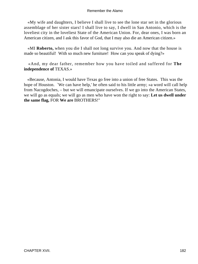«My wife and daughters, I believe I shall live to see the lone star set in the glorious assemblage of her sister stars! I shall live to say, I dwell in San Antonio, which is the loveliest city in the loveliest State of the American Union. For, dear ones, I was born an American citizen, and I ask this favor of God, that I may also die an American citizen.»

 «MI **Roberto,** when you die I shall not long survive you. And now that the house is made so beautiful! With so much new furniture! How can you speak of dying?»

 «And, my dear father, remember how you have toiled and suffered for **The independence of** TEXAS.»

 «Because, Antonia, I would have Texas go free into a union of free States. This was the hope of Houston. `We can have help,' he often said to his little army; »a word will call help from Nacogdoches, – but we will emancipate ourselves. If we go into the American States, we will go as equals; we will go as men who have won the right to say: **Let us dwell under the same flag,** FOR **We are** BROTHERS!"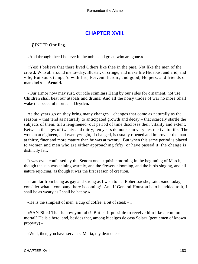## **[CHAPTER XVIII.](#page-189-0)**

## <span id="page-183-0"></span>*U*NDER **One flag.**

«And through thee I believe In the noble and great, who are gone.»

 «Yes! I believe that there lived Others like thee in the past. Not like the men of the crowd. Who all around me to−day, Bluster, or cringe, and make life Hideous, and arid, and vile, But souls temper'd with fire, Fervent, heroic, and good; Helpers, and friends of mankind.» – **Arnold.**

 «Our armor now may rust, our idle scimitars Hang by our sides for ornament, not use. Children shall beat our atabals and drums; And all the noisy trades of war no more Shall wake the peaceful morn.» – **Dryden.**

 As the years go on they bring many changes – changes that come as naturally as the seasons – that tend as naturally to anticipated growth and decay – that scarcely startle the subjects of them, till a lengthened−out period of time discloses their vitality and extent. Between the ages of twenty and thirty, ten years do not seem very destructive to life. The woman at eighteen, and twenty−eight, if changed, is usually ripened and improved; the man at thirty, finer and more mature than he was at twenty. But when this same period is placed to women and men who are either approaching fifty, or have passed it, the change is distinctly felt.

 It was even confessed by the Senora one exquisite morning in the beginning of March, though the sun was shining warmly, and the flowers blooming, and the birds singing, and all nature rejoicing, as though it was the first season of creation.

 «I am far from being as gay and strong as I wish to be, Roberto,» she, said; «and today, consider what a company there is coming! And if General Houston is to be added to it, I shall be as weary as I shall be happy.»

«He is the simplest of men; a cup of coffee, a bit of steak  $-\infty$ 

 «SAN **Blas!** That is how you talk! But is, it possible to receive him like a common mortal? He is a hero, and, besides that, among hidalgos de casa Solar» (gentlemen of known property) –

«Well, then, you have servants, Maria, my dear one.»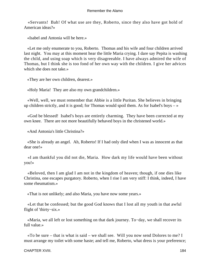«Servants! Bah! Of what use are they, Roberto, since they also have got hold of American ideas?»

«Isabel and Antonia will be here.»

 «Let me only enumerate to you, Roberto. Thomas and his wife and four children arrived last night. You may at this moment hear the little Maria crying. I dare say Pepita is washing the child, and using soap which is very disagreeable. I have always admired the wife of Thomas, but I think she is too fond of her own way with the children. I give her advices which she does not take.»

«They are her own children, dearest.»

«Holy Maria! They are also my own grandchildren.»

 «Well, well, we must remember that Abbie is a little Puritan. She believes in bringing up children strictly, and it is good; for Thomas would spoil them. As for Isabel's boys  $-\infty$ 

 «God be blessed! Isabel's boys are entirely charming. They have been corrected at my own knee. There are not more beautifully behaved boys in the christened world.»

«And Antonia's little Christina?»

 «She is already an angel. Ah, Roberto! If I had only died when I was as innocent as that dear one!»

 «I am thankful you did not die, Maria. How dark my life would have been without you!»

 «Beloved, then I am glad I am not in the kingdom of heaven; though, if one dies like Christina, one escapes purgatory. Roberto, when I rise I am very stiff: I think, indeed, I have some rheumatism.»

«That is not unlikely; and also Maria, you have now some years.»

 «Let that be confessed; but the good God knows that I lost all my youth in that awful flight of 'thirty−six.»

 «Maria, we all left or lost something on that dark journey. To−day, we shall recover its full value.»

 «To be sure – that is what is said – we shall see. Will you now send Dolores to me? I must arrange my toilet with some haste; and tell me, Roberto, what dress is your preference;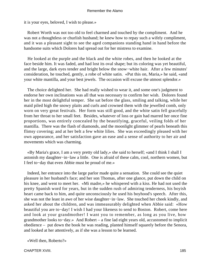it is your eyes, beloved, I wish to please.»

 Robert Worth was not too old to feel charmed and touched by the compliment. And he was not a thoughtless or churlish husband; he knew how to repay such a wifely compliment, and it was a pleasant sight to see the aged companions standing hand in hand before the handsome suits which Dolores had spread out for her mistress to examine.

 He looked at the purple and the black and the white robes, and then he looked at the face beside him. It was faded, and had lost its oval shape; but its coloring was yet beautiful, and the large, dark eyes tender and bright below the snow−white hair. After a few minutes' consideration, he touched, gently, a robe of white satin. «Put this on, Maria,» he said, «and your white mantilla, and your best jewels. The occasion will excuse the utmost splendor.»

 The choice delighted her. She had really wished to wear it, and some one's judgment to endorse her own inclinations was all that was necessary to confirm her wish. Dolores found her in the most delightful temper. She sat before the glass, smiling and talking, while her maid piled high the snowy plaits and curls and crowned them with the jewelled comb, only worn on very great festivals. Her form was still good, and the white satin fell gracefully from her throat to her small feet. Besides, whatever of loss or gain had marred her once fine proportions, was entirely concealed by the beautifying, graceful, veiling folds of her mantilla. There was the flash of diamonds, and the moonlight glimmer of pearls beneath this flimsy covering; and at her belt a few white lilies. She was exceedingly pleased with her own appearance, and her satisfaction gave an ease and a sense of authority to her air and movements which was charming.

 «By Maria's grace, I am a very pretty old lady,» she said to herself; «and I think I shall I astonish my daughter−in−law a little. One is afraid of these calm, cool, northern women, but I feel to−day that even Abbie must be proud of me.»

 Indeed, her entrance into the large parlor made quite a sensation. She could see the quiet pleasure in her husband's face; and her son Thomas, after one glance, put down the child on his knee, and went to meet her. «Mi madre,» he whispered with a kiss. He had not used the pretty Spanish word for years, but in the sudden rush of admiring tenderness, his boyish heart came back to him, and quite unconsciously he used his boyhood's speech. After this, she was not the least in awe of her wise daughter−in−law. She touched her cheek kindly, and asked her about the children, and was immeasurably delighted when Abbie said: «How beautiful you are to−day! I wish I had your likeness to send to Boston. Robert, come here and look at your grandmother! I want you to remember, as long as you live, how grandmother looks to−day.» And Robert – a fine lad eight years old, accustomed to implicit obedience – put down the book he was reading, planted himself squarely before the Senora, and looked at her attentively, as if she was a lesson to be learned.

«Well then, Roberto?»

CHAPTER XVIII. 185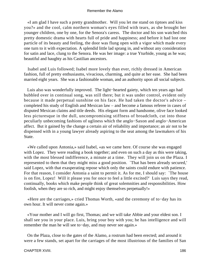«I am glad I have such a pretty grandmother. Will you let me stand on tiptoes and kiss you?» and the cool, calm northern woman's eyes filled with tears, as she brought her younger children, one by one, for the Senora's caress. The doctor and his son watched this pretty domestic drama with hearts full of pride and happiness; and before it had lost one particle of its beauty and feeling, the door was flung open with a vigor which made every one turn to it with expectation. A splendid little lad sprang in, and without any consideration for satin and lace, clung to the Senora. He was her image: a true Yturbide, young as he was; beautiful and haughty as his Castilian ancestors.

 Isabel and Luis followed; Isabel more lovely than ever, richly dressed in American fashion, full of pretty enthusiasms, vivacious, charming, and quite at her ease. She had been married eight years. She was a fashionable woman, and an authority upon all social subjects.

 Luis also was wonderfully improved. The light−hearted gaiety, which ten years ago had bubbled over in continual song, was still there; but it was under control, evident only because it made perpetual sunshine on his face. He had taken the doctor's advice – completed his study of English and Mexican law – and become a famous referee in cases of disputed Mexican claims and title deeds. His elegant form and handsome, olive face looked less picturesque in the dull, uncompromising stiffness of broadcloth, cut into those peculiarly unbecoming fashions of ugliness which the anglo−Saxon and anglo−American affect. But it gained by the change a certain air of reliability and importance; an air not to be dispensed with in a young lawyer already aspiring to the seat among the lawmakers of his State.

 «We called upon Antonia,» said Isabel, «as we came here. Of course she was engaged with Lopez. They were reading a book together; and even on such a day as this were taking, with the most blessed indifference, a minute at a time. They will join us on the Plaza. I represented to them that they might miss a good position. `That has been already secured,' said Lopez, with that exasperating repose which only the saints could endure with patience. For that reason, I consider Antonia a saint to permit it. As for me, I should say: `The house is on fire, Lopez! Will it please you for once to feel a little excited?' Luis says they read, continually, books which make people think of great solemnities and responsibilities. How foolish, when they are so rich, and might enjoy themselves perpetually!»

 «Here are the carriages,» cried Thomas Worth, «and the ceremony of to−day has its own hour. It will never come again.»

 «Your mother and I will go first, Thomas; and we will take Abbie and your eldest son. I shall see you in your place. Luis, bring your boy with you; he has intelligence and will remember the man he will see to−day, and may never see again.»

 On the Plaza, close to the gates of the Alamo, a rostrum had been erected; and around it were a few stands, set apart for the carriages of the most illustrious of the families of San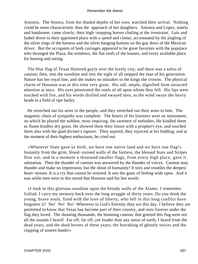Antonio. The Senora, from the shaded depths of her own, watched their arrival. Nothing could be more characteristic than the approach of her daughters. Antonia and Lopez, stately and handsome, came slowly; their high−stepping horses chafing at the irrestraint. Luis and Isabel drove to their appointed place with a speed and clatter, accentuated by the jingling of the silver rings of the harness and the silver hanging buttons on the gay dress of the Mexican driver. But the occupants of both carriages appeared to be great favorites with the populace who thronged the Plaza, the windows, the flat roofs of the houses, and every available place for hearing and seeing.

 The blue flag of Texas fluttered gayly over the lovely city; and there was a salvo of cannon; then, into the sunshine and into the sight of all stepped the man of his generation. Nature has her royal line, and she makes no mistakes in the kings she crowns. The physical charm of Houston was at this time very great. His tall, ample, dignified form attracted attention at once. His eyes penetrated the souls of all upon whom they fell. His lips were touched with fire, and his words thrilled and swayed men, as the wind sways the heavy heads in a field of ripe barley.

 He stretched out his arms to the people, and they stretched out their arms to him. The magnetic chain of sympathy was complete. The hearts of his listeners were an instrument, on which he played the noblest, most inspiring, the sweetest of melodies. He kindled them as flame kindles dry grass. He showed them their future with a prophet's eye, and touched them also with the glad diviner's rapture. They aspired, they rejoiced at his bidding; and at the moment of their highest enthusiasm, he cried out:

 «Whatever State gave us birth, we have one native land and we have one flag!» Instantly from the grim, blood−stained walls of the fortress, the blessed Stars and Stripes flew out; and in a moment a thousand smaller flags, from every high place, gave it salutation. Then the thunder of cannon was answered by the thunder of voices. Cannon may thunder and make no impression; but the shout of humanity! It stirs and troubles the deepest heart−stream. It is a cry that cannot be resisted. It sets the gates of feeling wide open. And it was while men were in this mood that Houston said his last words:

 «I look in this glorious sunshine upon the bloody walls of the Alamo. I remember Goliad. I carry my memory back over the long struggle of thirty years. Do you think the young, brave souls, fired with the love of liberty, who fell in this long conflict have forgotten it? No! No! No! Wherever in God's Eternity they are this day, I believe they are permitted to know that Texas has become part of their country, and rests forever under the flag they loved. The shouting thousands, the booming cannon, that greeted this flag were not all the sounds I heard! Far off, far off, yet louder than any noise of earth, I heard from the dead years, and the dead heroes of these years; the hurrahing of ghostly voices and the clapping of unseen hands!»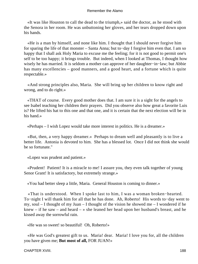«It was like Houston to call the dead to the triumph,» said the doctor, as he stood with the Senora in her room. He was unbuttoning her gloves, and her tears dropped down upon his hands.

 «He is a man by himself, and none like him. I thought that I should never forgive him for sparing the life of that monster – Santa Anna; but to−day I forgive him even that. I am so happy that I shall ask Holy Maria to excuse me the feeling; for it is not good to permit one's self to be too happy; it brings trouble. But indeed, when I looked at Thomas, I thought how wisely he has married. It is seldom a mother can approve of her daughter−in−law; but Abbie has many excellencies – good manners, and a good heart, and a fortune which is quite respectable.»

 «And strong principles also, Maria. She will bring up her children to know right and wrong, and to do right.»

 «THAT of course. Every good mother does that. I am sure it is a sight for the angels to see Isabel teaching her children their prayers. Did you observe also how great a favorite Luis is? He lifted his hat to this one and that one, and it is certain that the next election will be in his hand.»

«Perhaps – I wish Lopez would take more interest in politics. He is a dreamer.»

 «But, then, a very happy dreamer.» Perhaps to dream well and pleasantly is to live a better life. Antonia is devoted to him. She has a blessed lot. Once I did not think she would be so fortunate."

«Lopez was prudent and patient.»

 «Prudent! Patient! It is a miracle to me! I assure you, they even talk together of young Senor Grant! It is satisfactory, but extremely strange.»

«You had better sleep a little, Maria. General Houston is coming to dinner.»

 «That is understood. When I spoke last to him, I was a woman broken−hearted. To−night I will thank him for all that he has done. Ah, Roberto! His words to−day went to my, soul – I thought of my Juan – I thought of the vision he showed me – I wondered if he knew – if he saw – and heard – » she leaned her head upon her husband's breast, and he kissed away the sorrowful rain.

«He was so sweet! so beautiful! Oh, Roberto!»

 «He was God's greatest gift to us. Maria! dear. Maria! I love you for, all the children you have given me; **But most of all,** FOR JUAN!»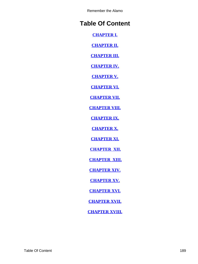# <span id="page-189-0"></span>**Table Of Content**

**[CHAPTER I.](#page-3-0)**

**[CHAPTER II.](#page-9-0)**

**[CHAPTER III.](#page-16-0)**

**[CHAPTER IV.](#page-26-0)**

**[CHAPTER V.](#page-40-0)**

**[CHAPTER VI.](#page-53-0)**

**[CHAPTER VII.](#page-65-0)**

**[CHAPTER VIII.](#page-76-0)**

**[CHAPTER IX.](#page-85-0)**

**[CHAPTER X.](#page-94-0)**

**[CHAPTER XI.](#page-103-0)**

**[CHAPTER XII.](#page-114-0)**

**[CHAPTER XIII.](#page-126-0)**

**[CHAPTER XIV.](#page-135-0)**

**[CHAPTER XV.](#page-147-0)**

**[CHAPTER XVI.](#page-157-0)**

**[CHAPTER XVII.](#page-172-0)**

**[CHAPTER XVIII.](#page-183-0)**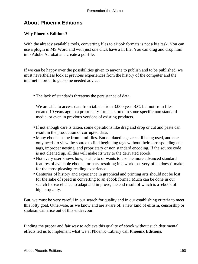## **About Phoenix Editions**

## **Why Phoenix Editions?**

With the already available tools, converting files to eBook formats is not a big task. You can use a plugin in MS Word and with just one click have a lit file. You can drag and drop html into Adobe Acrobat and create a pdf file.

If we can be happy over the possibilities given to anyone to publish and to be published, we must nevertheless look at previous experiences from the history of the computer and the internet in order to get some needed advice:

• The lack of standards threatens the persistance of data.

We are able to access data from tablets from 3.000 year B.C. but not from files created 10 years ago in a proprietary format, stored in some specific non standard media, or even in previous versions of existing products.

- If not enough care is taken, some operations like drag and drop or cut and paste can result in the production of corrupted data.
- Many ebooks come from html files. But outdated tags are still being used, and one only needs to view the source to find beginning tags without their corresponding end tags, improper nesting, and proprietary or non standard encoding. If the source code is not cleaned up, all this will make its way to the derivated ebook.
- Not every user knows how, is able to or wants to use the more advanced standard features of available ebooks formats, resulting in a work that very often doesn't make for the most pleasing reading experience.
- Centuries of history and experience in graphical and printing arts should not be lost for the sake of speed in converting to an ebook format. Much can be done in our search for excellence to adapt and improve, the end result of which is a ebook of higher quality.

But, we must be very careful in our search for quality and in our establishing criteria to meet this lofty goal. Otherwise, as we know and are aware of, a new kind of elitism, censorship or snobism can arise out of this endeavour.

Finding the proper and fair way to achieve this quality of ebook without such detrimental effects led us to implement what we at Phoenix−Library call **Phoenix Editions**.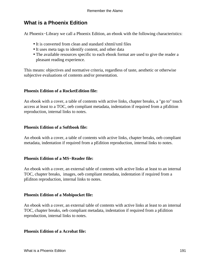## **What is a Phoenix Edition**

At Phoenix−Library we call a Phoenix Edition, an ebook with the following characteristics:

- It is converted from clean and standard xhtml/xml files
- It uses meta tags to identify content, and other data
- The available resources specific to each ebook format are used to give the reader a pleasant reading experience.

This means: objectives and normative criteria, regardless of taste, aesthetic or otherwise subjective evaluations of contents and/or presentation.

## **Phoenix Edition of a RocketEdition file:**

An ebook with a cover, a table of contents with active links, chapter breaks, a "go to" touch access at least to a TOC, oeb compliant metadata, indentation if required from a pEdition reproduction, internal links to notes.

## **Phoenix Edition of a Softbook file:**

An ebook with a cover, a table of contents with active links, chapter breaks, oeb compliant metadata, indentation if required from a pEdition reproduction, internal links to notes.

## **Phoenix Edition of a MS−Reader file:**

An ebook with a cover, an external table of contents with active links at least to an internal TOC, chapter breaks, images, oeb compliant metadata, indentation if required from a pEditon reproduction, internal links to notes.

## **Phoenix Edition of a Mobipocket file:**

An ebook with a cover, an external table of contents with active links at least to an internal TOC, chapter breaks, oeb compliant metadata, indentation if required from a pEdition reproduction, internal links to notes.

### **Phoenix Edition of a Acrobat file:**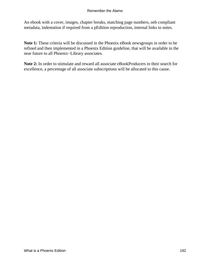An ebook with a cover, images, chapter breaks, matching page numbers, oeb compliant metadata, indentation if required from a pEdition reproduction, internal links to notes.

**Note 1:** These criteria will be discussed in the Phoenix eBook newsgroups in order to be refined and then implemented in a Phoenix Edition guideline, that will be available in the near future to all Phoenix−Library associates.

**Note 2:** In order to stimulate and reward all associate eBookProducers in their search for excellence, a percentage of all associate subscriptions will be allocated to this cause.